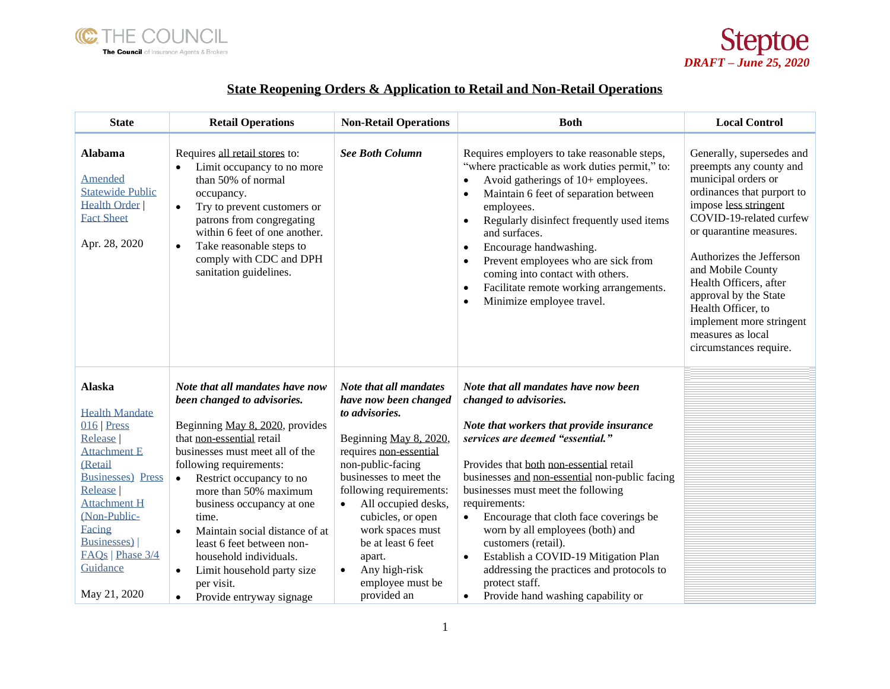



## **State Reopening Orders & Application to Retail and Non-Retail Operations**

| <b>State</b>                                                                                                                                                                                                                                                 | <b>Retail Operations</b>                                                                                                                                                                                                                                                                                                                                                                                                                                                                                     | <b>Non-Retail Operations</b>                                                                                                                                                                                                                                                                                                                                     | <b>Both</b>                                                                                                                                                                                                                                                                                                                                                                                                                                                                                                                                                                                 | <b>Local Control</b>                                                                                                                                                                                                                                                                                                                                                                          |
|--------------------------------------------------------------------------------------------------------------------------------------------------------------------------------------------------------------------------------------------------------------|--------------------------------------------------------------------------------------------------------------------------------------------------------------------------------------------------------------------------------------------------------------------------------------------------------------------------------------------------------------------------------------------------------------------------------------------------------------------------------------------------------------|------------------------------------------------------------------------------------------------------------------------------------------------------------------------------------------------------------------------------------------------------------------------------------------------------------------------------------------------------------------|---------------------------------------------------------------------------------------------------------------------------------------------------------------------------------------------------------------------------------------------------------------------------------------------------------------------------------------------------------------------------------------------------------------------------------------------------------------------------------------------------------------------------------------------------------------------------------------------|-----------------------------------------------------------------------------------------------------------------------------------------------------------------------------------------------------------------------------------------------------------------------------------------------------------------------------------------------------------------------------------------------|
| <b>Alabama</b><br>Amended<br><b>Statewide Public</b><br><b>Health Order</b><br><b>Fact Sheet</b><br>Apr. 28, 2020                                                                                                                                            | Requires all retail stores to:<br>Limit occupancy to no more<br>$\bullet$<br>than 50% of normal<br>occupancy.<br>Try to prevent customers or<br>$\bullet$<br>patrons from congregating<br>within 6 feet of one another.<br>Take reasonable steps to<br>$\bullet$<br>comply with CDC and DPH<br>sanitation guidelines.                                                                                                                                                                                        | <b>See Both Column</b>                                                                                                                                                                                                                                                                                                                                           | Requires employers to take reasonable steps,<br>"where practicable as work duties permit," to:<br>Avoid gatherings of 10+ employees.<br>$\bullet$<br>Maintain 6 feet of separation between<br>$\bullet$<br>employees.<br>Regularly disinfect frequently used items<br>$\bullet$<br>and surfaces.<br>Encourage handwashing.<br>$\bullet$<br>Prevent employees who are sick from<br>$\bullet$<br>coming into contact with others.<br>Facilitate remote working arrangements.<br>$\bullet$<br>Minimize employee travel.<br>$\bullet$                                                           | Generally, supersedes and<br>preempts any county and<br>municipal orders or<br>ordinances that purport to<br>impose less stringent<br>COVID-19-related curfew<br>or quarantine measures.<br>Authorizes the Jefferson<br>and Mobile County<br>Health Officers, after<br>approval by the State<br>Health Officer, to<br>implement more stringent<br>measures as local<br>circumstances require. |
| <b>Alaska</b><br><b>Health Mandate</b><br>$016$ Press<br>Release  <br><b>Attachment E</b><br>(Retail<br><b>Businesses</b> ) Press<br>Release<br><b>Attachment H</b><br>(Non-Public-<br>Facing<br>Businesses)<br>EAQs   Phase 3/4<br>Guidance<br>May 21, 2020 | Note that all mandates have now<br>been changed to advisories.<br>Beginning May 8, 2020, provides<br>that non-essential retail<br>businesses must meet all of the<br>following requirements:<br>Restrict occupancy to no<br>$\bullet$<br>more than 50% maximum<br>business occupancy at one<br>time.<br>Maintain social distance of at<br>$\bullet$<br>least 6 feet between non-<br>household individuals.<br>Limit household party size<br>$\bullet$<br>per visit.<br>Provide entryway signage<br>$\bullet$ | Note that all mandates<br>have now been changed<br>to advisories.<br>Beginning May 8, 2020,<br>requires non-essential<br>non-public-facing<br>businesses to meet the<br>following requirements:<br>All occupied desks,<br>cubicles, or open<br>work spaces must<br>be at least 6 feet<br>apart.<br>Any high-risk<br>$\bullet$<br>employee must be<br>provided an | Note that all mandates have now been<br>changed to advisories.<br>Note that workers that provide insurance<br>services are deemed "essential."<br>Provides that both non-essential retail<br>businesses and non-essential non-public facing<br>businesses must meet the following<br>requirements:<br>Encourage that cloth face coverings be<br>$\bullet$<br>worn by all employees (both) and<br>customers (retail).<br>Establish a COVID-19 Mitigation Plan<br>$\bullet$<br>addressing the practices and protocols to<br>protect staff.<br>Provide hand washing capability or<br>$\bullet$ |                                                                                                                                                                                                                                                                                                                                                                                               |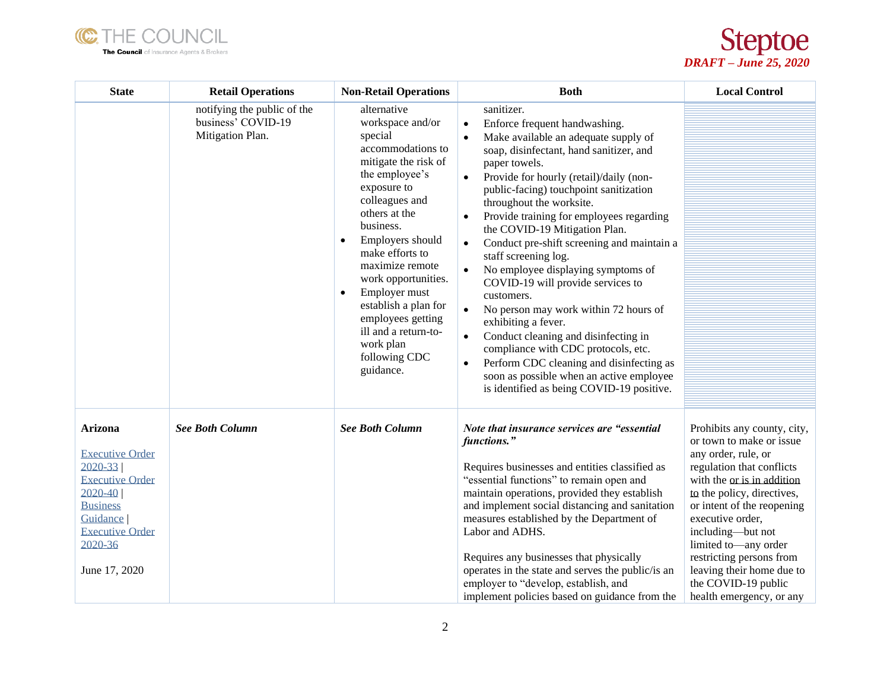



| <b>State</b>                                                                                                                                                                     | <b>Retail Operations</b>                                              | <b>Non-Retail Operations</b>                                                                                                                                                                                                                                                                                                                                                                                         | <b>Both</b>                                                                                                                                                                                                                                                                                                                                                                                                                                                                                                                                                                                                                                                                                                                                                                                                                                                                    | <b>Local Control</b>                                                                                                                                                                                                                                                                                                                                                                |
|----------------------------------------------------------------------------------------------------------------------------------------------------------------------------------|-----------------------------------------------------------------------|----------------------------------------------------------------------------------------------------------------------------------------------------------------------------------------------------------------------------------------------------------------------------------------------------------------------------------------------------------------------------------------------------------------------|--------------------------------------------------------------------------------------------------------------------------------------------------------------------------------------------------------------------------------------------------------------------------------------------------------------------------------------------------------------------------------------------------------------------------------------------------------------------------------------------------------------------------------------------------------------------------------------------------------------------------------------------------------------------------------------------------------------------------------------------------------------------------------------------------------------------------------------------------------------------------------|-------------------------------------------------------------------------------------------------------------------------------------------------------------------------------------------------------------------------------------------------------------------------------------------------------------------------------------------------------------------------------------|
|                                                                                                                                                                                  | notifying the public of the<br>business' COVID-19<br>Mitigation Plan. | alternative<br>workspace and/or<br>special<br>accommodations to<br>mitigate the risk of<br>the employee's<br>exposure to<br>colleagues and<br>others at the<br>business.<br>Employers should<br>$\bullet$<br>make efforts to<br>maximize remote<br>work opportunities.<br>Employer must<br>$\bullet$<br>establish a plan for<br>employees getting<br>ill and a return-to-<br>work plan<br>following CDC<br>guidance. | sanitizer.<br>Enforce frequent handwashing.<br>$\bullet$<br>Make available an adequate supply of<br>soap, disinfectant, hand sanitizer, and<br>paper towels.<br>Provide for hourly (retail)/daily (non-<br>public-facing) touchpoint sanitization<br>throughout the worksite.<br>Provide training for employees regarding<br>$\bullet$<br>the COVID-19 Mitigation Plan.<br>Conduct pre-shift screening and maintain a<br>$\bullet$<br>staff screening log.<br>No employee displaying symptoms of<br>$\bullet$<br>COVID-19 will provide services to<br>customers.<br>No person may work within 72 hours of<br>exhibiting a fever.<br>Conduct cleaning and disinfecting in<br>$\bullet$<br>compliance with CDC protocols, etc.<br>Perform CDC cleaning and disinfecting as<br>$\bullet$<br>soon as possible when an active employee<br>is identified as being COVID-19 positive. |                                                                                                                                                                                                                                                                                                                                                                                     |
| Arizona<br><b>Executive Order</b><br>$2020 - 33$<br><b>Executive Order</b><br>$2020 - 40$<br><b>Business</b><br>Guidance  <br><b>Executive Order</b><br>2020-36<br>June 17, 2020 | <b>See Both Column</b>                                                | <b>See Both Column</b>                                                                                                                                                                                                                                                                                                                                                                                               | Note that insurance services are "essential<br>functions."<br>Requires businesses and entities classified as<br>"essential functions" to remain open and<br>maintain operations, provided they establish<br>and implement social distancing and sanitation<br>measures established by the Department of<br>Labor and ADHS.<br>Requires any businesses that physically<br>operates in the state and serves the public/is an<br>employer to "develop, establish, and<br>implement policies based on guidance from the                                                                                                                                                                                                                                                                                                                                                            | Prohibits any county, city,<br>or town to make or issue.<br>any order, rule, or<br>regulation that conflicts<br>with the or is in addition<br>to the policy, directives,<br>or intent of the reopening<br>executive order,<br>including-but not<br>limited to-any order<br>restricting persons from<br>leaving their home due to<br>the COVID-19 public<br>health emergency, or any |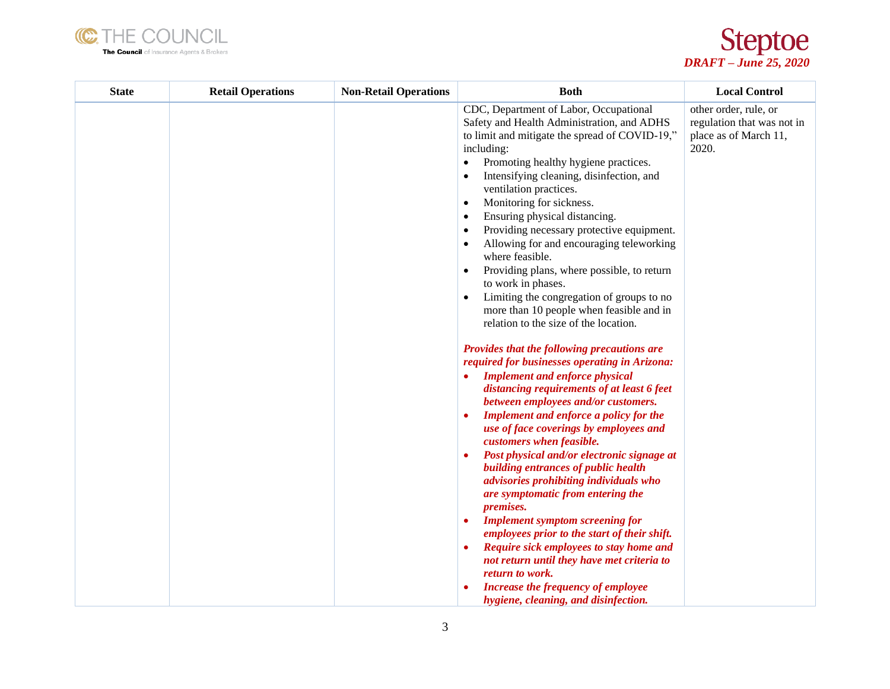



| <b>State</b> | <b>Retail Operations</b> | <b>Non-Retail Operations</b> | <b>Both</b>                                                                                                                                                                                                                                                                                                                                                                                                                                                                                                                                                                                                                                                                                                                                                                                                                                                                                                                                                                                                                                                                                                                                                                                                                                                                                                                                                                                                                                           | <b>Local Control</b>                                                                  |
|--------------|--------------------------|------------------------------|-------------------------------------------------------------------------------------------------------------------------------------------------------------------------------------------------------------------------------------------------------------------------------------------------------------------------------------------------------------------------------------------------------------------------------------------------------------------------------------------------------------------------------------------------------------------------------------------------------------------------------------------------------------------------------------------------------------------------------------------------------------------------------------------------------------------------------------------------------------------------------------------------------------------------------------------------------------------------------------------------------------------------------------------------------------------------------------------------------------------------------------------------------------------------------------------------------------------------------------------------------------------------------------------------------------------------------------------------------------------------------------------------------------------------------------------------------|---------------------------------------------------------------------------------------|
|              |                          |                              | CDC, Department of Labor, Occupational<br>Safety and Health Administration, and ADHS<br>to limit and mitigate the spread of COVID-19,"<br>including:<br>Promoting healthy hygiene practices.<br>$\bullet$<br>Intensifying cleaning, disinfection, and<br>٠<br>ventilation practices.<br>Monitoring for sickness.<br>٠<br>Ensuring physical distancing.<br>٠<br>Providing necessary protective equipment.<br>٠<br>Allowing for and encouraging teleworking<br>where feasible.<br>Providing plans, where possible, to return<br>to work in phases.<br>Limiting the congregation of groups to no<br>$\bullet$<br>more than 10 people when feasible and in<br>relation to the size of the location.<br>Provides that the following precautions are<br>required for businesses operating in Arizona:<br><b>Implement and enforce physical</b><br>distancing requirements of at least 6 feet<br>between employees and/or customers.<br>Implement and enforce a policy for the<br>use of face coverings by employees and<br>customers when feasible.<br>Post physical and/or electronic signage at<br>building entrances of public health<br>advisories prohibiting individuals who<br>are symptomatic from entering the<br><i>premises.</i><br><b>Implement symptom screening for</b><br>٠<br>employees prior to the start of their shift.<br>Require sick employees to stay home and<br>٠<br>not return until they have met criteria to<br>return to work. | other order, rule, or<br>regulation that was not in<br>place as of March 11,<br>2020. |
|              |                          |                              | Increase the frequency of employee<br>hygiene, cleaning, and disinfection.                                                                                                                                                                                                                                                                                                                                                                                                                                                                                                                                                                                                                                                                                                                                                                                                                                                                                                                                                                                                                                                                                                                                                                                                                                                                                                                                                                            |                                                                                       |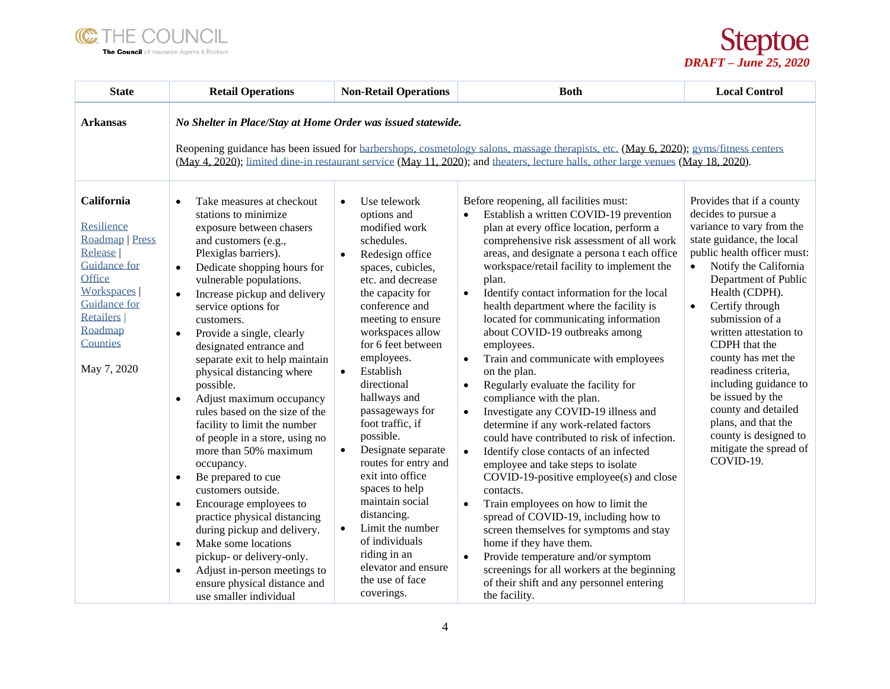

*DRAFT – June 25, 2020*

| <b>State</b>                                                                                                                                                                                    | <b>Retail Operations</b>                                                                                                                                                                                                                                                                                                                                                                                                                                                                                                                                                                                                                                                                                                                                                                                                                                                                                                                                                        | <b>Non-Retail Operations</b>                                                                                                                                                                                                                                                                                                                                                                                                                                                                                                                                                                                                                    | <b>Both</b>                                                                                                                                                                                                                                                                                                                                                                                                                                                                                                                                                                                                                                                                                                                                                                                                                                                                                                                                                                                                                                                                                                                                                                                                                                                                 | <b>Local Control</b>                                                                                                                                                                                                                                                                                                                                                                                                                                                                                               |  |
|-------------------------------------------------------------------------------------------------------------------------------------------------------------------------------------------------|---------------------------------------------------------------------------------------------------------------------------------------------------------------------------------------------------------------------------------------------------------------------------------------------------------------------------------------------------------------------------------------------------------------------------------------------------------------------------------------------------------------------------------------------------------------------------------------------------------------------------------------------------------------------------------------------------------------------------------------------------------------------------------------------------------------------------------------------------------------------------------------------------------------------------------------------------------------------------------|-------------------------------------------------------------------------------------------------------------------------------------------------------------------------------------------------------------------------------------------------------------------------------------------------------------------------------------------------------------------------------------------------------------------------------------------------------------------------------------------------------------------------------------------------------------------------------------------------------------------------------------------------|-----------------------------------------------------------------------------------------------------------------------------------------------------------------------------------------------------------------------------------------------------------------------------------------------------------------------------------------------------------------------------------------------------------------------------------------------------------------------------------------------------------------------------------------------------------------------------------------------------------------------------------------------------------------------------------------------------------------------------------------------------------------------------------------------------------------------------------------------------------------------------------------------------------------------------------------------------------------------------------------------------------------------------------------------------------------------------------------------------------------------------------------------------------------------------------------------------------------------------------------------------------------------------|--------------------------------------------------------------------------------------------------------------------------------------------------------------------------------------------------------------------------------------------------------------------------------------------------------------------------------------------------------------------------------------------------------------------------------------------------------------------------------------------------------------------|--|
| <b>Arkansas</b>                                                                                                                                                                                 | No Shelter in Place/Stay at Home Order was issued statewide.<br>Reopening guidance has been issued for barbershops, cosmetology salons, massage therapists, etc. (May 6, 2020); gyms/fitness centers<br>(May 4, 2020); limited dine-in restaurant service (May 11, 2020); and theaters, lecture halls, other large venues (May 18, 2020).                                                                                                                                                                                                                                                                                                                                                                                                                                                                                                                                                                                                                                       |                                                                                                                                                                                                                                                                                                                                                                                                                                                                                                                                                                                                                                                 |                                                                                                                                                                                                                                                                                                                                                                                                                                                                                                                                                                                                                                                                                                                                                                                                                                                                                                                                                                                                                                                                                                                                                                                                                                                                             |                                                                                                                                                                                                                                                                                                                                                                                                                                                                                                                    |  |
| California<br>Resilience<br>Roadmap   Press<br>Release<br><b>Guidance</b> for<br><b>Office</b><br><b>Workspaces</b><br><b>Guidance for</b><br>Retailers  <br>Roadmap<br>Counties<br>May 7, 2020 | Take measures at checkout<br>$\bullet$<br>stations to minimize<br>exposure between chasers<br>and customers (e.g.,<br>Plexiglas barriers).<br>Dedicate shopping hours for<br>$\bullet$<br>vulnerable populations.<br>Increase pickup and delivery<br>$\bullet$<br>service options for<br>customers.<br>Provide a single, clearly<br>$\bullet$<br>designated entrance and<br>separate exit to help maintain<br>physical distancing where<br>possible.<br>Adjust maximum occupancy<br>$\bullet$<br>rules based on the size of the<br>facility to limit the number<br>of people in a store, using no<br>more than 50% maximum<br>occupancy.<br>Be prepared to cue<br>$\bullet$<br>customers outside.<br>Encourage employees to<br>$\bullet$<br>practice physical distancing<br>during pickup and delivery.<br>Make some locations<br>$\bullet$<br>pickup- or delivery-only.<br>Adjust in-person meetings to<br>$\bullet$<br>ensure physical distance and<br>use smaller individual | Use telework<br>$\bullet$<br>options and<br>modified work<br>schedules.<br>Redesign office<br>$\bullet$<br>spaces, cubicles,<br>etc. and decrease<br>the capacity for<br>conference and<br>meeting to ensure<br>workspaces allow<br>for 6 feet between<br>employees.<br>Establish<br>$\bullet$<br>directional<br>hallways and<br>passageways for<br>foot traffic, if<br>possible.<br>Designate separate<br>$\bullet$<br>routes for entry and<br>exit into office<br>spaces to help<br>maintain social<br>distancing.<br>Limit the number<br>$\bullet$<br>of individuals<br>riding in an<br>elevator and ensure<br>the use of face<br>coverings. | Before reopening, all facilities must:<br>Establish a written COVID-19 prevention<br>plan at every office location, perform a<br>comprehensive risk assessment of all work<br>areas, and designate a persona t each office<br>workspace/retail facility to implement the<br>plan.<br>Identify contact information for the local<br>$\bullet$<br>health department where the facility is<br>located for communicating information<br>about COVID-19 outbreaks among<br>employees.<br>Train and communicate with employees<br>$\bullet$<br>on the plan.<br>Regularly evaluate the facility for<br>$\bullet$<br>compliance with the plan.<br>Investigate any COVID-19 illness and<br>$\bullet$<br>determine if any work-related factors<br>could have contributed to risk of infection.<br>Identify close contacts of an infected<br>$\bullet$<br>employee and take steps to isolate<br>COVID-19-positive employee(s) and close<br>contacts.<br>Train employees on how to limit the<br>$\bullet$<br>spread of COVID-19, including how to<br>screen themselves for symptoms and stay<br>home if they have them.<br>Provide temperature and/or symptom<br>$\bullet$<br>screenings for all workers at the beginning<br>of their shift and any personnel entering<br>the facility. | Provides that if a county<br>decides to pursue a<br>variance to vary from the<br>state guidance, the local<br>public health officer must:<br>Notify the California<br>Department of Public<br>Health (CDPH).<br>Certify through<br>$\bullet$<br>submission of a<br>written attestation to<br>CDPH that the<br>county has met the<br>readiness criteria,<br>including guidance to<br>be issued by the<br>county and detailed<br>plans, and that the<br>county is designed to<br>mitigate the spread of<br>COVID-19. |  |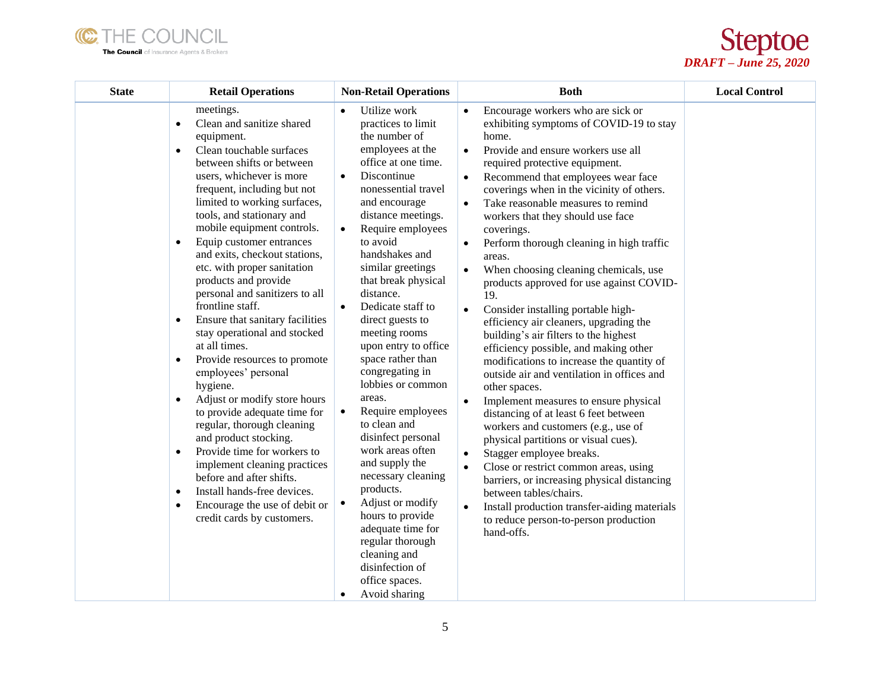



| <b>State</b> | <b>Retail Operations</b>                                                                                                                                                                                                                                                                                                                                                                                                                                                                                                                                                                                                                                                                                                                                                                                                                                                                                                                                                                                                     | <b>Non-Retail Operations</b>                                                                                                                                                                                                                                                                                                                                                                                                                                                                                                                                                                                                                                                                                                                                                                                 | <b>Both</b>                                                                                                                                                                                                                                                                                                                                                                                                                                                                                                                                                                                                                                                                                                                                                                                                                                                                                                                                                                                                                                                                                                                                                                                                                                                                                              | <b>Local Control</b> |
|--------------|------------------------------------------------------------------------------------------------------------------------------------------------------------------------------------------------------------------------------------------------------------------------------------------------------------------------------------------------------------------------------------------------------------------------------------------------------------------------------------------------------------------------------------------------------------------------------------------------------------------------------------------------------------------------------------------------------------------------------------------------------------------------------------------------------------------------------------------------------------------------------------------------------------------------------------------------------------------------------------------------------------------------------|--------------------------------------------------------------------------------------------------------------------------------------------------------------------------------------------------------------------------------------------------------------------------------------------------------------------------------------------------------------------------------------------------------------------------------------------------------------------------------------------------------------------------------------------------------------------------------------------------------------------------------------------------------------------------------------------------------------------------------------------------------------------------------------------------------------|----------------------------------------------------------------------------------------------------------------------------------------------------------------------------------------------------------------------------------------------------------------------------------------------------------------------------------------------------------------------------------------------------------------------------------------------------------------------------------------------------------------------------------------------------------------------------------------------------------------------------------------------------------------------------------------------------------------------------------------------------------------------------------------------------------------------------------------------------------------------------------------------------------------------------------------------------------------------------------------------------------------------------------------------------------------------------------------------------------------------------------------------------------------------------------------------------------------------------------------------------------------------------------------------------------|----------------------|
|              | meetings.<br>Clean and sanitize shared<br>$\bullet$<br>equipment.<br>Clean touchable surfaces<br>$\bullet$<br>between shifts or between<br>users, whichever is more<br>frequent, including but not<br>limited to working surfaces,<br>tools, and stationary and<br>mobile equipment controls.<br>Equip customer entrances<br>$\bullet$<br>and exits, checkout stations,<br>etc. with proper sanitation<br>products and provide<br>personal and sanitizers to all<br>frontline staff.<br>Ensure that sanitary facilities<br>$\bullet$<br>stay operational and stocked<br>at all times.<br>Provide resources to promote<br>$\bullet$<br>employees' personal<br>hygiene.<br>Adjust or modify store hours<br>$\bullet$<br>to provide adequate time for<br>regular, thorough cleaning<br>and product stocking.<br>Provide time for workers to<br>$\bullet$<br>implement cleaning practices<br>before and after shifts.<br>Install hands-free devices.<br>$\bullet$<br>Encourage the use of debit or<br>credit cards by customers. | Utilize work<br>practices to limit<br>the number of<br>employees at the<br>office at one time.<br>Discontinue<br>$\bullet$<br>nonessential travel<br>and encourage<br>distance meetings.<br>Require employees<br>$\bullet$<br>to avoid<br>handshakes and<br>similar greetings<br>that break physical<br>distance.<br>Dedicate staff to<br>$\bullet$<br>direct guests to<br>meeting rooms<br>upon entry to office<br>space rather than<br>congregating in<br>lobbies or common<br>areas.<br>Require employees<br>$\bullet$<br>to clean and<br>disinfect personal<br>work areas often<br>and supply the<br>necessary cleaning<br>products.<br>Adjust or modify<br>$\bullet$<br>hours to provide<br>adequate time for<br>regular thorough<br>cleaning and<br>disinfection of<br>office spaces.<br>Avoid sharing | Encourage workers who are sick or<br>exhibiting symptoms of COVID-19 to stay<br>home.<br>Provide and ensure workers use all<br>$\bullet$<br>required protective equipment.<br>Recommend that employees wear face<br>coverings when in the vicinity of others.<br>Take reasonable measures to remind<br>$\bullet$<br>workers that they should use face<br>coverings.<br>Perform thorough cleaning in high traffic<br>areas.<br>When choosing cleaning chemicals, use<br>$\bullet$<br>products approved for use against COVID-<br>19.<br>Consider installing portable high-<br>$\bullet$<br>efficiency air cleaners, upgrading the<br>building's air filters to the highest<br>efficiency possible, and making other<br>modifications to increase the quantity of<br>outside air and ventilation in offices and<br>other spaces.<br>Implement measures to ensure physical<br>$\bullet$<br>distancing of at least 6 feet between<br>workers and customers (e.g., use of<br>physical partitions or visual cues).<br>Stagger employee breaks.<br>$\bullet$<br>Close or restrict common areas, using<br>$\bullet$<br>barriers, or increasing physical distancing<br>between tables/chairs.<br>Install production transfer-aiding materials<br>$\bullet$<br>to reduce person-to-person production<br>hand-offs. |                      |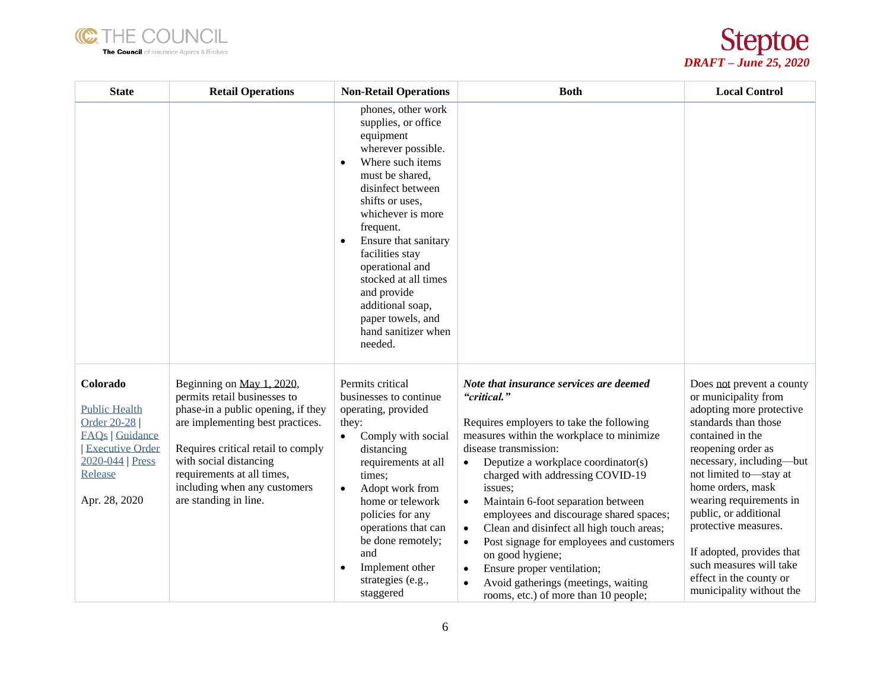



| <b>State</b>                                                                                                                                        | <b>Retail Operations</b>                                                                                                                                                                                                                                                                   | <b>Non-Retail Operations</b>                                                                                                                                                                                                                                                                                                                                                               | <b>Both</b>                                                                                                                                                                                                                                                                                                                                                                                                                                                                                                                                                                                                                                             | <b>Local Control</b>                                                                                                                                                                                                                                                                                                                                                                                                  |
|-----------------------------------------------------------------------------------------------------------------------------------------------------|--------------------------------------------------------------------------------------------------------------------------------------------------------------------------------------------------------------------------------------------------------------------------------------------|--------------------------------------------------------------------------------------------------------------------------------------------------------------------------------------------------------------------------------------------------------------------------------------------------------------------------------------------------------------------------------------------|---------------------------------------------------------------------------------------------------------------------------------------------------------------------------------------------------------------------------------------------------------------------------------------------------------------------------------------------------------------------------------------------------------------------------------------------------------------------------------------------------------------------------------------------------------------------------------------------------------------------------------------------------------|-----------------------------------------------------------------------------------------------------------------------------------------------------------------------------------------------------------------------------------------------------------------------------------------------------------------------------------------------------------------------------------------------------------------------|
|                                                                                                                                                     |                                                                                                                                                                                                                                                                                            | phones, other work<br>supplies, or office<br>equipment<br>wherever possible.<br>Where such items<br>$\bullet$<br>must be shared,<br>disinfect between<br>shifts or uses.<br>whichever is more<br>frequent.<br>Ensure that sanitary<br>facilities stay<br>operational and<br>stocked at all times<br>and provide<br>additional soap,<br>paper towels, and<br>hand sanitizer when<br>needed. |                                                                                                                                                                                                                                                                                                                                                                                                                                                                                                                                                                                                                                                         |                                                                                                                                                                                                                                                                                                                                                                                                                       |
| Colorado<br><b>Public Health</b><br>Order 20-28<br><b>FAQs</b>   Guidance<br><b>Executive Order</b><br>2020-044   Press<br>Release<br>Apr. 28, 2020 | Beginning on May 1, 2020,<br>permits retail businesses to<br>phase-in a public opening, if they<br>are implementing best practices.<br>Requires critical retail to comply<br>with social distancing<br>requirements at all times,<br>including when any customers<br>are standing in line. | Permits critical<br>businesses to continue<br>operating, provided<br>they:<br>Comply with social<br>$\bullet$<br>distancing<br>requirements at all<br>times;<br>Adopt work from<br>$\bullet$<br>home or telework<br>policies for any<br>operations that can<br>be done remotely;<br>and<br>Implement other<br>strategies (e.g.,<br>staggered                                               | Note that insurance services are deemed<br>"critical."<br>Requires employers to take the following<br>measures within the workplace to minimize<br>disease transmission:<br>Deputize a workplace coordinator(s)<br>$\bullet$<br>charged with addressing COVID-19<br>issues;<br>Maintain 6-foot separation between<br>$\bullet$<br>employees and discourage shared spaces;<br>Clean and disinfect all high touch areas;<br>$\bullet$<br>Post signage for employees and customers<br>$\bullet$<br>on good hygiene;<br>Ensure proper ventilation;<br>$\bullet$<br>Avoid gatherings (meetings, waiting<br>$\bullet$<br>rooms, etc.) of more than 10 people; | Does not prevent a county<br>or municipality from<br>adopting more protective<br>standards than those<br>contained in the<br>reopening order as<br>necessary, including-but<br>not limited to-stay at<br>home orders, mask<br>wearing requirements in<br>public, or additional<br>protective measures.<br>If adopted, provides that<br>such measures will take<br>effect in the county or<br>municipality without the |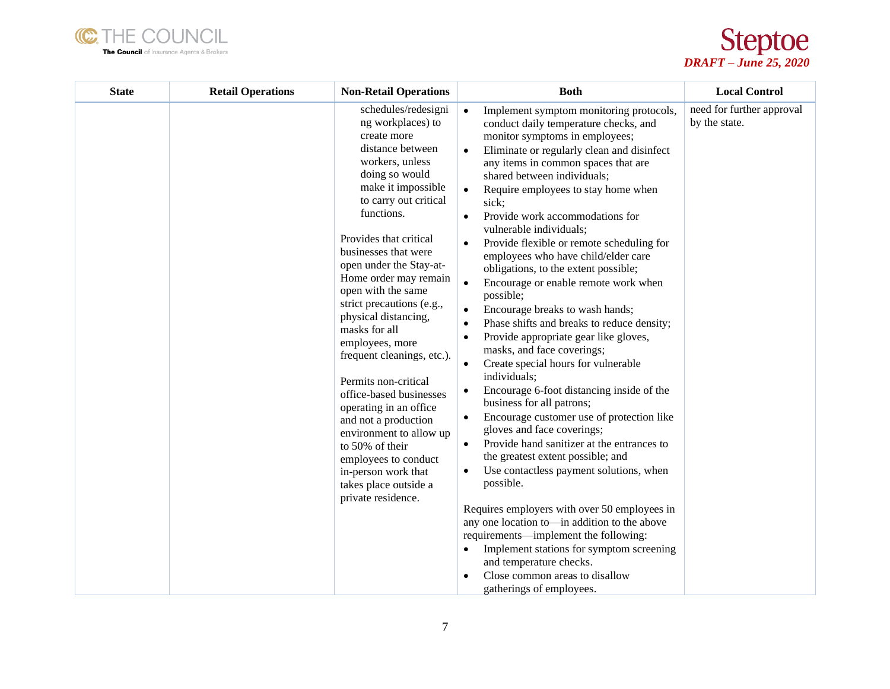



| <b>State</b> | <b>Retail Operations</b> | <b>Non-Retail Operations</b>                                                                                                                                                                                                                                                                                                                                                                                                                                                                                                                                                                                                                                                      | <b>Both</b>                                                                                                                                                                                                                                                                                                                                                                                                                                                                                                                                                                                                                                                                                                                                                                                                                                                                                                                                                                                                                                                                                                                                                                                                                                                                                                                                                                                                                                             | <b>Local Control</b>                       |
|--------------|--------------------------|-----------------------------------------------------------------------------------------------------------------------------------------------------------------------------------------------------------------------------------------------------------------------------------------------------------------------------------------------------------------------------------------------------------------------------------------------------------------------------------------------------------------------------------------------------------------------------------------------------------------------------------------------------------------------------------|---------------------------------------------------------------------------------------------------------------------------------------------------------------------------------------------------------------------------------------------------------------------------------------------------------------------------------------------------------------------------------------------------------------------------------------------------------------------------------------------------------------------------------------------------------------------------------------------------------------------------------------------------------------------------------------------------------------------------------------------------------------------------------------------------------------------------------------------------------------------------------------------------------------------------------------------------------------------------------------------------------------------------------------------------------------------------------------------------------------------------------------------------------------------------------------------------------------------------------------------------------------------------------------------------------------------------------------------------------------------------------------------------------------------------------------------------------|--------------------------------------------|
|              |                          | schedules/redesigni<br>ng workplaces) to<br>create more<br>distance between<br>workers, unless<br>doing so would<br>make it impossible<br>to carry out critical<br>functions.<br>Provides that critical<br>businesses that were<br>open under the Stay-at-<br>Home order may remain<br>open with the same<br>strict precautions (e.g.,<br>physical distancing,<br>masks for all<br>employees, more<br>frequent cleanings, etc.).<br>Permits non-critical<br>office-based businesses<br>operating in an office<br>and not a production<br>environment to allow up<br>to 50% of their<br>employees to conduct<br>in-person work that<br>takes place outside a<br>private residence. | Implement symptom monitoring protocols,<br>$\bullet$<br>conduct daily temperature checks, and<br>monitor symptoms in employees;<br>Eliminate or regularly clean and disinfect<br>any items in common spaces that are<br>shared between individuals;<br>Require employees to stay home when<br>$\bullet$<br>sick;<br>Provide work accommodations for<br>$\bullet$<br>vulnerable individuals;<br>Provide flexible or remote scheduling for<br>employees who have child/elder care<br>obligations, to the extent possible;<br>Encourage or enable remote work when<br>possible;<br>Encourage breaks to wash hands;<br>$\bullet$<br>Phase shifts and breaks to reduce density;<br>Provide appropriate gear like gloves,<br>$\bullet$<br>masks, and face coverings;<br>Create special hours for vulnerable<br>$\bullet$<br>individuals;<br>Encourage 6-foot distancing inside of the<br>$\bullet$<br>business for all patrons;<br>Encourage customer use of protection like<br>$\bullet$<br>gloves and face coverings;<br>Provide hand sanitizer at the entrances to<br>$\bullet$<br>the greatest extent possible; and<br>Use contactless payment solutions, when<br>possible.<br>Requires employers with over 50 employees in<br>any one location to—in addition to the above<br>requirements—implement the following:<br>Implement stations for symptom screening<br>and temperature checks.<br>Close common areas to disallow<br>gatherings of employees. | need for further approval<br>by the state. |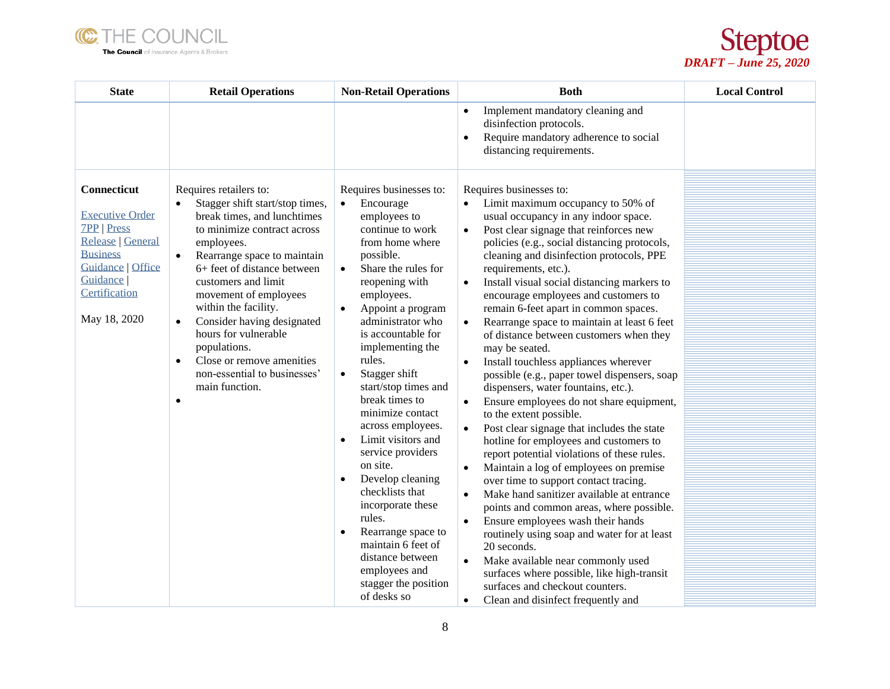



| <b>State</b>                                                                                                                                                                   | <b>Retail Operations</b>                                                                                                                                                                                                                                                                                                                                                                                                                                                             | <b>Non-Retail Operations</b>                                                                                                                                                                                                                                                                                                                                                                                                                                                                                                                                                                                                                                                                                      | <b>Both</b>                                                                                                                                                                                                                                                                                                                                                                                                                                                                                                                                                                                                                                                                                                                                                                                                                                                                                                                                                                                                                                                                                                                                                                                                                                                                                                                                                                                                                                            | <b>Local Control</b> |
|--------------------------------------------------------------------------------------------------------------------------------------------------------------------------------|--------------------------------------------------------------------------------------------------------------------------------------------------------------------------------------------------------------------------------------------------------------------------------------------------------------------------------------------------------------------------------------------------------------------------------------------------------------------------------------|-------------------------------------------------------------------------------------------------------------------------------------------------------------------------------------------------------------------------------------------------------------------------------------------------------------------------------------------------------------------------------------------------------------------------------------------------------------------------------------------------------------------------------------------------------------------------------------------------------------------------------------------------------------------------------------------------------------------|--------------------------------------------------------------------------------------------------------------------------------------------------------------------------------------------------------------------------------------------------------------------------------------------------------------------------------------------------------------------------------------------------------------------------------------------------------------------------------------------------------------------------------------------------------------------------------------------------------------------------------------------------------------------------------------------------------------------------------------------------------------------------------------------------------------------------------------------------------------------------------------------------------------------------------------------------------------------------------------------------------------------------------------------------------------------------------------------------------------------------------------------------------------------------------------------------------------------------------------------------------------------------------------------------------------------------------------------------------------------------------------------------------------------------------------------------------|----------------------|
|                                                                                                                                                                                |                                                                                                                                                                                                                                                                                                                                                                                                                                                                                      |                                                                                                                                                                                                                                                                                                                                                                                                                                                                                                                                                                                                                                                                                                                   | Implement mandatory cleaning and<br>$\bullet$<br>disinfection protocols.<br>Require mandatory adherence to social<br>$\bullet$<br>distancing requirements.                                                                                                                                                                                                                                                                                                                                                                                                                                                                                                                                                                                                                                                                                                                                                                                                                                                                                                                                                                                                                                                                                                                                                                                                                                                                                             |                      |
| Connecticut<br><b>Executive Order</b><br><b>7PP</b>   Press<br>Release   General<br><b>Business</b><br><b>Guidance   Office</b><br>Guidance  <br>Certification<br>May 18, 2020 | Requires retailers to:<br>Stagger shift start/stop times,<br>break times, and lunchtimes<br>to minimize contract across<br>employees.<br>Rearrange space to maintain<br>$\bullet$<br>6+ feet of distance between<br>customers and limit<br>movement of employees<br>within the facility.<br>Consider having designated<br>$\bullet$<br>hours for vulnerable<br>populations.<br>Close or remove amenities<br>$\bullet$<br>non-essential to businesses'<br>main function.<br>$\bullet$ | Requires businesses to:<br>Encourage<br>$\bullet$<br>employees to<br>continue to work<br>from home where<br>possible.<br>Share the rules for<br>$\bullet$<br>reopening with<br>employees.<br>Appoint a program<br>$\bullet$<br>administrator who<br>is accountable for<br>implementing the<br>rules.<br>Stagger shift<br>$\bullet$<br>start/stop times and<br>break times to<br>minimize contact<br>across employees.<br>Limit visitors and<br>$\bullet$<br>service providers<br>on site.<br>Develop cleaning<br>$\bullet$<br>checklists that<br>incorporate these<br>rules.<br>Rearrange space to<br>$\bullet$<br>maintain 6 feet of<br>distance between<br>employees and<br>stagger the position<br>of desks so | Requires businesses to:<br>Limit maximum occupancy to 50% of<br>usual occupancy in any indoor space.<br>Post clear signage that reinforces new<br>$\bullet$<br>policies (e.g., social distancing protocols,<br>cleaning and disinfection protocols, PPE<br>requirements, etc.).<br>Install visual social distancing markers to<br>$\bullet$<br>encourage employees and customers to<br>remain 6-feet apart in common spaces.<br>Rearrange space to maintain at least 6 feet<br>$\bullet$<br>of distance between customers when they<br>may be seated.<br>Install touchless appliances wherever<br>$\bullet$<br>possible (e.g., paper towel dispensers, soap<br>dispensers, water fountains, etc.).<br>Ensure employees do not share equipment,<br>$\bullet$<br>to the extent possible.<br>Post clear signage that includes the state<br>$\bullet$<br>hotline for employees and customers to<br>report potential violations of these rules.<br>Maintain a log of employees on premise<br>$\bullet$<br>over time to support contact tracing.<br>Make hand sanitizer available at entrance<br>$\bullet$<br>points and common areas, where possible.<br>Ensure employees wash their hands<br>$\bullet$<br>routinely using soap and water for at least<br>20 seconds.<br>Make available near commonly used<br>$\bullet$<br>surfaces where possible, like high-transit<br>surfaces and checkout counters.<br>Clean and disinfect frequently and<br>$\bullet$ |                      |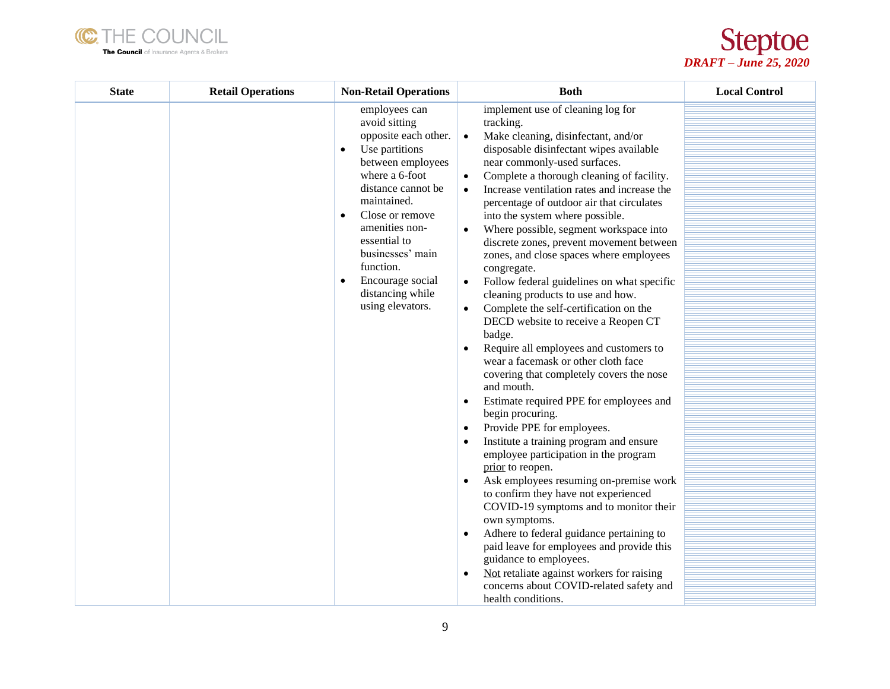



| <b>State</b> | <b>Retail Operations</b> | <b>Non-Retail Operations</b>                                                                                                                                                                                                                                                                                                                  | <b>Both</b>                                                                                                                                                                                                                                                                                                                                                                                                                                                                                                                                                                                                                                                                                                                                                                                                                                                                                                                                                                                                                                                                                                                                                                                                                                                                                                                                                                                                                                                                                                   | <b>Local Control</b> |
|--------------|--------------------------|-----------------------------------------------------------------------------------------------------------------------------------------------------------------------------------------------------------------------------------------------------------------------------------------------------------------------------------------------|---------------------------------------------------------------------------------------------------------------------------------------------------------------------------------------------------------------------------------------------------------------------------------------------------------------------------------------------------------------------------------------------------------------------------------------------------------------------------------------------------------------------------------------------------------------------------------------------------------------------------------------------------------------------------------------------------------------------------------------------------------------------------------------------------------------------------------------------------------------------------------------------------------------------------------------------------------------------------------------------------------------------------------------------------------------------------------------------------------------------------------------------------------------------------------------------------------------------------------------------------------------------------------------------------------------------------------------------------------------------------------------------------------------------------------------------------------------------------------------------------------------|----------------------|
|              |                          | employees can<br>avoid sitting<br>opposite each other.<br>Use partitions<br>$\bullet$<br>between employees<br>where a 6-foot<br>distance cannot be<br>maintained.<br>Close or remove<br>$\bullet$<br>amenities non-<br>essential to<br>businesses' main<br>function.<br>Encourage social<br>$\bullet$<br>distancing while<br>using elevators. | implement use of cleaning log for<br>tracking.<br>Make cleaning, disinfectant, and/or<br>$\bullet$<br>disposable disinfectant wipes available<br>near commonly-used surfaces.<br>Complete a thorough cleaning of facility.<br>٠<br>Increase ventilation rates and increase the<br>percentage of outdoor air that circulates<br>into the system where possible.<br>Where possible, segment workspace into<br>discrete zones, prevent movement between<br>zones, and close spaces where employees<br>congregate.<br>Follow federal guidelines on what specific<br>$\bullet$<br>cleaning products to use and how.<br>Complete the self-certification on the<br>$\bullet$<br>DECD website to receive a Reopen CT<br>badge.<br>Require all employees and customers to<br>wear a facemask or other cloth face<br>covering that completely covers the nose<br>and mouth.<br>Estimate required PPE for employees and<br>٠<br>begin procuring.<br>Provide PPE for employees.<br>$\bullet$<br>Institute a training program and ensure<br>$\bullet$<br>employee participation in the program<br>prior to reopen.<br>Ask employees resuming on-premise work<br>to confirm they have not experienced<br>COVID-19 symptoms and to monitor their<br>own symptoms.<br>Adhere to federal guidance pertaining to<br>$\bullet$<br>paid leave for employees and provide this<br>guidance to employees.<br>Not retaliate against workers for raising<br>$\bullet$<br>concerns about COVID-related safety and<br>health conditions. |                      |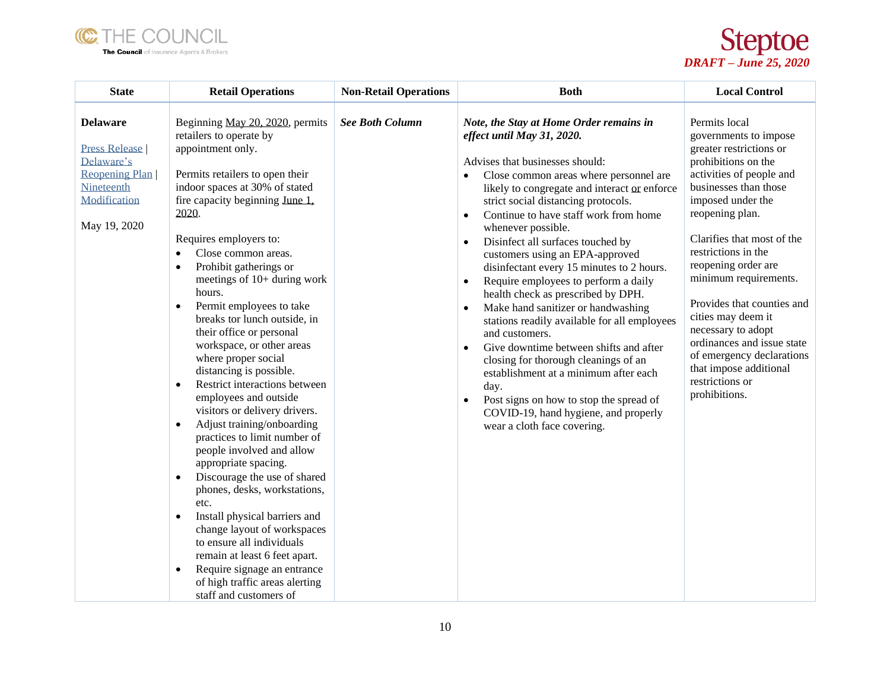



| <b>State</b>                                                                                                          | <b>Retail Operations</b>                                                                                                                                                                                                                                                                                                                                                                                                                                                                                                                                                                                                                                                                                                                                                                                                                                                                                                                                                                                                                                                                                           | <b>Non-Retail Operations</b> | <b>Both</b>                                                                                                                                                                                                                                                                                                                                                                                                                                                                                                                                                                                                                                                                                                                                                                                                                                                                                                                               | <b>Local Control</b>                                                                                                                                                                                                                                                                                                                                                                                                                                                                          |
|-----------------------------------------------------------------------------------------------------------------------|--------------------------------------------------------------------------------------------------------------------------------------------------------------------------------------------------------------------------------------------------------------------------------------------------------------------------------------------------------------------------------------------------------------------------------------------------------------------------------------------------------------------------------------------------------------------------------------------------------------------------------------------------------------------------------------------------------------------------------------------------------------------------------------------------------------------------------------------------------------------------------------------------------------------------------------------------------------------------------------------------------------------------------------------------------------------------------------------------------------------|------------------------------|-------------------------------------------------------------------------------------------------------------------------------------------------------------------------------------------------------------------------------------------------------------------------------------------------------------------------------------------------------------------------------------------------------------------------------------------------------------------------------------------------------------------------------------------------------------------------------------------------------------------------------------------------------------------------------------------------------------------------------------------------------------------------------------------------------------------------------------------------------------------------------------------------------------------------------------------|-----------------------------------------------------------------------------------------------------------------------------------------------------------------------------------------------------------------------------------------------------------------------------------------------------------------------------------------------------------------------------------------------------------------------------------------------------------------------------------------------|
| <b>Delaware</b><br><b>Press Release</b><br>Delaware's<br>Reopening Plan<br>Nineteenth<br>Modification<br>May 19, 2020 | Beginning May 20, 2020, permits<br>retailers to operate by<br>appointment only.<br>Permits retailers to open their<br>indoor spaces at 30% of stated<br>fire capacity beginning June 1,<br>2020.<br>Requires employers to:<br>Close common areas.<br>$\bullet$<br>Prohibit gatherings or<br>$\bullet$<br>meetings of 10+ during work<br>hours.<br>Permit employees to take<br>$\bullet$<br>breaks tor lunch outside, in<br>their office or personal<br>workspace, or other areas<br>where proper social<br>distancing is possible.<br>Restrict interactions between<br>$\bullet$<br>employees and outside<br>visitors or delivery drivers.<br>Adjust training/onboarding<br>$\bullet$<br>practices to limit number of<br>people involved and allow<br>appropriate spacing.<br>Discourage the use of shared<br>$\bullet$<br>phones, desks, workstations,<br>etc.<br>Install physical barriers and<br>$\bullet$<br>change layout of workspaces<br>to ensure all individuals<br>remain at least 6 feet apart.<br>Require signage an entrance<br>$\bullet$<br>of high traffic areas alerting<br>staff and customers of | <b>See Both Column</b>       | Note, the Stay at Home Order remains in<br>effect until May 31, 2020.<br>Advises that businesses should:<br>Close common areas where personnel are<br>likely to congregate and interact or enforce<br>strict social distancing protocols.<br>Continue to have staff work from home<br>$\bullet$<br>whenever possible.<br>Disinfect all surfaces touched by<br>customers using an EPA-approved<br>disinfectant every 15 minutes to 2 hours.<br>Require employees to perform a daily<br>$\bullet$<br>health check as prescribed by DPH.<br>Make hand sanitizer or handwashing<br>$\bullet$<br>stations readily available for all employees<br>and customers.<br>Give downtime between shifts and after<br>$\bullet$<br>closing for thorough cleanings of an<br>establishment at a minimum after each<br>day.<br>Post signs on how to stop the spread of<br>$\bullet$<br>COVID-19, hand hygiene, and properly<br>wear a cloth face covering. | Permits local<br>governments to impose<br>greater restrictions or<br>prohibitions on the<br>activities of people and<br>businesses than those<br>imposed under the<br>reopening plan.<br>Clarifies that most of the<br>restrictions in the<br>reopening order are<br>minimum requirements.<br>Provides that counties and<br>cities may deem it<br>necessary to adopt<br>ordinances and issue state<br>of emergency declarations<br>that impose additional<br>restrictions or<br>prohibitions. |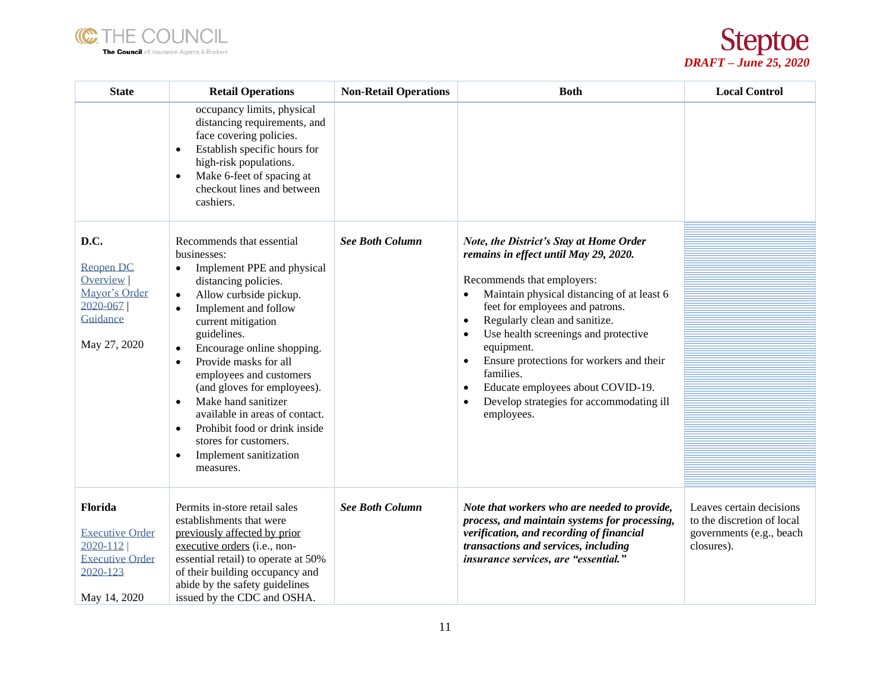



| <b>State</b>                                                                                         | <b>Retail Operations</b>                                                                                                                                                                                                                                                                                                                                                                                                                                                                                                                                                 | <b>Non-Retail Operations</b> | <b>Both</b>                                                                                                                                                                                                                                                                                                                                                                                                                                                                                                                  | <b>Local Control</b>                                                                             |
|------------------------------------------------------------------------------------------------------|--------------------------------------------------------------------------------------------------------------------------------------------------------------------------------------------------------------------------------------------------------------------------------------------------------------------------------------------------------------------------------------------------------------------------------------------------------------------------------------------------------------------------------------------------------------------------|------------------------------|------------------------------------------------------------------------------------------------------------------------------------------------------------------------------------------------------------------------------------------------------------------------------------------------------------------------------------------------------------------------------------------------------------------------------------------------------------------------------------------------------------------------------|--------------------------------------------------------------------------------------------------|
|                                                                                                      | occupancy limits, physical<br>distancing requirements, and<br>face covering policies.<br>Establish specific hours for<br>$\bullet$<br>high-risk populations.<br>Make 6-feet of spacing at<br>$\bullet$<br>checkout lines and between<br>cashiers.                                                                                                                                                                                                                                                                                                                        |                              |                                                                                                                                                                                                                                                                                                                                                                                                                                                                                                                              |                                                                                                  |
| D.C.<br><b>Reopen DC</b><br><b>Overview</b><br>Mayor's Order<br>2020-067<br>Guidance<br>May 27, 2020 | Recommends that essential<br>businesses:<br>Implement PPE and physical<br>$\bullet$<br>distancing policies.<br>Allow curbside pickup.<br>$\bullet$<br>Implement and follow<br>$\bullet$<br>current mitigation<br>guidelines.<br>Encourage online shopping.<br>$\bullet$<br>Provide masks for all<br>$\bullet$<br>employees and customers<br>(and gloves for employees).<br>Make hand sanitizer<br>$\bullet$<br>available in areas of contact.<br>Prohibit food or drink inside<br>$\bullet$<br>stores for customers.<br>Implement sanitization<br>$\bullet$<br>measures. | <b>See Both Column</b>       | Note, the District's Stay at Home Order<br>remains in effect until May 29, 2020.<br>Recommends that employers:<br>Maintain physical distancing of at least 6<br>$\bullet$<br>feet for employees and patrons.<br>Regularly clean and sanitize.<br>$\bullet$<br>Use health screenings and protective<br>$\bullet$<br>equipment.<br>Ensure protections for workers and their<br>$\bullet$<br>families.<br>Educate employees about COVID-19.<br>$\bullet$<br>Develop strategies for accommodating ill<br>$\bullet$<br>employees. |                                                                                                  |
| Florida<br><b>Executive Order</b><br>2020-112<br><b>Executive Order</b><br>2020-123<br>May 14, 2020  | Permits in-store retail sales<br>establishments that were<br>previously affected by prior<br>executive orders (i.e., non-<br>essential retail) to operate at 50%<br>of their building occupancy and<br>abide by the safety guidelines<br>issued by the CDC and OSHA.                                                                                                                                                                                                                                                                                                     | <b>See Both Column</b>       | Note that workers who are needed to provide,<br>process, and maintain systems for processing,<br>verification, and recording of financial<br>transactions and services, including<br>insurance services, are "essential."                                                                                                                                                                                                                                                                                                    | Leaves certain decisions<br>to the discretion of local<br>governments (e.g., beach<br>closures). |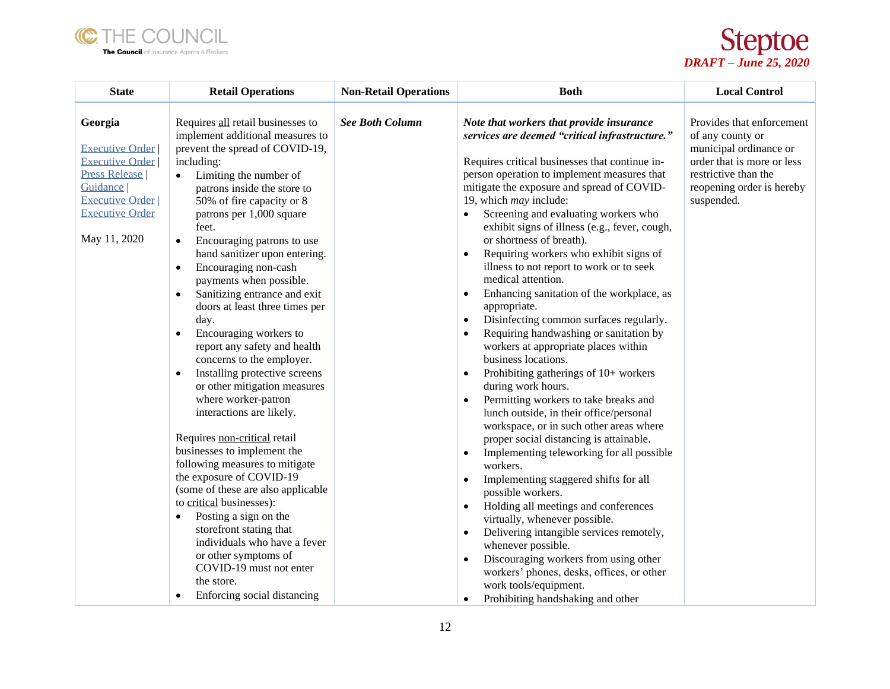



| <b>State</b>                                                                                                                                                        | <b>Retail Operations</b>                                                                                                                                                                                                                                                                                                                                                                                                                                                                                                                                                                                                                                                                                                                                                                                                                                                                                                                                                                                                                                                                                                                            | <b>Non-Retail Operations</b> | <b>Both</b>                                                                                                                                                                                                                                                                                                                                                                                                                                                                                                                                                                                                                                                                                                                                                                                                                                                                                                                                                                                                                                                                                                                                                                                                                                                                                                                                                                                                                                                                                                                                                   | <b>Local Control</b>                                                                                                                                                     |
|---------------------------------------------------------------------------------------------------------------------------------------------------------------------|-----------------------------------------------------------------------------------------------------------------------------------------------------------------------------------------------------------------------------------------------------------------------------------------------------------------------------------------------------------------------------------------------------------------------------------------------------------------------------------------------------------------------------------------------------------------------------------------------------------------------------------------------------------------------------------------------------------------------------------------------------------------------------------------------------------------------------------------------------------------------------------------------------------------------------------------------------------------------------------------------------------------------------------------------------------------------------------------------------------------------------------------------------|------------------------------|---------------------------------------------------------------------------------------------------------------------------------------------------------------------------------------------------------------------------------------------------------------------------------------------------------------------------------------------------------------------------------------------------------------------------------------------------------------------------------------------------------------------------------------------------------------------------------------------------------------------------------------------------------------------------------------------------------------------------------------------------------------------------------------------------------------------------------------------------------------------------------------------------------------------------------------------------------------------------------------------------------------------------------------------------------------------------------------------------------------------------------------------------------------------------------------------------------------------------------------------------------------------------------------------------------------------------------------------------------------------------------------------------------------------------------------------------------------------------------------------------------------------------------------------------------------|--------------------------------------------------------------------------------------------------------------------------------------------------------------------------|
| Georgia<br><b>Executive Order</b><br><b>Executive Order</b><br><b>Press Release</b><br>Guidance<br><b>Executive Order</b><br><b>Executive Order</b><br>May 11, 2020 | Requires all retail businesses to<br>implement additional measures to<br>prevent the spread of COVID-19,<br>including:<br>Limiting the number of<br>$\bullet$<br>patrons inside the store to<br>50% of fire capacity or 8<br>patrons per 1,000 square<br>feet.<br>Encouraging patrons to use<br>$\bullet$<br>hand sanitizer upon entering.<br>Encouraging non-cash<br>$\bullet$<br>payments when possible.<br>Sanitizing entrance and exit<br>$\bullet$<br>doors at least three times per<br>day.<br>Encouraging workers to<br>$\bullet$<br>report any safety and health<br>concerns to the employer.<br>Installing protective screens<br>$\bullet$<br>or other mitigation measures<br>where worker-patron<br>interactions are likely.<br>Requires non-critical retail<br>businesses to implement the<br>following measures to mitigate<br>the exposure of COVID-19<br>(some of these are also applicable<br>to critical businesses):<br>Posting a sign on the<br>$\bullet$<br>storefront stating that<br>individuals who have a fever<br>or other symptoms of<br>COVID-19 must not enter<br>the store.<br>Enforcing social distancing<br>$\bullet$ | <b>See Both Column</b>       | Note that workers that provide insurance<br>services are deemed "critical infrastructure."<br>Requires critical businesses that continue in-<br>person operation to implement measures that<br>mitigate the exposure and spread of COVID-<br>19, which may include:<br>Screening and evaluating workers who<br>$\bullet$<br>exhibit signs of illness (e.g., fever, cough,<br>or shortness of breath).<br>Requiring workers who exhibit signs of<br>$\bullet$<br>illness to not report to work or to seek<br>medical attention.<br>Enhancing sanitation of the workplace, as<br>$\bullet$<br>appropriate.<br>Disinfecting common surfaces regularly.<br>$\bullet$<br>Requiring handwashing or sanitation by<br>$\bullet$<br>workers at appropriate places within<br>business locations.<br>Prohibiting gatherings of 10+ workers<br>$\bullet$<br>during work hours.<br>Permitting workers to take breaks and<br>$\bullet$<br>lunch outside, in their office/personal<br>workspace, or in such other areas where<br>proper social distancing is attainable.<br>Implementing teleworking for all possible<br>$\bullet$<br>workers.<br>Implementing staggered shifts for all<br>$\bullet$<br>possible workers.<br>Holding all meetings and conferences<br>$\bullet$<br>virtually, whenever possible.<br>Delivering intangible services remotely,<br>$\bullet$<br>whenever possible.<br>Discouraging workers from using other<br>$\bullet$<br>workers' phones, desks, offices, or other<br>work tools/equipment.<br>Prohibiting handshaking and other<br>$\bullet$ | Provides that enforcement<br>of any county or<br>municipal ordinance or<br>order that is more or less<br>restrictive than the<br>reopening order is hereby<br>suspended. |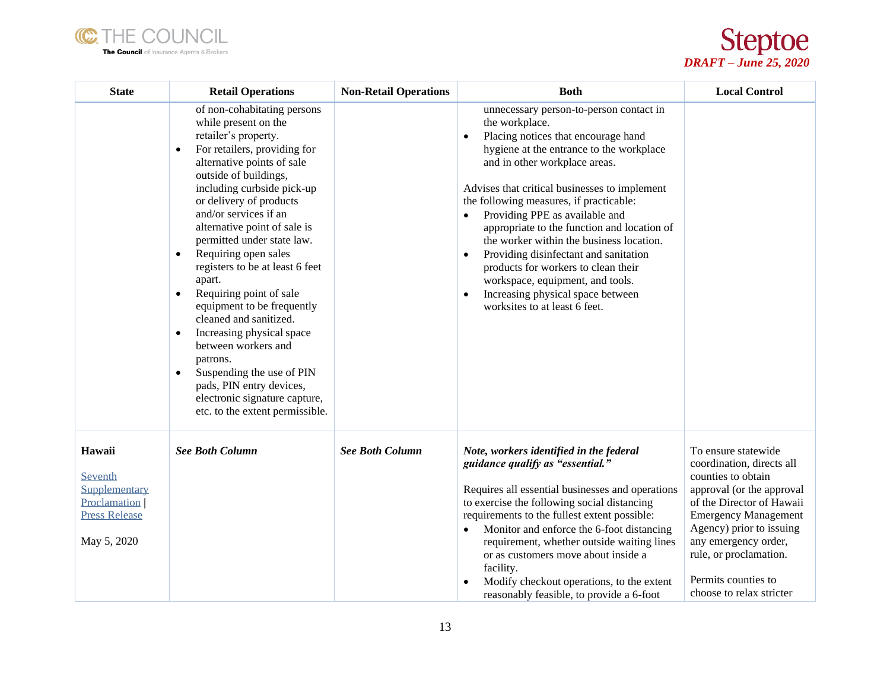



| <b>State</b>                                                                                     | <b>Retail Operations</b>                                                                                                                                                                                                                                                                                                                                                                                                                                                                                                                                                                                                                                                                                                                 | <b>Non-Retail Operations</b> | <b>Both</b>                                                                                                                                                                                                                                                                                                                                                                                                                                                                                                                                                                                                   | <b>Local Control</b>                                                                                                                                                                                                                                                                             |
|--------------------------------------------------------------------------------------------------|------------------------------------------------------------------------------------------------------------------------------------------------------------------------------------------------------------------------------------------------------------------------------------------------------------------------------------------------------------------------------------------------------------------------------------------------------------------------------------------------------------------------------------------------------------------------------------------------------------------------------------------------------------------------------------------------------------------------------------------|------------------------------|---------------------------------------------------------------------------------------------------------------------------------------------------------------------------------------------------------------------------------------------------------------------------------------------------------------------------------------------------------------------------------------------------------------------------------------------------------------------------------------------------------------------------------------------------------------------------------------------------------------|--------------------------------------------------------------------------------------------------------------------------------------------------------------------------------------------------------------------------------------------------------------------------------------------------|
|                                                                                                  | of non-cohabitating persons<br>while present on the<br>retailer's property.<br>For retailers, providing for<br>$\bullet$<br>alternative points of sale<br>outside of buildings,<br>including curbside pick-up<br>or delivery of products<br>and/or services if an<br>alternative point of sale is<br>permitted under state law.<br>Requiring open sales<br>$\bullet$<br>registers to be at least 6 feet<br>apart.<br>Requiring point of sale<br>$\bullet$<br>equipment to be frequently<br>cleaned and sanitized.<br>Increasing physical space<br>$\bullet$<br>between workers and<br>patrons.<br>Suspending the use of PIN<br>$\bullet$<br>pads, PIN entry devices,<br>electronic signature capture,<br>etc. to the extent permissible. |                              | unnecessary person-to-person contact in<br>the workplace.<br>Placing notices that encourage hand<br>hygiene at the entrance to the workplace<br>and in other workplace areas.<br>Advises that critical businesses to implement<br>the following measures, if practicable:<br>Providing PPE as available and<br>appropriate to the function and location of<br>the worker within the business location.<br>Providing disinfectant and sanitation<br>products for workers to clean their<br>workspace, equipment, and tools.<br>Increasing physical space between<br>$\bullet$<br>worksites to at least 6 feet. |                                                                                                                                                                                                                                                                                                  |
| Hawaii<br>Seventh<br>Supplementary<br><b>Proclamation</b><br><b>Press Release</b><br>May 5, 2020 | <b>See Both Column</b>                                                                                                                                                                                                                                                                                                                                                                                                                                                                                                                                                                                                                                                                                                                   | <b>See Both Column</b>       | Note, workers identified in the federal<br>guidance qualify as "essential."<br>Requires all essential businesses and operations<br>to exercise the following social distancing<br>requirements to the fullest extent possible:<br>Monitor and enforce the 6-foot distancing<br>requirement, whether outside waiting lines<br>or as customers move about inside a<br>facility.<br>Modify checkout operations, to the extent<br>reasonably feasible, to provide a 6-foot                                                                                                                                        | To ensure statewide<br>coordination, directs all<br>counties to obtain<br>approval (or the approval<br>of the Director of Hawaii<br><b>Emergency Management</b><br>Agency) prior to issuing<br>any emergency order,<br>rule, or proclamation.<br>Permits counties to<br>choose to relax stricter |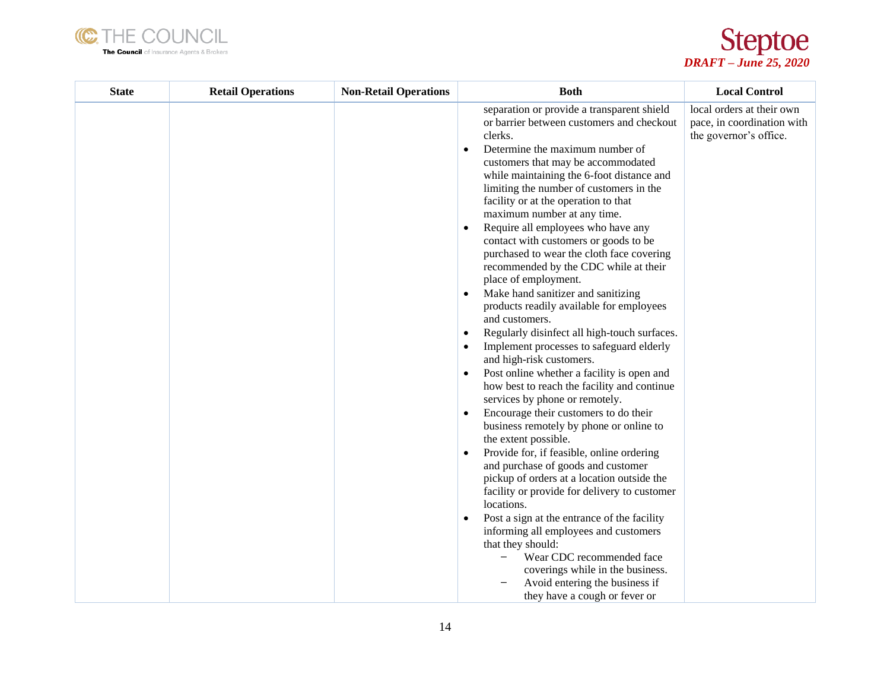



| <b>State</b> | <b>Retail Operations</b> | <b>Non-Retail Operations</b> | <b>Both</b>                                                                                                                                                                                                                                                                                                                                                                                                                                                                                                                                                                                                                                                                                                                                                                                                                                                                                                                                                                                                                                                                                                                                                                                                                                                                                                                                                                                                                                                                                                        | <b>Local Control</b>                                                              |
|--------------|--------------------------|------------------------------|--------------------------------------------------------------------------------------------------------------------------------------------------------------------------------------------------------------------------------------------------------------------------------------------------------------------------------------------------------------------------------------------------------------------------------------------------------------------------------------------------------------------------------------------------------------------------------------------------------------------------------------------------------------------------------------------------------------------------------------------------------------------------------------------------------------------------------------------------------------------------------------------------------------------------------------------------------------------------------------------------------------------------------------------------------------------------------------------------------------------------------------------------------------------------------------------------------------------------------------------------------------------------------------------------------------------------------------------------------------------------------------------------------------------------------------------------------------------------------------------------------------------|-----------------------------------------------------------------------------------|
|              |                          |                              | separation or provide a transparent shield<br>or barrier between customers and checkout<br>clerks.<br>Determine the maximum number of<br>$\bullet$<br>customers that may be accommodated<br>while maintaining the 6-foot distance and<br>limiting the number of customers in the<br>facility or at the operation to that<br>maximum number at any time.<br>Require all employees who have any<br>$\bullet$<br>contact with customers or goods to be<br>purchased to wear the cloth face covering<br>recommended by the CDC while at their<br>place of employment.<br>Make hand sanitizer and sanitizing<br>$\bullet$<br>products readily available for employees<br>and customers.<br>Regularly disinfect all high-touch surfaces.<br>Implement processes to safeguard elderly<br>and high-risk customers.<br>Post online whether a facility is open and<br>how best to reach the facility and continue<br>services by phone or remotely.<br>Encourage their customers to do their<br>$\bullet$<br>business remotely by phone or online to<br>the extent possible.<br>Provide for, if feasible, online ordering<br>and purchase of goods and customer<br>pickup of orders at a location outside the<br>facility or provide for delivery to customer<br>locations.<br>Post a sign at the entrance of the facility<br>informing all employees and customers<br>that they should:<br>Wear CDC recommended face<br>coverings while in the business.<br>Avoid entering the business if<br>they have a cough or fever or | local orders at their own<br>pace, in coordination with<br>the governor's office. |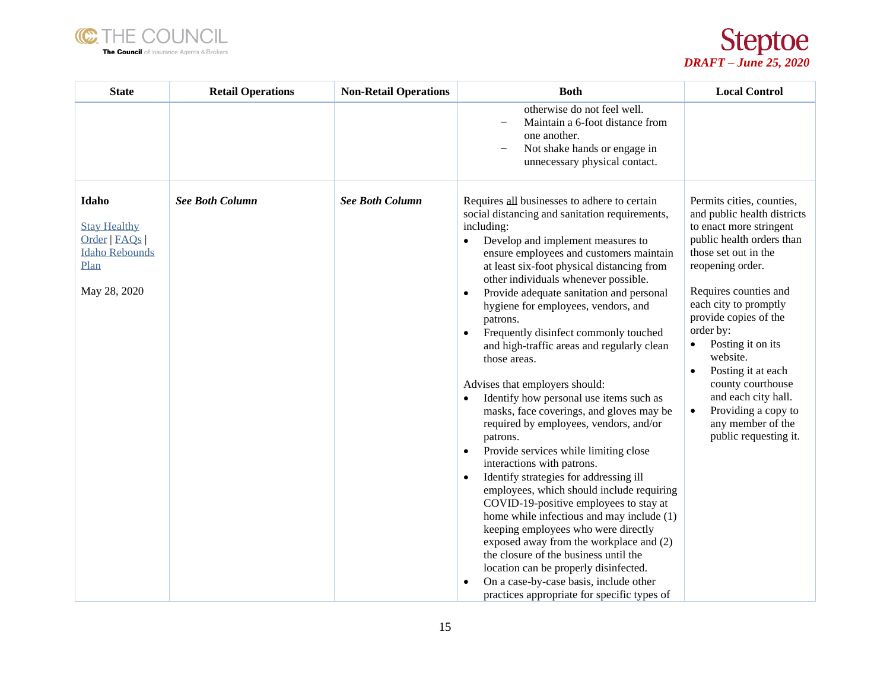



| <b>State</b>                                                                                    | <b>Retail Operations</b> | <b>Non-Retail Operations</b> | <b>Both</b>                                                                                                                                                                                                                                                                                                                                                                                                                                                                                                                                                                                                                                                                                                                                                                                                                                                                                                                                                                                                                                                                                                                                                                                                                      | <b>Local Control</b>                                                                                                                                                                                                                                                                                                                                                                                                                                                |
|-------------------------------------------------------------------------------------------------|--------------------------|------------------------------|----------------------------------------------------------------------------------------------------------------------------------------------------------------------------------------------------------------------------------------------------------------------------------------------------------------------------------------------------------------------------------------------------------------------------------------------------------------------------------------------------------------------------------------------------------------------------------------------------------------------------------------------------------------------------------------------------------------------------------------------------------------------------------------------------------------------------------------------------------------------------------------------------------------------------------------------------------------------------------------------------------------------------------------------------------------------------------------------------------------------------------------------------------------------------------------------------------------------------------|---------------------------------------------------------------------------------------------------------------------------------------------------------------------------------------------------------------------------------------------------------------------------------------------------------------------------------------------------------------------------------------------------------------------------------------------------------------------|
|                                                                                                 |                          |                              | otherwise do not feel well.<br>Maintain a 6-foot distance from<br>one another.<br>Not shake hands or engage in<br>unnecessary physical contact.                                                                                                                                                                                                                                                                                                                                                                                                                                                                                                                                                                                                                                                                                                                                                                                                                                                                                                                                                                                                                                                                                  |                                                                                                                                                                                                                                                                                                                                                                                                                                                                     |
| Idaho<br><b>Stay Healthy</b><br>Order   FAQs  <br><b>Idaho Rebounds</b><br>Plan<br>May 28, 2020 | <b>See Both Column</b>   | <b>See Both Column</b>       | Requires all businesses to adhere to certain<br>social distancing and sanitation requirements,<br>including:<br>Develop and implement measures to<br>ensure employees and customers maintain<br>at least six-foot physical distancing from<br>other individuals whenever possible.<br>Provide adequate sanitation and personal<br>$\bullet$<br>hygiene for employees, vendors, and<br>patrons.<br>Frequently disinfect commonly touched<br>and high-traffic areas and regularly clean<br>those areas.<br>Advises that employers should:<br>Identify how personal use items such as<br>masks, face coverings, and gloves may be<br>required by employees, vendors, and/or<br>patrons.<br>Provide services while limiting close<br>$\bullet$<br>interactions with patrons.<br>Identify strategies for addressing ill<br>employees, which should include requiring<br>COVID-19-positive employees to stay at<br>home while infectious and may include (1)<br>keeping employees who were directly<br>exposed away from the workplace and (2)<br>the closure of the business until the<br>location can be properly disinfected.<br>On a case-by-case basis, include other<br>$\bullet$<br>practices appropriate for specific types of | Permits cities, counties,<br>and public health districts<br>to enact more stringent<br>public health orders than<br>those set out in the<br>reopening order.<br>Requires counties and<br>each city to promptly<br>provide copies of the<br>order by:<br>Posting it on its<br>$\bullet$<br>website.<br>Posting it at each<br>$\bullet$<br>county courthouse<br>and each city hall.<br>Providing a copy to<br>$\bullet$<br>any member of the<br>public requesting it. |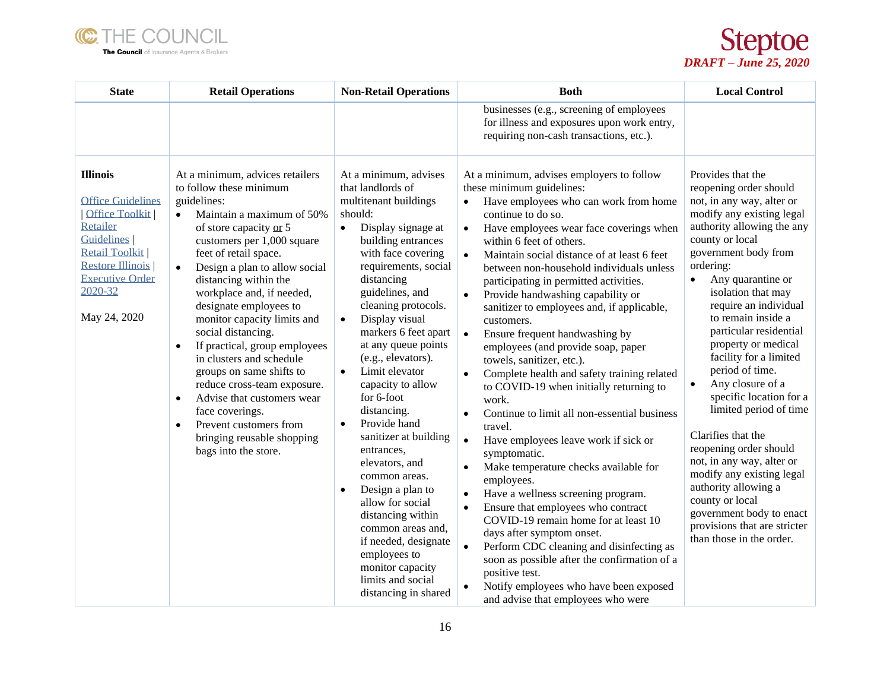



| <b>State</b>                                                                                                                                                                                            | <b>Retail Operations</b>                                                                                                                                                                                                                                                                                                                                                                                                                                                                                                                                                                                                                                                                | <b>Non-Retail Operations</b>                                                                                                                                                                                                                                                                                                                                                                                                                                                                                                                                                                                                                                                                                                                      | <b>Both</b>                                                                                                                                                                                                                                                                                                                                                                                                                                                                                                                                                                                                                                                                                                                                                                                                                                                                                                                                                                                                                                                                                                                                                                                                                                                                                                                                     | <b>Local Control</b>                                                                                                                                                                                                                                                                                                                                                                                                                                                                                                                                                                                                                                                                                                                |
|---------------------------------------------------------------------------------------------------------------------------------------------------------------------------------------------------------|-----------------------------------------------------------------------------------------------------------------------------------------------------------------------------------------------------------------------------------------------------------------------------------------------------------------------------------------------------------------------------------------------------------------------------------------------------------------------------------------------------------------------------------------------------------------------------------------------------------------------------------------------------------------------------------------|---------------------------------------------------------------------------------------------------------------------------------------------------------------------------------------------------------------------------------------------------------------------------------------------------------------------------------------------------------------------------------------------------------------------------------------------------------------------------------------------------------------------------------------------------------------------------------------------------------------------------------------------------------------------------------------------------------------------------------------------------|-------------------------------------------------------------------------------------------------------------------------------------------------------------------------------------------------------------------------------------------------------------------------------------------------------------------------------------------------------------------------------------------------------------------------------------------------------------------------------------------------------------------------------------------------------------------------------------------------------------------------------------------------------------------------------------------------------------------------------------------------------------------------------------------------------------------------------------------------------------------------------------------------------------------------------------------------------------------------------------------------------------------------------------------------------------------------------------------------------------------------------------------------------------------------------------------------------------------------------------------------------------------------------------------------------------------------------------------------|-------------------------------------------------------------------------------------------------------------------------------------------------------------------------------------------------------------------------------------------------------------------------------------------------------------------------------------------------------------------------------------------------------------------------------------------------------------------------------------------------------------------------------------------------------------------------------------------------------------------------------------------------------------------------------------------------------------------------------------|
|                                                                                                                                                                                                         |                                                                                                                                                                                                                                                                                                                                                                                                                                                                                                                                                                                                                                                                                         |                                                                                                                                                                                                                                                                                                                                                                                                                                                                                                                                                                                                                                                                                                                                                   | businesses (e.g., screening of employees<br>for illness and exposures upon work entry,<br>requiring non-cash transactions, etc.).                                                                                                                                                                                                                                                                                                                                                                                                                                                                                                                                                                                                                                                                                                                                                                                                                                                                                                                                                                                                                                                                                                                                                                                                               |                                                                                                                                                                                                                                                                                                                                                                                                                                                                                                                                                                                                                                                                                                                                     |
| <b>Illinois</b><br><b>Office Guidelines</b><br>Office Toolkit<br>Retailer<br><b>Guidelines</b><br><b>Retail Toolkit</b><br><b>Restore Illinois</b><br><b>Executive Order</b><br>2020-32<br>May 24, 2020 | At a minimum, advices retailers<br>to follow these minimum<br>guidelines:<br>Maintain a maximum of 50%<br>$\bullet$<br>of store capacity or 5<br>customers per 1,000 square<br>feet of retail space.<br>Design a plan to allow social<br>$\bullet$<br>distancing within the<br>workplace and, if needed,<br>designate employees to<br>monitor capacity limits and<br>social distancing.<br>If practical, group employees<br>$\bullet$<br>in clusters and schedule<br>groups on same shifts to<br>reduce cross-team exposure.<br>Advise that customers wear<br>$\bullet$<br>face coverings.<br>Prevent customers from<br>$\bullet$<br>bringing reusable shopping<br>bags into the store. | At a minimum, advises<br>that landlords of<br>multitenant buildings<br>should:<br>Display signage at<br>$\bullet$<br>building entrances<br>with face covering<br>requirements, social<br>distancing<br>guidelines, and<br>cleaning protocols.<br>Display visual<br>$\bullet$<br>markers 6 feet apart<br>at any queue points<br>(e.g., elevators).<br>Limit elevator<br>$\bullet$<br>capacity to allow<br>for 6-foot<br>distancing.<br>Provide hand<br>$\bullet$<br>sanitizer at building<br>entrances,<br>elevators, and<br>common areas.<br>Design a plan to<br>$\bullet$<br>allow for social<br>distancing within<br>common areas and,<br>if needed, designate<br>employees to<br>monitor capacity<br>limits and social<br>distancing in shared | At a minimum, advises employers to follow<br>these minimum guidelines:<br>Have employees who can work from home<br>continue to do so.<br>Have employees wear face coverings when<br>$\bullet$<br>within 6 feet of others.<br>Maintain social distance of at least 6 feet<br>$\bullet$<br>between non-household individuals unless<br>participating in permitted activities.<br>Provide handwashing capability or<br>$\bullet$<br>sanitizer to employees and, if applicable,<br>customers.<br>Ensure frequent handwashing by<br>$\bullet$<br>employees (and provide soap, paper<br>towels, sanitizer, etc.).<br>Complete health and safety training related<br>$\bullet$<br>to COVID-19 when initially returning to<br>work.<br>Continue to limit all non-essential business<br>$\bullet$<br>travel.<br>Have employees leave work if sick or<br>$\bullet$<br>symptomatic.<br>Make temperature checks available for<br>$\bullet$<br>employees.<br>Have a wellness screening program.<br>$\bullet$<br>Ensure that employees who contract<br>$\bullet$<br>COVID-19 remain home for at least 10<br>days after symptom onset.<br>Perform CDC cleaning and disinfecting as<br>$\bullet$<br>soon as possible after the confirmation of a<br>positive test.<br>Notify employees who have been exposed<br>$\bullet$<br>and advise that employees who were | Provides that the<br>reopening order should<br>not, in any way, alter or<br>modify any existing legal<br>authority allowing the any<br>county or local<br>government body from<br>ordering:<br>Any quarantine or<br>$\bullet$<br>isolation that may<br>require an individual<br>to remain inside a<br>particular residential<br>property or medical<br>facility for a limited<br>period of time.<br>Any closure of a<br>$\bullet$<br>specific location for a<br>limited period of time<br>Clarifies that the<br>reopening order should<br>not, in any way, alter or<br>modify any existing legal<br>authority allowing a<br>county or local<br>government body to enact<br>provisions that are stricter<br>than those in the order. |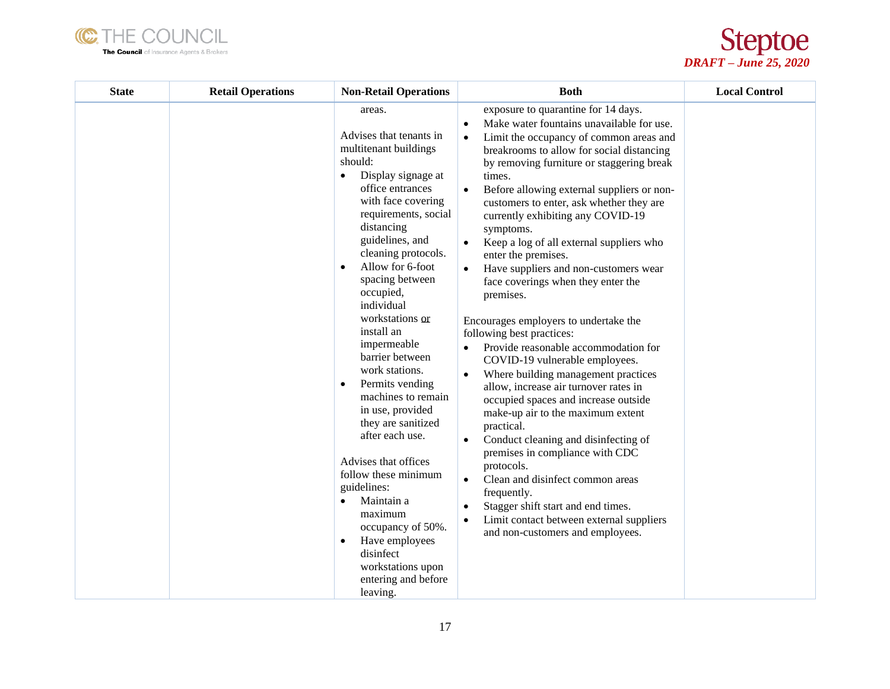



| <b>State</b> | <b>Retail Operations</b> | <b>Non-Retail Operations</b>                                                                                                                                                                                                                                                                                                                                                                                                                                                                                                                                                                                                                                                                                                               | <b>Both</b>                                                                                                                                                                                                                                                                                                                                                                                                                                                                                                                                                                                                                                                                                                                                                                                                                                                                                                                                                                                                                                                                                                                                                                                                   | <b>Local Control</b> |
|--------------|--------------------------|--------------------------------------------------------------------------------------------------------------------------------------------------------------------------------------------------------------------------------------------------------------------------------------------------------------------------------------------------------------------------------------------------------------------------------------------------------------------------------------------------------------------------------------------------------------------------------------------------------------------------------------------------------------------------------------------------------------------------------------------|---------------------------------------------------------------------------------------------------------------------------------------------------------------------------------------------------------------------------------------------------------------------------------------------------------------------------------------------------------------------------------------------------------------------------------------------------------------------------------------------------------------------------------------------------------------------------------------------------------------------------------------------------------------------------------------------------------------------------------------------------------------------------------------------------------------------------------------------------------------------------------------------------------------------------------------------------------------------------------------------------------------------------------------------------------------------------------------------------------------------------------------------------------------------------------------------------------------|----------------------|
|              |                          | areas.<br>Advises that tenants in<br>multitenant buildings<br>should:<br>Display signage at<br>$\bullet$<br>office entrances<br>with face covering<br>requirements, social<br>distancing<br>guidelines, and<br>cleaning protocols.<br>Allow for 6-foot<br>$\bullet$<br>spacing between<br>occupied,<br>individual<br>workstations or<br>install an<br>impermeable<br>barrier between<br>work stations.<br>Permits vending<br>$\bullet$<br>machines to remain<br>in use, provided<br>they are sanitized<br>after each use.<br>Advises that offices<br>follow these minimum<br>guidelines:<br>Maintain a<br>maximum<br>occupancy of 50%.<br>Have employees<br>$\bullet$<br>disinfect<br>workstations upon<br>entering and before<br>leaving. | exposure to quarantine for 14 days.<br>Make water fountains unavailable for use.<br>$\bullet$<br>Limit the occupancy of common areas and<br>breakrooms to allow for social distancing<br>by removing furniture or staggering break<br>times.<br>Before allowing external suppliers or non-<br>$\bullet$<br>customers to enter, ask whether they are<br>currently exhibiting any COVID-19<br>symptoms.<br>Keep a log of all external suppliers who<br>$\bullet$<br>enter the premises.<br>Have suppliers and non-customers wear<br>face coverings when they enter the<br>premises.<br>Encourages employers to undertake the<br>following best practices:<br>Provide reasonable accommodation for<br>COVID-19 vulnerable employees.<br>Where building management practices<br>allow, increase air turnover rates in<br>occupied spaces and increase outside<br>make-up air to the maximum extent<br>practical.<br>Conduct cleaning and disinfecting of<br>$\bullet$<br>premises in compliance with CDC<br>protocols.<br>Clean and disinfect common areas<br>$\bullet$<br>frequently.<br>Stagger shift start and end times.<br>٠<br>Limit contact between external suppliers<br>and non-customers and employees. |                      |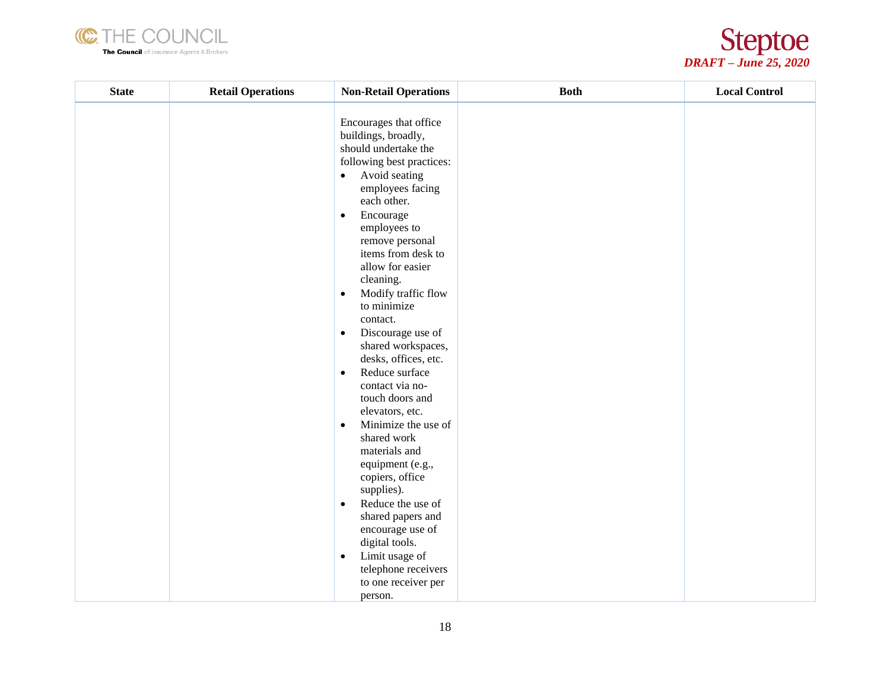



| <b>State</b> | <b>Retail Operations</b> | <b>Non-Retail Operations</b>                                                                                                                                                                                                                                                                                                                                                                                                                                                                                                                                                                                                                                                                                                                                                                                                                 | <b>Both</b> | <b>Local Control</b> |
|--------------|--------------------------|----------------------------------------------------------------------------------------------------------------------------------------------------------------------------------------------------------------------------------------------------------------------------------------------------------------------------------------------------------------------------------------------------------------------------------------------------------------------------------------------------------------------------------------------------------------------------------------------------------------------------------------------------------------------------------------------------------------------------------------------------------------------------------------------------------------------------------------------|-------------|----------------------|
|              |                          | Encourages that office<br>buildings, broadly,<br>should undertake the<br>following best practices:<br>Avoid seating<br>$\bullet$<br>employees facing<br>each other.<br>Encourage<br>$\bullet$<br>employees to<br>remove personal<br>items from desk to<br>allow for easier<br>cleaning.<br>Modify traffic flow<br>$\bullet$<br>to minimize<br>contact.<br>Discourage use of<br>$\bullet$<br>shared workspaces,<br>desks, offices, etc.<br>Reduce surface<br>$\bullet$<br>contact via no-<br>touch doors and<br>elevators, etc.<br>Minimize the use of<br>$\bullet$<br>shared work<br>materials and<br>equipment (e.g.,<br>copiers, office<br>supplies).<br>Reduce the use of<br>$\bullet$<br>shared papers and<br>encourage use of<br>digital tools.<br>Limit usage of<br>$\bullet$<br>telephone receivers<br>to one receiver per<br>person. |             |                      |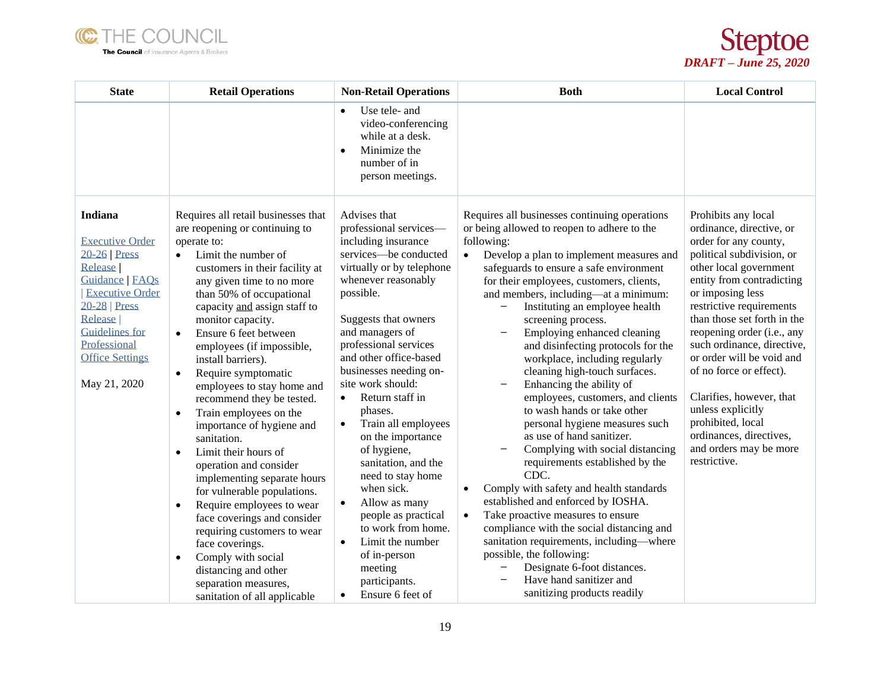



| <b>State</b>                                                                                                                                                                                                                     | <b>Retail Operations</b>                                                                                                                                                                                                                                                                                                                                                                                                                                                                                                                                                                                                                                                                                                                                                                                                                                                                                                       | <b>Non-Retail Operations</b>                                                                                                                                                                                                                                                                                                                                                                                                                                                                                                                                                                                                                                               | <b>Both</b>                                                                                                                                                                                                                                                                                                                                                                                                                                                                                                                                                                                                                                                                                                                                                                                                                                                                                                                                                                                                                                                                                                    | <b>Local Control</b>                                                                                                                                                                                                                                                                                                                                                                                                                                                                                       |
|----------------------------------------------------------------------------------------------------------------------------------------------------------------------------------------------------------------------------------|--------------------------------------------------------------------------------------------------------------------------------------------------------------------------------------------------------------------------------------------------------------------------------------------------------------------------------------------------------------------------------------------------------------------------------------------------------------------------------------------------------------------------------------------------------------------------------------------------------------------------------------------------------------------------------------------------------------------------------------------------------------------------------------------------------------------------------------------------------------------------------------------------------------------------------|----------------------------------------------------------------------------------------------------------------------------------------------------------------------------------------------------------------------------------------------------------------------------------------------------------------------------------------------------------------------------------------------------------------------------------------------------------------------------------------------------------------------------------------------------------------------------------------------------------------------------------------------------------------------------|----------------------------------------------------------------------------------------------------------------------------------------------------------------------------------------------------------------------------------------------------------------------------------------------------------------------------------------------------------------------------------------------------------------------------------------------------------------------------------------------------------------------------------------------------------------------------------------------------------------------------------------------------------------------------------------------------------------------------------------------------------------------------------------------------------------------------------------------------------------------------------------------------------------------------------------------------------------------------------------------------------------------------------------------------------------------------------------------------------------|------------------------------------------------------------------------------------------------------------------------------------------------------------------------------------------------------------------------------------------------------------------------------------------------------------------------------------------------------------------------------------------------------------------------------------------------------------------------------------------------------------|
|                                                                                                                                                                                                                                  |                                                                                                                                                                                                                                                                                                                                                                                                                                                                                                                                                                                                                                                                                                                                                                                                                                                                                                                                | Use tele- and<br>$\bullet$<br>video-conferencing<br>while at a desk.<br>Minimize the<br>$\bullet$<br>number of in<br>person meetings.                                                                                                                                                                                                                                                                                                                                                                                                                                                                                                                                      |                                                                                                                                                                                                                                                                                                                                                                                                                                                                                                                                                                                                                                                                                                                                                                                                                                                                                                                                                                                                                                                                                                                |                                                                                                                                                                                                                                                                                                                                                                                                                                                                                                            |
| Indiana<br><b>Executive Order</b><br>$20-26$ Press<br><b>Release</b><br>Guidance   FAQs<br><b>Executive Order</b><br>$20-28$ Press<br>Release<br><b>Guidelines</b> for<br>Professional<br><b>Office Settings</b><br>May 21, 2020 | Requires all retail businesses that<br>are reopening or continuing to<br>operate to:<br>Limit the number of<br>$\bullet$<br>customers in their facility at<br>any given time to no more<br>than 50% of occupational<br>capacity and assign staff to<br>monitor capacity.<br>Ensure 6 feet between<br>$\bullet$<br>employees (if impossible,<br>install barriers).<br>Require symptomatic<br>$\bullet$<br>employees to stay home and<br>recommend they be tested.<br>Train employees on the<br>$\bullet$<br>importance of hygiene and<br>sanitation.<br>Limit their hours of<br>$\bullet$<br>operation and consider<br>implementing separate hours<br>for vulnerable populations.<br>Require employees to wear<br>$\bullet$<br>face coverings and consider<br>requiring customers to wear<br>face coverings.<br>Comply with social<br>$\bullet$<br>distancing and other<br>separation measures,<br>sanitation of all applicable | Advises that<br>professional services-<br>including insurance<br>services-be conducted<br>virtually or by telephone<br>whenever reasonably<br>possible.<br>Suggests that owners<br>and managers of<br>professional services<br>and other office-based<br>businesses needing on-<br>site work should:<br>Return staff in<br>$\bullet$<br>phases.<br>Train all employees<br>$\bullet$<br>on the importance<br>of hygiene,<br>sanitation, and the<br>need to stay home<br>when sick.<br>Allow as many<br>$\bullet$<br>people as practical<br>to work from home.<br>Limit the number<br>$\bullet$<br>of in-person<br>meeting<br>participants.<br>Ensure 6 feet of<br>$\bullet$ | Requires all businesses continuing operations<br>or being allowed to reopen to adhere to the<br>following:<br>Develop a plan to implement measures and<br>$\bullet$<br>safeguards to ensure a safe environment<br>for their employees, customers, clients,<br>and members, including-at a minimum:<br>Instituting an employee health<br>screening process.<br>Employing enhanced cleaning<br>and disinfecting protocols for the<br>workplace, including regularly<br>cleaning high-touch surfaces.<br>Enhancing the ability of<br>employees, customers, and clients<br>to wash hands or take other<br>personal hygiene measures such<br>as use of hand sanitizer.<br>Complying with social distancing<br>requirements established by the<br>CDC.<br>Comply with safety and health standards<br>$\bullet$<br>established and enforced by IOSHA.<br>Take proactive measures to ensure<br>$\bullet$<br>compliance with the social distancing and<br>sanitation requirements, including-where<br>possible, the following:<br>Designate 6-foot distances.<br>Have hand sanitizer and<br>sanitizing products readily | Prohibits any local<br>ordinance, directive, or<br>order for any county,<br>political subdivision, or<br>other local government<br>entity from contradicting<br>or imposing less<br>restrictive requirements<br>than those set forth in the<br>reopening order (i.e., any<br>such ordinance, directive,<br>or order will be void and<br>of no force or effect).<br>Clarifies, however, that<br>unless explicitly<br>prohibited, local<br>ordinances, directives,<br>and orders may be more<br>restrictive. |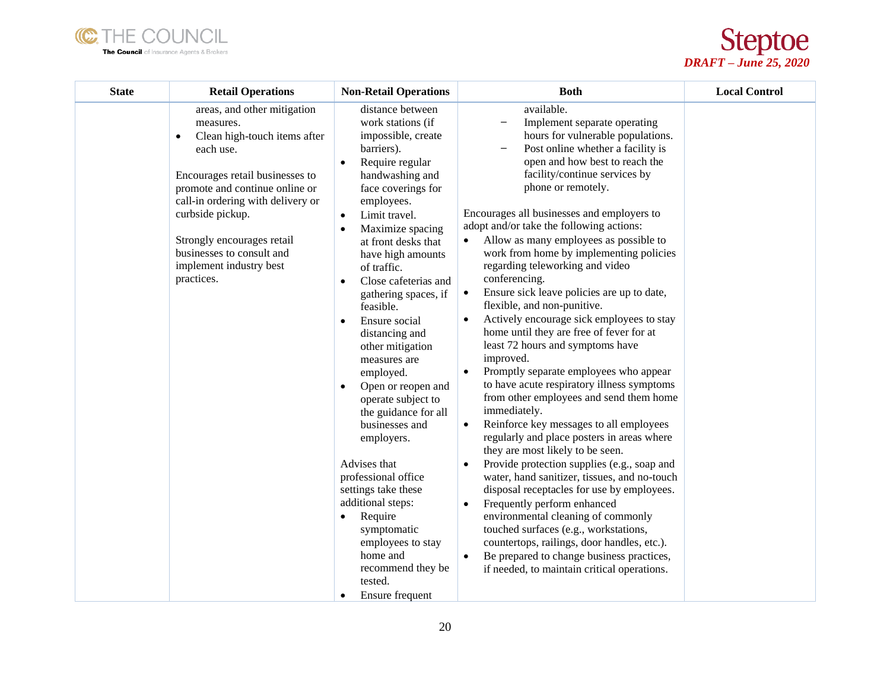



| <b>State</b> | <b>Retail Operations</b>                                                                                                                                                                                                                                                                                                             | <b>Non-Retail Operations</b>                                                                                                                                                                                                                                                                                                                                                                                                                                                                                                                                                                                                                                                                                                                                                                              | <b>Both</b>                                                                                                                                                                                                                                                                                                                                                                                                                                                                                                                                                                                                                                                                                                                                                                                                                                                                                                                                                                                                                                                                                                                                                                                                                                                                                                                                                                                                       | <b>Local Control</b> |
|--------------|--------------------------------------------------------------------------------------------------------------------------------------------------------------------------------------------------------------------------------------------------------------------------------------------------------------------------------------|-----------------------------------------------------------------------------------------------------------------------------------------------------------------------------------------------------------------------------------------------------------------------------------------------------------------------------------------------------------------------------------------------------------------------------------------------------------------------------------------------------------------------------------------------------------------------------------------------------------------------------------------------------------------------------------------------------------------------------------------------------------------------------------------------------------|-------------------------------------------------------------------------------------------------------------------------------------------------------------------------------------------------------------------------------------------------------------------------------------------------------------------------------------------------------------------------------------------------------------------------------------------------------------------------------------------------------------------------------------------------------------------------------------------------------------------------------------------------------------------------------------------------------------------------------------------------------------------------------------------------------------------------------------------------------------------------------------------------------------------------------------------------------------------------------------------------------------------------------------------------------------------------------------------------------------------------------------------------------------------------------------------------------------------------------------------------------------------------------------------------------------------------------------------------------------------------------------------------------------------|----------------------|
|              | areas, and other mitigation<br>measures.<br>Clean high-touch items after<br>$\bullet$<br>each use.<br>Encourages retail businesses to<br>promote and continue online or<br>call-in ordering with delivery or<br>curbside pickup.<br>Strongly encourages retail<br>businesses to consult and<br>implement industry best<br>practices. | distance between<br>work stations (if<br>impossible, create<br>barriers).<br>Require regular<br>$\bullet$<br>handwashing and<br>face coverings for<br>employees.<br>Limit travel.<br>$\bullet$<br>Maximize spacing<br>$\bullet$<br>at front desks that<br>have high amounts<br>of traffic.<br>Close cafeterias and<br>$\bullet$<br>gathering spaces, if<br>feasible.<br>Ensure social<br>٠<br>distancing and<br>other mitigation<br>measures are<br>employed.<br>Open or reopen and<br>$\bullet$<br>operate subject to<br>the guidance for all<br>businesses and<br>employers.<br>Advises that<br>professional office<br>settings take these<br>additional steps:<br>Require<br>$\bullet$<br>symptomatic<br>employees to stay<br>home and<br>recommend they be<br>tested.<br>Ensure frequent<br>$\bullet$ | available.<br>Implement separate operating<br>hours for vulnerable populations.<br>Post online whether a facility is<br>open and how best to reach the<br>facility/continue services by<br>phone or remotely.<br>Encourages all businesses and employers to<br>adopt and/or take the following actions:<br>Allow as many employees as possible to<br>work from home by implementing policies<br>regarding teleworking and video<br>conferencing.<br>Ensure sick leave policies are up to date,<br>$\bullet$<br>flexible, and non-punitive.<br>Actively encourage sick employees to stay<br>home until they are free of fever for at<br>least 72 hours and symptoms have<br>improved.<br>Promptly separate employees who appear<br>to have acute respiratory illness symptoms<br>from other employees and send them home<br>immediately.<br>Reinforce key messages to all employees<br>$\bullet$<br>regularly and place posters in areas where<br>they are most likely to be seen.<br>Provide protection supplies (e.g., soap and<br>water, hand sanitizer, tissues, and no-touch<br>disposal receptacles for use by employees.<br>Frequently perform enhanced<br>$\bullet$<br>environmental cleaning of commonly<br>touched surfaces (e.g., workstations,<br>countertops, railings, door handles, etc.).<br>Be prepared to change business practices,<br>$\bullet$<br>if needed, to maintain critical operations. |                      |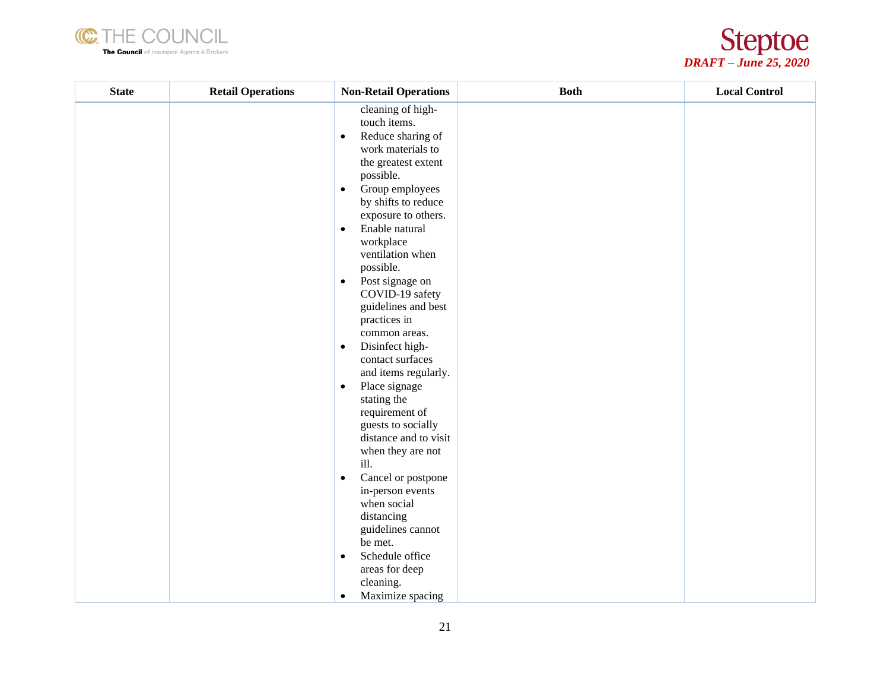



| <b>State</b> | <b>Retail Operations</b> | <b>Non-Retail Operations</b>                                                                                                                                                                                                                                                                                                                                                                                                                                                                                                                                                                                                                                                                                                                                                                                                                  | <b>Both</b> | <b>Local Control</b> |
|--------------|--------------------------|-----------------------------------------------------------------------------------------------------------------------------------------------------------------------------------------------------------------------------------------------------------------------------------------------------------------------------------------------------------------------------------------------------------------------------------------------------------------------------------------------------------------------------------------------------------------------------------------------------------------------------------------------------------------------------------------------------------------------------------------------------------------------------------------------------------------------------------------------|-------------|----------------------|
|              |                          | cleaning of high-<br>touch items.<br>Reduce sharing of<br>$\bullet$<br>work materials to<br>the greatest extent<br>possible.<br>Group employees<br>$\bullet$<br>by shifts to reduce<br>exposure to others.<br>Enable natural<br>$\bullet$<br>workplace<br>ventilation when<br>possible.<br>Post signage on<br>$\bullet$<br>COVID-19 safety<br>guidelines and best<br>practices in<br>common areas.<br>Disinfect high-<br>$\bullet$<br>contact surfaces<br>and items regularly.<br>Place signage<br>$\bullet$<br>stating the<br>requirement of<br>guests to socially<br>distance and to visit<br>when they are not<br>ill.<br>Cancel or postpone<br>$\bullet$<br>in-person events<br>when social<br>distancing<br>guidelines cannot<br>be met.<br>Schedule office<br>$\bullet$<br>areas for deep<br>cleaning.<br>Maximize spacing<br>$\bullet$ |             |                      |
|              |                          |                                                                                                                                                                                                                                                                                                                                                                                                                                                                                                                                                                                                                                                                                                                                                                                                                                               |             |                      |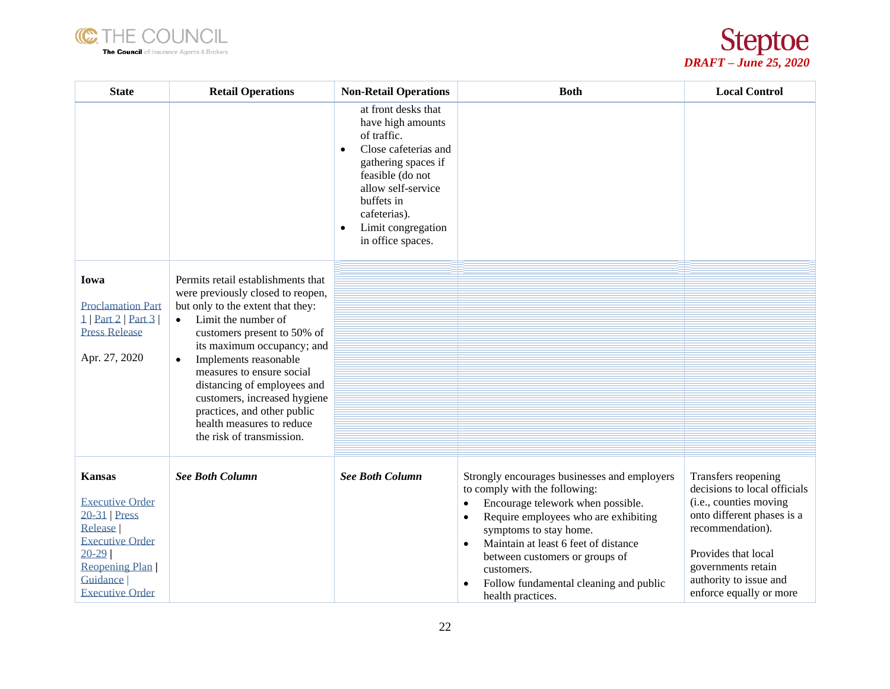



| <b>State</b>                                                                                                                                                                       | <b>Retail Operations</b>                                                                                                                                                                                                                                                                                                                                                                                                                 | <b>Non-Retail Operations</b>                                                                                                                                                                                                                        | <b>Both</b>                                                                                                                                                                                                                                                                                                                                                                                     | <b>Local Control</b>                                                                                                                                                                                                              |
|------------------------------------------------------------------------------------------------------------------------------------------------------------------------------------|------------------------------------------------------------------------------------------------------------------------------------------------------------------------------------------------------------------------------------------------------------------------------------------------------------------------------------------------------------------------------------------------------------------------------------------|-----------------------------------------------------------------------------------------------------------------------------------------------------------------------------------------------------------------------------------------------------|-------------------------------------------------------------------------------------------------------------------------------------------------------------------------------------------------------------------------------------------------------------------------------------------------------------------------------------------------------------------------------------------------|-----------------------------------------------------------------------------------------------------------------------------------------------------------------------------------------------------------------------------------|
|                                                                                                                                                                                    |                                                                                                                                                                                                                                                                                                                                                                                                                                          | at front desks that<br>have high amounts<br>of traffic.<br>Close cafeterias and<br>$\bullet$<br>gathering spaces if<br>feasible (do not<br>allow self-service<br>buffets in<br>cafeterias).<br>Limit congregation<br>$\bullet$<br>in office spaces. |                                                                                                                                                                                                                                                                                                                                                                                                 |                                                                                                                                                                                                                                   |
| Iowa<br><b>Proclamation Part</b><br>1   Part 2   Part 3  <br><b>Press Release</b><br>Apr. 27, 2020                                                                                 | Permits retail establishments that<br>were previously closed to reopen,<br>but only to the extent that they:<br>Limit the number of<br>$\bullet$<br>customers present to 50% of<br>its maximum occupancy; and<br>Implements reasonable<br>$\bullet$<br>measures to ensure social<br>distancing of employees and<br>customers, increased hygiene<br>practices, and other public<br>health measures to reduce<br>the risk of transmission. |                                                                                                                                                                                                                                                     |                                                                                                                                                                                                                                                                                                                                                                                                 |                                                                                                                                                                                                                                   |
| <b>Kansas</b><br><b>Executive Order</b><br>20-31 Press<br><b>Release</b><br><b>Executive Order</b><br>$20-29$<br>Reopening Plan<br>Guidance <sup> </sup><br><b>Executive Order</b> | <b>See Both Column</b>                                                                                                                                                                                                                                                                                                                                                                                                                   | <b>See Both Column</b>                                                                                                                                                                                                                              | Strongly encourages businesses and employers<br>to comply with the following:<br>Encourage telework when possible.<br>$\bullet$<br>Require employees who are exhibiting<br>$\bullet$<br>symptoms to stay home.<br>Maintain at least 6 feet of distance<br>$\bullet$<br>between customers or groups of<br>customers.<br>Follow fundamental cleaning and public<br>$\bullet$<br>health practices. | Transfers reopening<br>decisions to local officials<br>(i.e., counties moving<br>onto different phases is a<br>recommendation).<br>Provides that local<br>governments retain<br>authority to issue and<br>enforce equally or more |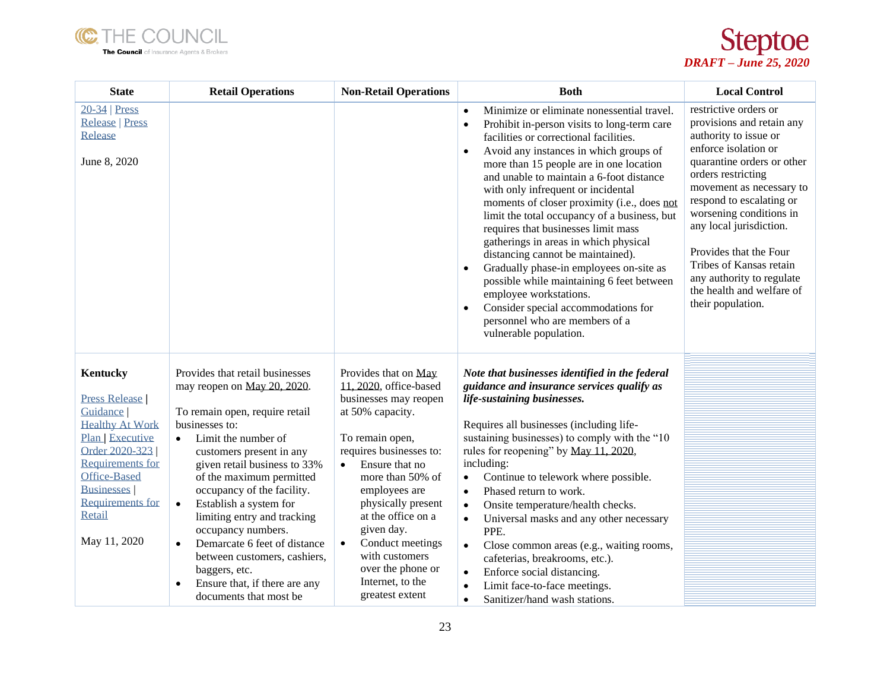



| <b>State</b>                                                                                                                                                                                                                                    | <b>Retail Operations</b>                                                                                                                                                                                                                                                                                                                                                                                                                                                                                                          | <b>Non-Retail Operations</b>                                                                                                                                                                                                                                                                                                                                                           | <b>Both</b>                                                                                                                                                                                                                                                                                                                                                                                                                                                                                                                                                                                                                                                                                                                                                                                             | <b>Local Control</b>                                                                                                                                                                                                                                                                                                                                                                                      |
|-------------------------------------------------------------------------------------------------------------------------------------------------------------------------------------------------------------------------------------------------|-----------------------------------------------------------------------------------------------------------------------------------------------------------------------------------------------------------------------------------------------------------------------------------------------------------------------------------------------------------------------------------------------------------------------------------------------------------------------------------------------------------------------------------|----------------------------------------------------------------------------------------------------------------------------------------------------------------------------------------------------------------------------------------------------------------------------------------------------------------------------------------------------------------------------------------|---------------------------------------------------------------------------------------------------------------------------------------------------------------------------------------------------------------------------------------------------------------------------------------------------------------------------------------------------------------------------------------------------------------------------------------------------------------------------------------------------------------------------------------------------------------------------------------------------------------------------------------------------------------------------------------------------------------------------------------------------------------------------------------------------------|-----------------------------------------------------------------------------------------------------------------------------------------------------------------------------------------------------------------------------------------------------------------------------------------------------------------------------------------------------------------------------------------------------------|
| $20-34$   Press<br><b>Release   Press</b><br>Release<br>June 8, 2020                                                                                                                                                                            |                                                                                                                                                                                                                                                                                                                                                                                                                                                                                                                                   |                                                                                                                                                                                                                                                                                                                                                                                        | Minimize or eliminate nonessential travel.<br>$\bullet$<br>Prohibit in-person visits to long-term care<br>$\bullet$<br>facilities or correctional facilities.<br>Avoid any instances in which groups of<br>more than 15 people are in one location<br>and unable to maintain a 6-foot distance<br>with only infrequent or incidental<br>moments of closer proximity (i.e., does not<br>limit the total occupancy of a business, but<br>requires that businesses limit mass<br>gatherings in areas in which physical<br>distancing cannot be maintained).<br>Gradually phase-in employees on-site as<br>$\bullet$<br>possible while maintaining 6 feet between<br>employee workstations.<br>Consider special accommodations for<br>$\bullet$<br>personnel who are members of a<br>vulnerable population. | restrictive orders or<br>provisions and retain any<br>authority to issue or<br>enforce isolation or<br>quarantine orders or other<br>orders restricting<br>movement as necessary to<br>respond to escalating or<br>worsening conditions in<br>any local jurisdiction.<br>Provides that the Four<br>Tribes of Kansas retain<br>any authority to regulate<br>the health and welfare of<br>their population. |
| <b>Kentucky</b><br><b>Press Release</b><br>Guidance  <br><b>Healthy At Work</b><br>Plan Executive<br>Order 2020-323<br><b>Requirements for</b><br><b>Office-Based</b><br><b>Businesses</b><br><b>Requirements for</b><br>Retail<br>May 11, 2020 | Provides that retail businesses<br>may reopen on May 20, 2020.<br>To remain open, require retail<br>businesses to:<br>Limit the number of<br>$\bullet$<br>customers present in any<br>given retail business to 33%<br>of the maximum permitted<br>occupancy of the facility.<br>Establish a system for<br>$\bullet$<br>limiting entry and tracking<br>occupancy numbers.<br>Demarcate 6 feet of distance<br>$\bullet$<br>between customers, cashiers,<br>baggers, etc.<br>Ensure that, if there are any<br>documents that most be | Provides that on May<br>11, 2020, office-based<br>businesses may reopen<br>at 50% capacity.<br>To remain open,<br>requires businesses to:<br>Ensure that no<br>$\bullet$<br>more than 50% of<br>employees are<br>physically present<br>at the office on a<br>given day.<br>Conduct meetings<br>$\bullet$<br>with customers<br>over the phone or<br>Internet, to the<br>greatest extent | Note that businesses identified in the federal<br>guidance and insurance services qualify as<br>life-sustaining businesses.<br>Requires all businesses (including life-<br>sustaining businesses) to comply with the "10<br>rules for reopening" by May 11, 2020,<br>including:<br>Continue to telework where possible.<br>٠<br>Phased return to work.<br>$\bullet$<br>Onsite temperature/health checks.<br>$\bullet$<br>Universal masks and any other necessary<br>$\bullet$<br>PPE.<br>Close common areas (e.g., waiting rooms,<br>$\bullet$<br>cafeterias, breakrooms, etc.).<br>Enforce social distancing.<br>$\bullet$<br>Limit face-to-face meetings.<br>$\bullet$<br>Sanitizer/hand wash stations.<br>$\bullet$                                                                                  |                                                                                                                                                                                                                                                                                                                                                                                                           |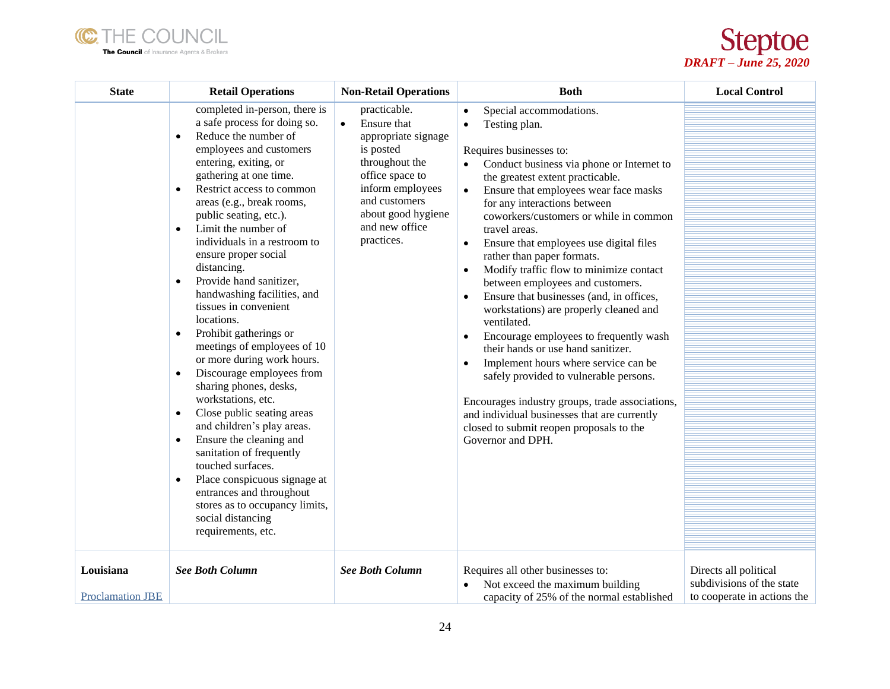



| <b>State</b>                         | <b>Retail Operations</b>                                                                                                                                                                                                                                                                                                                                                                                                                                                                                                                                                                                                                                                                                                                                                                                                                                                                                                                                                                                            | <b>Non-Retail Operations</b>                                                                                                                                                                                 | <b>Both</b>                                                                                                                                                                                                                                                                                                                                                                                                                                                                                                                                                                                                                                                                                                                                                                                                                                                                                                                             | <b>Local Control</b>                                                              |
|--------------------------------------|---------------------------------------------------------------------------------------------------------------------------------------------------------------------------------------------------------------------------------------------------------------------------------------------------------------------------------------------------------------------------------------------------------------------------------------------------------------------------------------------------------------------------------------------------------------------------------------------------------------------------------------------------------------------------------------------------------------------------------------------------------------------------------------------------------------------------------------------------------------------------------------------------------------------------------------------------------------------------------------------------------------------|--------------------------------------------------------------------------------------------------------------------------------------------------------------------------------------------------------------|-----------------------------------------------------------------------------------------------------------------------------------------------------------------------------------------------------------------------------------------------------------------------------------------------------------------------------------------------------------------------------------------------------------------------------------------------------------------------------------------------------------------------------------------------------------------------------------------------------------------------------------------------------------------------------------------------------------------------------------------------------------------------------------------------------------------------------------------------------------------------------------------------------------------------------------------|-----------------------------------------------------------------------------------|
|                                      | completed in-person, there is<br>a safe process for doing so.<br>Reduce the number of<br>$\bullet$<br>employees and customers<br>entering, exiting, or<br>gathering at one time.<br>Restrict access to common<br>$\bullet$<br>areas (e.g., break rooms,<br>public seating, etc.).<br>Limit the number of<br>$\bullet$<br>individuals in a restroom to<br>ensure proper social<br>distancing.<br>Provide hand sanitizer,<br>$\bullet$<br>handwashing facilities, and<br>tissues in convenient<br>locations.<br>Prohibit gatherings or<br>$\bullet$<br>meetings of employees of 10<br>or more during work hours.<br>Discourage employees from<br>sharing phones, desks,<br>workstations, etc.<br>Close public seating areas<br>$\bullet$<br>and children's play areas.<br>Ensure the cleaning and<br>$\bullet$<br>sanitation of frequently<br>touched surfaces.<br>Place conspicuous signage at<br>$\bullet$<br>entrances and throughout<br>stores as to occupancy limits,<br>social distancing<br>requirements, etc. | practicable.<br>Ensure that<br>$\bullet$<br>appropriate signage<br>is posted<br>throughout the<br>office space to<br>inform employees<br>and customers<br>about good hygiene<br>and new office<br>practices. | Special accommodations.<br>Testing plan.<br>Requires businesses to:<br>Conduct business via phone or Internet to<br>the greatest extent practicable.<br>Ensure that employees wear face masks<br>$\bullet$<br>for any interactions between<br>coworkers/customers or while in common<br>travel areas.<br>Ensure that employees use digital files<br>rather than paper formats.<br>Modify traffic flow to minimize contact<br>between employees and customers.<br>Ensure that businesses (and, in offices,<br>$\bullet$<br>workstations) are properly cleaned and<br>ventilated.<br>Encourage employees to frequently wash<br>$\bullet$<br>their hands or use hand sanitizer.<br>Implement hours where service can be<br>٠<br>safely provided to vulnerable persons.<br>Encourages industry groups, trade associations,<br>and individual businesses that are currently<br>closed to submit reopen proposals to the<br>Governor and DPH. |                                                                                   |
| Louisiana<br><b>Proclamation JBE</b> | <b>See Both Column</b>                                                                                                                                                                                                                                                                                                                                                                                                                                                                                                                                                                                                                                                                                                                                                                                                                                                                                                                                                                                              | <b>See Both Column</b>                                                                                                                                                                                       | Requires all other businesses to:<br>Not exceed the maximum building<br>$\bullet$<br>capacity of 25% of the normal established                                                                                                                                                                                                                                                                                                                                                                                                                                                                                                                                                                                                                                                                                                                                                                                                          | Directs all political<br>subdivisions of the state<br>to cooperate in actions the |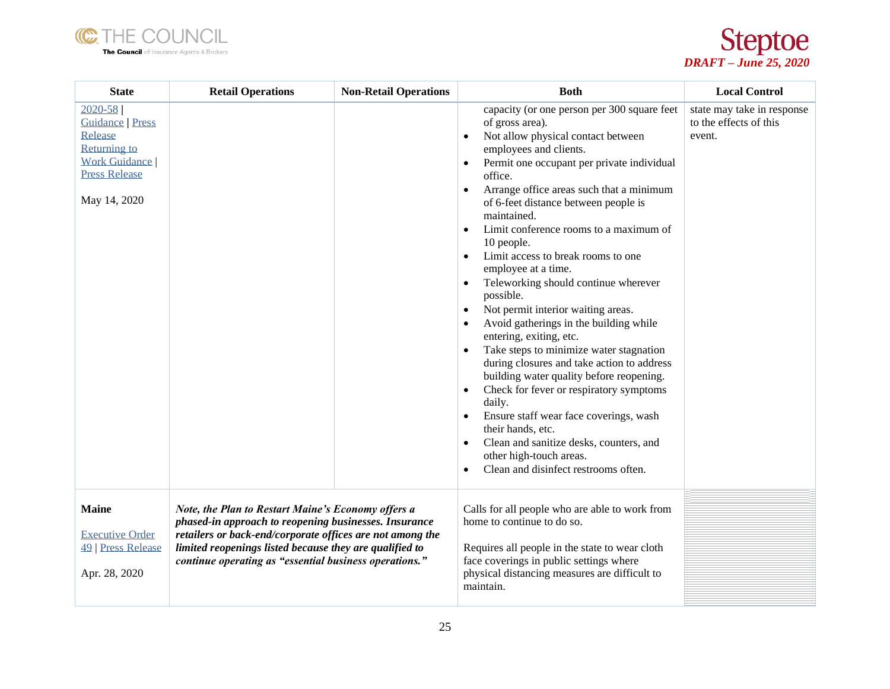



| <b>State</b>                                                                                                                             | <b>Retail Operations</b>                                                                                                                                                                                                                                                                      | <b>Non-Retail Operations</b> | <b>Both</b>                                                                                                                                                                                                                                                                                                                                                                                                                                                                                                                                                                                                                                                                                                                                                                                                                                                                                                                                                                                                                                                                 | <b>Local Control</b>                                           |
|------------------------------------------------------------------------------------------------------------------------------------------|-----------------------------------------------------------------------------------------------------------------------------------------------------------------------------------------------------------------------------------------------------------------------------------------------|------------------------------|-----------------------------------------------------------------------------------------------------------------------------------------------------------------------------------------------------------------------------------------------------------------------------------------------------------------------------------------------------------------------------------------------------------------------------------------------------------------------------------------------------------------------------------------------------------------------------------------------------------------------------------------------------------------------------------------------------------------------------------------------------------------------------------------------------------------------------------------------------------------------------------------------------------------------------------------------------------------------------------------------------------------------------------------------------------------------------|----------------------------------------------------------------|
| $2020 - 58$<br><b>Guidance</b>   Press<br>Release<br><b>Returning to</b><br><b>Work Guidance</b><br><b>Press Release</b><br>May 14, 2020 |                                                                                                                                                                                                                                                                                               |                              | capacity (or one person per 300 square feet<br>of gross area).<br>Not allow physical contact between<br>employees and clients.<br>Permit one occupant per private individual<br>$\bullet$<br>office.<br>Arrange office areas such that a minimum<br>$\bullet$<br>of 6-feet distance between people is<br>maintained.<br>Limit conference rooms to a maximum of<br>$\bullet$<br>10 people.<br>Limit access to break rooms to one<br>employee at a time.<br>Teleworking should continue wherever<br>possible.<br>Not permit interior waiting areas.<br>$\bullet$<br>Avoid gatherings in the building while<br>$\bullet$<br>entering, exiting, etc.<br>Take steps to minimize water stagnation<br>$\bullet$<br>during closures and take action to address<br>building water quality before reopening.<br>Check for fever or respiratory symptoms<br>$\bullet$<br>daily.<br>Ensure staff wear face coverings, wash<br>their hands, etc.<br>Clean and sanitize desks, counters, and<br>$\bullet$<br>other high-touch areas.<br>Clean and disinfect restrooms often.<br>$\bullet$ | state may take in response<br>to the effects of this<br>event. |
| <b>Maine</b><br><b>Executive Order</b><br>49   Press Release<br>Apr. 28, 2020                                                            | Note, the Plan to Restart Maine's Economy offers a<br>phased-in approach to reopening businesses. Insurance<br>retailers or back-end/corporate offices are not among the<br>limited reopenings listed because they are qualified to<br>continue operating as "essential business operations." |                              | Calls for all people who are able to work from<br>home to continue to do so.<br>Requires all people in the state to wear cloth<br>face coverings in public settings where<br>physical distancing measures are difficult to<br>maintain.                                                                                                                                                                                                                                                                                                                                                                                                                                                                                                                                                                                                                                                                                                                                                                                                                                     |                                                                |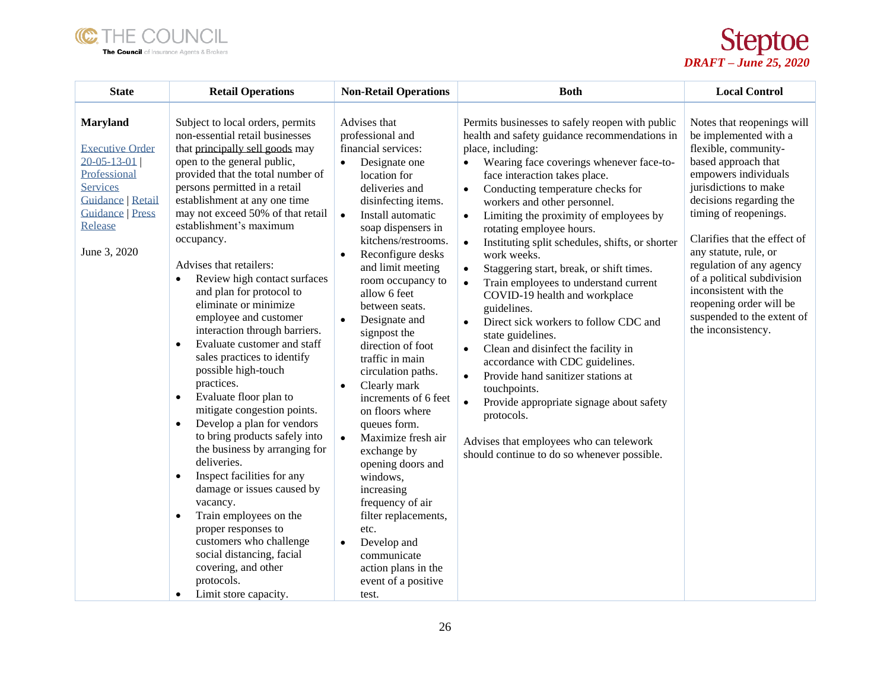



| <b>State</b>                                                                                                                                                                   | <b>Retail Operations</b>                                                                                                                                                                                                                                                                                                                                                                                                                                                                                                                                                                                                                                                                                                                                                                                                                                                                                                                                                                                                                                                                                                  | <b>Non-Retail Operations</b>                                                                                                                                                                                                                                                                                                                                                                                                                                                                                                                                                                                                                                                                                                                                                                           | <b>Both</b>                                                                                                                                                                                                                                                                                                                                                                                                                                                                                                                                                                                                                                                                                                                                                                                                                                                                                                                                                                                                                 | <b>Local Control</b>                                                                                                                                                                                                                                                                                                                                                                                                               |
|--------------------------------------------------------------------------------------------------------------------------------------------------------------------------------|---------------------------------------------------------------------------------------------------------------------------------------------------------------------------------------------------------------------------------------------------------------------------------------------------------------------------------------------------------------------------------------------------------------------------------------------------------------------------------------------------------------------------------------------------------------------------------------------------------------------------------------------------------------------------------------------------------------------------------------------------------------------------------------------------------------------------------------------------------------------------------------------------------------------------------------------------------------------------------------------------------------------------------------------------------------------------------------------------------------------------|--------------------------------------------------------------------------------------------------------------------------------------------------------------------------------------------------------------------------------------------------------------------------------------------------------------------------------------------------------------------------------------------------------------------------------------------------------------------------------------------------------------------------------------------------------------------------------------------------------------------------------------------------------------------------------------------------------------------------------------------------------------------------------------------------------|-----------------------------------------------------------------------------------------------------------------------------------------------------------------------------------------------------------------------------------------------------------------------------------------------------------------------------------------------------------------------------------------------------------------------------------------------------------------------------------------------------------------------------------------------------------------------------------------------------------------------------------------------------------------------------------------------------------------------------------------------------------------------------------------------------------------------------------------------------------------------------------------------------------------------------------------------------------------------------------------------------------------------------|------------------------------------------------------------------------------------------------------------------------------------------------------------------------------------------------------------------------------------------------------------------------------------------------------------------------------------------------------------------------------------------------------------------------------------|
| <b>Maryland</b><br><b>Executive Order</b><br>$20 - 05 - 13 - 01$<br>Professional<br><b>Services</b><br>Guidance   Retail<br><b>Guidance</b>   Press<br>Release<br>June 3, 2020 | Subject to local orders, permits<br>non-essential retail businesses<br>that principally sell goods may<br>open to the general public,<br>provided that the total number of<br>persons permitted in a retail<br>establishment at any one time<br>may not exceed 50% of that retail<br>establishment's maximum<br>occupancy.<br>Advises that retailers:<br>Review high contact surfaces<br>$\bullet$<br>and plan for protocol to<br>eliminate or minimize<br>employee and customer<br>interaction through barriers.<br>Evaluate customer and staff<br>$\bullet$<br>sales practices to identify<br>possible high-touch<br>practices.<br>Evaluate floor plan to<br>$\bullet$<br>mitigate congestion points.<br>Develop a plan for vendors<br>$\bullet$<br>to bring products safely into<br>the business by arranging for<br>deliveries.<br>Inspect facilities for any<br>$\bullet$<br>damage or issues caused by<br>vacancy.<br>Train employees on the<br>$\bullet$<br>proper responses to<br>customers who challenge<br>social distancing, facial<br>covering, and other<br>protocols.<br>Limit store capacity.<br>$\bullet$ | Advises that<br>professional and<br>financial services:<br>Designate one<br>$\bullet$<br>location for<br>deliveries and<br>disinfecting items.<br>Install automatic<br>$\bullet$<br>soap dispensers in<br>kitchens/restrooms.<br>Reconfigure desks<br>$\bullet$<br>and limit meeting<br>room occupancy to<br>allow 6 feet<br>between seats.<br>Designate and<br>$\bullet$<br>signpost the<br>direction of foot<br>traffic in main<br>circulation paths.<br>Clearly mark<br>$\bullet$<br>increments of 6 feet<br>on floors where<br>queues form.<br>Maximize fresh air<br>$\bullet$<br>exchange by<br>opening doors and<br>windows,<br>increasing<br>frequency of air<br>filter replacements,<br>etc.<br>Develop and<br>$\bullet$<br>communicate<br>action plans in the<br>event of a positive<br>test. | Permits businesses to safely reopen with public<br>health and safety guidance recommendations in<br>place, including:<br>Wearing face coverings whenever face-to-<br>$\bullet$<br>face interaction takes place.<br>Conducting temperature checks for<br>$\bullet$<br>workers and other personnel.<br>Limiting the proximity of employees by<br>$\bullet$<br>rotating employee hours.<br>Instituting split schedules, shifts, or shorter<br>$\bullet$<br>work weeks.<br>Staggering start, break, or shift times.<br>$\bullet$<br>Train employees to understand current<br>$\bullet$<br>COVID-19 health and workplace<br>guidelines.<br>Direct sick workers to follow CDC and<br>$\bullet$<br>state guidelines.<br>Clean and disinfect the facility in<br>$\bullet$<br>accordance with CDC guidelines.<br>Provide hand sanitizer stations at<br>$\bullet$<br>touchpoints.<br>Provide appropriate signage about safety<br>protocols.<br>Advises that employees who can telework<br>should continue to do so whenever possible. | Notes that reopenings will<br>be implemented with a<br>flexible, community-<br>based approach that<br>empowers individuals<br>jurisdictions to make<br>decisions regarding the<br>timing of reopenings.<br>Clarifies that the effect of<br>any statute, rule, or<br>regulation of any agency<br>of a political subdivision<br>inconsistent with the<br>reopening order will be<br>suspended to the extent of<br>the inconsistency. |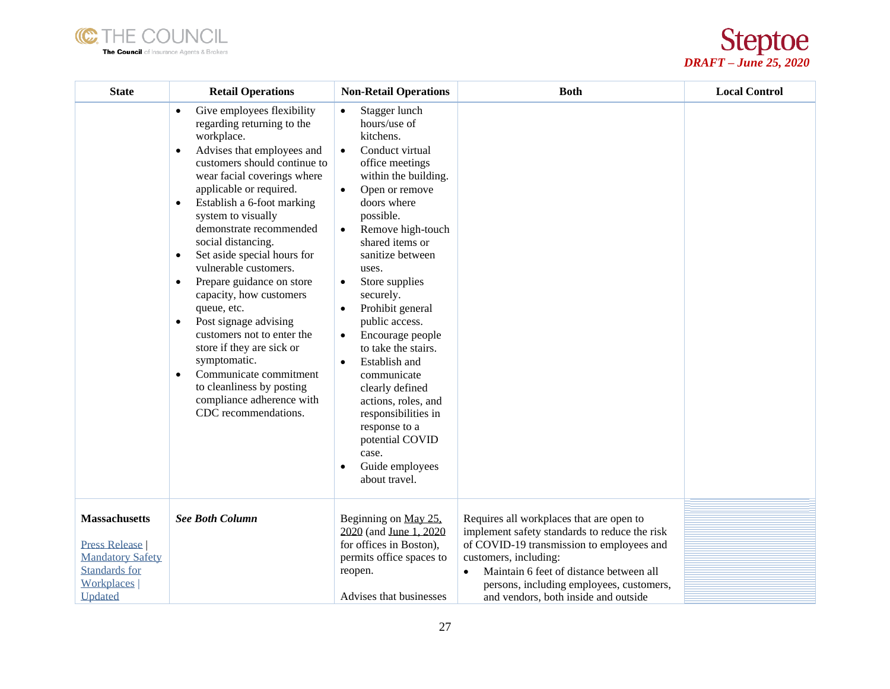



| <b>State</b>                                                                                                                    | <b>Retail Operations</b>                                                                                                                                                                                                                                                                                                                                                                                                                                                                                                                                                                                                                                                                                                                      | <b>Non-Retail Operations</b>                                                                                                                                                                                                                                                                                                                                                                                                                                                                                                                                                                                                          | <b>Both</b>                                                                                                                                                                                                                                                                                    | <b>Local Control</b> |
|---------------------------------------------------------------------------------------------------------------------------------|-----------------------------------------------------------------------------------------------------------------------------------------------------------------------------------------------------------------------------------------------------------------------------------------------------------------------------------------------------------------------------------------------------------------------------------------------------------------------------------------------------------------------------------------------------------------------------------------------------------------------------------------------------------------------------------------------------------------------------------------------|---------------------------------------------------------------------------------------------------------------------------------------------------------------------------------------------------------------------------------------------------------------------------------------------------------------------------------------------------------------------------------------------------------------------------------------------------------------------------------------------------------------------------------------------------------------------------------------------------------------------------------------|------------------------------------------------------------------------------------------------------------------------------------------------------------------------------------------------------------------------------------------------------------------------------------------------|----------------------|
|                                                                                                                                 | Give employees flexibility<br>$\bullet$<br>regarding returning to the<br>workplace.<br>Advises that employees and<br>$\bullet$<br>customers should continue to<br>wear facial coverings where<br>applicable or required.<br>Establish a 6-foot marking<br>$\bullet$<br>system to visually<br>demonstrate recommended<br>social distancing.<br>Set aside special hours for<br>$\bullet$<br>vulnerable customers.<br>Prepare guidance on store<br>$\bullet$<br>capacity, how customers<br>queue, etc.<br>Post signage advising<br>$\bullet$<br>customers not to enter the<br>store if they are sick or<br>symptomatic.<br>Communicate commitment<br>$\bullet$<br>to cleanliness by posting<br>compliance adherence with<br>CDC recommendations. | Stagger lunch<br>hours/use of<br>kitchens.<br>Conduct virtual<br>$\bullet$<br>office meetings<br>within the building.<br>Open or remove<br>$\bullet$<br>doors where<br>possible.<br>Remove high-touch<br>$\bullet$<br>shared items or<br>sanitize between<br>uses.<br>Store supplies<br>$\bullet$<br>securely.<br>Prohibit general<br>$\bullet$<br>public access.<br>Encourage people<br>$\bullet$<br>to take the stairs.<br>Establish and<br>$\bullet$<br>communicate<br>clearly defined<br>actions, roles, and<br>responsibilities in<br>response to a<br>potential COVID<br>case.<br>Guide employees<br>$\bullet$<br>about travel. |                                                                                                                                                                                                                                                                                                |                      |
| <b>Massachusetts</b><br><b>Press Release</b><br><b>Mandatory Safety</b><br><b>Standards for</b><br><b>Workplaces</b><br>Updated | <b>See Both Column</b>                                                                                                                                                                                                                                                                                                                                                                                                                                                                                                                                                                                                                                                                                                                        | Beginning on May 25,<br>2020 (and June 1, 2020)<br>for offices in Boston),<br>permits office spaces to<br>reopen.<br>Advises that businesses                                                                                                                                                                                                                                                                                                                                                                                                                                                                                          | Requires all workplaces that are open to<br>implement safety standards to reduce the risk<br>of COVID-19 transmission to employees and<br>customers, including:<br>Maintain 6 feet of distance between all<br>persons, including employees, customers,<br>and vendors, both inside and outside |                      |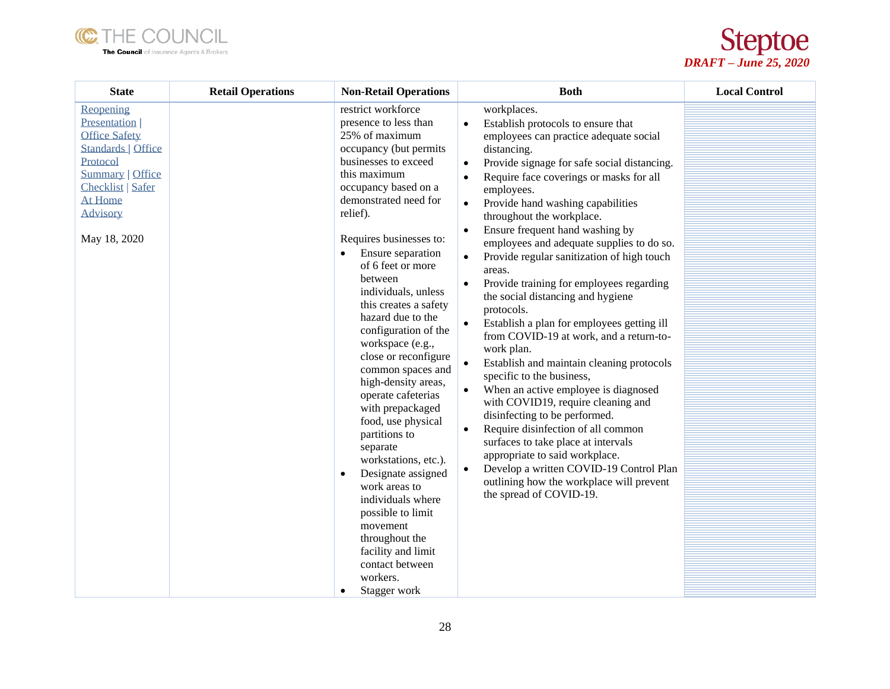



| <b>State</b>                                                                                                                                                                                      | <b>Retail Operations</b> | <b>Non-Retail Operations</b>                                                                                                                                                                                                                                                                                                                                                                                                                                                                                                                                                                                                                                                                                                                                                                                      | <b>Both</b>                                                                                                                                                                                                                                                                                                                                                                                                                                                                                                                                                                                                                                                                                                                                                                                                                                                                                                                                                                                                                                                                                                                                                                                                              | <b>Local Control</b> |
|---------------------------------------------------------------------------------------------------------------------------------------------------------------------------------------------------|--------------------------|-------------------------------------------------------------------------------------------------------------------------------------------------------------------------------------------------------------------------------------------------------------------------------------------------------------------------------------------------------------------------------------------------------------------------------------------------------------------------------------------------------------------------------------------------------------------------------------------------------------------------------------------------------------------------------------------------------------------------------------------------------------------------------------------------------------------|--------------------------------------------------------------------------------------------------------------------------------------------------------------------------------------------------------------------------------------------------------------------------------------------------------------------------------------------------------------------------------------------------------------------------------------------------------------------------------------------------------------------------------------------------------------------------------------------------------------------------------------------------------------------------------------------------------------------------------------------------------------------------------------------------------------------------------------------------------------------------------------------------------------------------------------------------------------------------------------------------------------------------------------------------------------------------------------------------------------------------------------------------------------------------------------------------------------------------|----------------------|
| Reopening<br>Presentation  <br><b>Office Safety</b><br><b>Standards   Office</b><br>Protocol<br><b>Summary   Office</b><br><b>Checklist   Safer</b><br>At Home<br><b>Advisory</b><br>May 18, 2020 |                          | restrict workforce<br>presence to less than<br>25% of maximum<br>occupancy (but permits<br>businesses to exceed<br>this maximum<br>occupancy based on a<br>demonstrated need for<br>relief).<br>Requires businesses to:<br>Ensure separation<br>$\bullet$<br>of 6 feet or more<br>between<br>individuals, unless<br>this creates a safety<br>hazard due to the<br>configuration of the<br>workspace (e.g.,<br>close or reconfigure<br>common spaces and<br>high-density areas,<br>operate cafeterias<br>with prepackaged<br>food, use physical<br>partitions to<br>separate<br>workstations, etc.).<br>Designate assigned<br>$\bullet$<br>work areas to<br>individuals where<br>possible to limit<br>movement<br>throughout the<br>facility and limit<br>contact between<br>workers.<br>Stagger work<br>$\bullet$ | workplaces.<br>Establish protocols to ensure that<br>$\bullet$<br>employees can practice adequate social<br>distancing.<br>Provide signage for safe social distancing.<br>$\bullet$<br>Require face coverings or masks for all<br>$\bullet$<br>employees.<br>Provide hand washing capabilities<br>$\bullet$<br>throughout the workplace.<br>Ensure frequent hand washing by<br>$\bullet$<br>employees and adequate supplies to do so.<br>Provide regular sanitization of high touch<br>$\bullet$<br>areas.<br>Provide training for employees regarding<br>$\bullet$<br>the social distancing and hygiene<br>protocols.<br>$\bullet$<br>Establish a plan for employees getting ill<br>from COVID-19 at work, and a return-to-<br>work plan.<br>Establish and maintain cleaning protocols<br>$\bullet$<br>specific to the business,<br>When an active employee is diagnosed<br>$\bullet$<br>with COVID19, require cleaning and<br>disinfecting to be performed.<br>Require disinfection of all common<br>$\bullet$<br>surfaces to take place at intervals<br>appropriate to said workplace.<br>Develop a written COVID-19 Control Plan<br>$\bullet$<br>outlining how the workplace will prevent<br>the spread of COVID-19. |                      |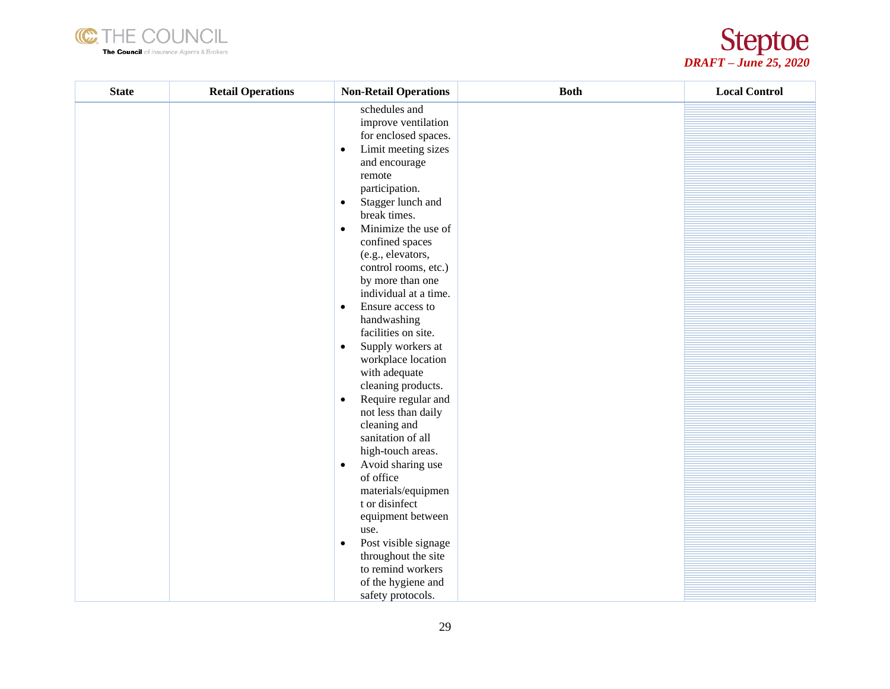



| schedules and<br>improve ventilation<br>for enclosed spaces.<br>Limit meeting sizes<br>$\bullet$<br>and encourage<br>remote<br>participation.<br>Stagger lunch and<br>$\bullet$<br>break times.<br>Minimize the use of<br>$\bullet$<br>confined spaces<br>(e.g., elevators,<br>control rooms, etc.)<br>by more than one<br>individual at a time.<br>Ensure access to<br>$\bullet$<br>handwashing<br>facilities on site.<br>Supply workers at<br>$\bullet$<br>workplace location<br>with adequate<br>cleaning products.<br>Require regular and<br>$\bullet$<br>not less than daily<br>cleaning and<br>sanitation of all<br>high-touch areas.<br>Avoid sharing use<br>$\bullet$<br>of office<br>materials/equipmen<br>t or disinfect<br>equipment between<br>use. | <b>State</b> | <b>Retail Operations</b> | <b>Non-Retail Operations</b> | <b>Both</b> | <b>Local Control</b> |
|-----------------------------------------------------------------------------------------------------------------------------------------------------------------------------------------------------------------------------------------------------------------------------------------------------------------------------------------------------------------------------------------------------------------------------------------------------------------------------------------------------------------------------------------------------------------------------------------------------------------------------------------------------------------------------------------------------------------------------------------------------------------|--------------|--------------------------|------------------------------|-------------|----------------------|
|                                                                                                                                                                                                                                                                                                                                                                                                                                                                                                                                                                                                                                                                                                                                                                 |              |                          |                              |             |                      |
|                                                                                                                                                                                                                                                                                                                                                                                                                                                                                                                                                                                                                                                                                                                                                                 |              |                          |                              |             |                      |
|                                                                                                                                                                                                                                                                                                                                                                                                                                                                                                                                                                                                                                                                                                                                                                 |              |                          |                              |             |                      |
|                                                                                                                                                                                                                                                                                                                                                                                                                                                                                                                                                                                                                                                                                                                                                                 |              |                          |                              |             |                      |
|                                                                                                                                                                                                                                                                                                                                                                                                                                                                                                                                                                                                                                                                                                                                                                 |              |                          |                              |             |                      |
|                                                                                                                                                                                                                                                                                                                                                                                                                                                                                                                                                                                                                                                                                                                                                                 |              |                          |                              |             |                      |
|                                                                                                                                                                                                                                                                                                                                                                                                                                                                                                                                                                                                                                                                                                                                                                 |              |                          |                              |             |                      |
|                                                                                                                                                                                                                                                                                                                                                                                                                                                                                                                                                                                                                                                                                                                                                                 |              |                          |                              |             |                      |
|                                                                                                                                                                                                                                                                                                                                                                                                                                                                                                                                                                                                                                                                                                                                                                 |              |                          |                              |             |                      |
|                                                                                                                                                                                                                                                                                                                                                                                                                                                                                                                                                                                                                                                                                                                                                                 |              |                          |                              |             |                      |
|                                                                                                                                                                                                                                                                                                                                                                                                                                                                                                                                                                                                                                                                                                                                                                 |              |                          |                              |             |                      |
|                                                                                                                                                                                                                                                                                                                                                                                                                                                                                                                                                                                                                                                                                                                                                                 |              |                          |                              |             |                      |
|                                                                                                                                                                                                                                                                                                                                                                                                                                                                                                                                                                                                                                                                                                                                                                 |              |                          |                              |             |                      |
|                                                                                                                                                                                                                                                                                                                                                                                                                                                                                                                                                                                                                                                                                                                                                                 |              |                          |                              |             |                      |
|                                                                                                                                                                                                                                                                                                                                                                                                                                                                                                                                                                                                                                                                                                                                                                 |              |                          |                              |             |                      |
|                                                                                                                                                                                                                                                                                                                                                                                                                                                                                                                                                                                                                                                                                                                                                                 |              |                          |                              |             |                      |
|                                                                                                                                                                                                                                                                                                                                                                                                                                                                                                                                                                                                                                                                                                                                                                 |              |                          |                              |             |                      |
|                                                                                                                                                                                                                                                                                                                                                                                                                                                                                                                                                                                                                                                                                                                                                                 |              |                          |                              |             |                      |
|                                                                                                                                                                                                                                                                                                                                                                                                                                                                                                                                                                                                                                                                                                                                                                 |              |                          |                              |             |                      |
|                                                                                                                                                                                                                                                                                                                                                                                                                                                                                                                                                                                                                                                                                                                                                                 |              |                          |                              |             |                      |
|                                                                                                                                                                                                                                                                                                                                                                                                                                                                                                                                                                                                                                                                                                                                                                 |              |                          |                              |             |                      |
|                                                                                                                                                                                                                                                                                                                                                                                                                                                                                                                                                                                                                                                                                                                                                                 |              |                          |                              |             |                      |
|                                                                                                                                                                                                                                                                                                                                                                                                                                                                                                                                                                                                                                                                                                                                                                 |              |                          |                              |             |                      |
|                                                                                                                                                                                                                                                                                                                                                                                                                                                                                                                                                                                                                                                                                                                                                                 |              |                          |                              |             |                      |
|                                                                                                                                                                                                                                                                                                                                                                                                                                                                                                                                                                                                                                                                                                                                                                 |              |                          |                              |             |                      |
|                                                                                                                                                                                                                                                                                                                                                                                                                                                                                                                                                                                                                                                                                                                                                                 |              |                          |                              |             |                      |
|                                                                                                                                                                                                                                                                                                                                                                                                                                                                                                                                                                                                                                                                                                                                                                 |              |                          |                              |             |                      |
|                                                                                                                                                                                                                                                                                                                                                                                                                                                                                                                                                                                                                                                                                                                                                                 |              |                          |                              |             |                      |
|                                                                                                                                                                                                                                                                                                                                                                                                                                                                                                                                                                                                                                                                                                                                                                 |              |                          |                              |             |                      |
|                                                                                                                                                                                                                                                                                                                                                                                                                                                                                                                                                                                                                                                                                                                                                                 |              |                          |                              |             |                      |
|                                                                                                                                                                                                                                                                                                                                                                                                                                                                                                                                                                                                                                                                                                                                                                 |              |                          |                              |             |                      |
|                                                                                                                                                                                                                                                                                                                                                                                                                                                                                                                                                                                                                                                                                                                                                                 |              |                          |                              |             |                      |
|                                                                                                                                                                                                                                                                                                                                                                                                                                                                                                                                                                                                                                                                                                                                                                 |              |                          |                              |             |                      |
|                                                                                                                                                                                                                                                                                                                                                                                                                                                                                                                                                                                                                                                                                                                                                                 |              |                          |                              |             |                      |
|                                                                                                                                                                                                                                                                                                                                                                                                                                                                                                                                                                                                                                                                                                                                                                 |              |                          |                              |             |                      |
| Post visible signage<br>$\bullet$                                                                                                                                                                                                                                                                                                                                                                                                                                                                                                                                                                                                                                                                                                                               |              |                          |                              |             |                      |
| throughout the site                                                                                                                                                                                                                                                                                                                                                                                                                                                                                                                                                                                                                                                                                                                                             |              |                          |                              |             |                      |
| to remind workers                                                                                                                                                                                                                                                                                                                                                                                                                                                                                                                                                                                                                                                                                                                                               |              |                          |                              |             |                      |
| of the hygiene and                                                                                                                                                                                                                                                                                                                                                                                                                                                                                                                                                                                                                                                                                                                                              |              |                          |                              |             |                      |
| safety protocols.                                                                                                                                                                                                                                                                                                                                                                                                                                                                                                                                                                                                                                                                                                                                               |              |                          |                              |             |                      |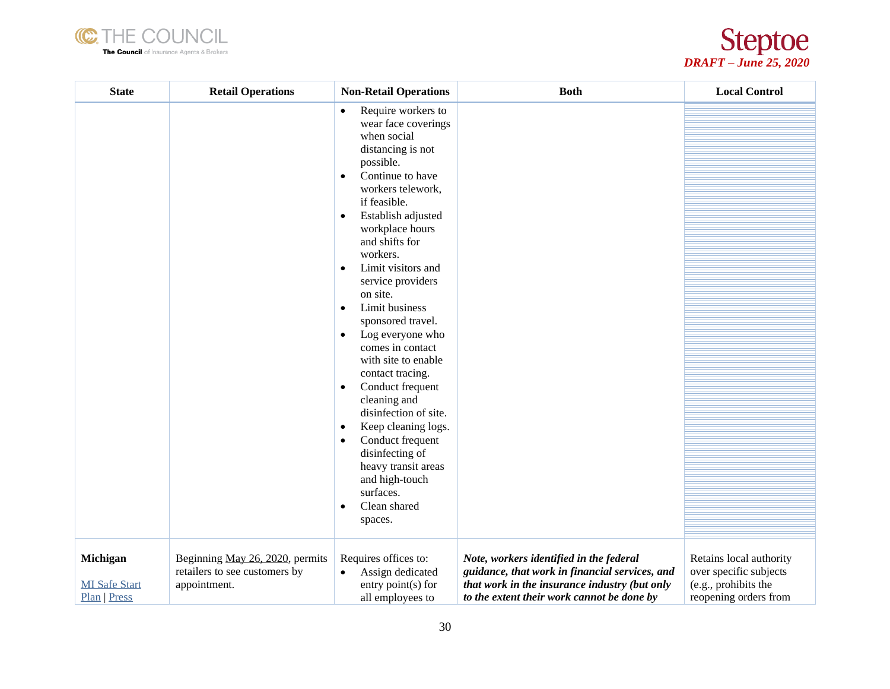



| <b>State</b>                                     | <b>Retail Operations</b>                                                         | <b>Non-Retail Operations</b>                                                                                                                                                                                                                                                                                                                                                                                                                                                                                                                                                                                                                                                                                                                              | <b>Both</b>                                                                                                                                                                              | <b>Local Control</b>                                                                               |
|--------------------------------------------------|----------------------------------------------------------------------------------|-----------------------------------------------------------------------------------------------------------------------------------------------------------------------------------------------------------------------------------------------------------------------------------------------------------------------------------------------------------------------------------------------------------------------------------------------------------------------------------------------------------------------------------------------------------------------------------------------------------------------------------------------------------------------------------------------------------------------------------------------------------|------------------------------------------------------------------------------------------------------------------------------------------------------------------------------------------|----------------------------------------------------------------------------------------------------|
|                                                  |                                                                                  | Require workers to<br>$\bullet$<br>wear face coverings<br>when social<br>distancing is not<br>possible.<br>Continue to have<br>$\bullet$<br>workers telework,<br>if feasible.<br>Establish adjusted<br>$\bullet$<br>workplace hours<br>and shifts for<br>workers.<br>Limit visitors and<br>$\bullet$<br>service providers<br>on site.<br>Limit business<br>$\bullet$<br>sponsored travel.<br>Log everyone who<br>$\bullet$<br>comes in contact<br>with site to enable<br>contact tracing.<br>Conduct frequent<br>$\bullet$<br>cleaning and<br>disinfection of site.<br>Keep cleaning logs.<br>$\bullet$<br>Conduct frequent<br>$\bullet$<br>disinfecting of<br>heavy transit areas<br>and high-touch<br>surfaces.<br>Clean shared<br>$\bullet$<br>spaces. |                                                                                                                                                                                          |                                                                                                    |
| Michigan<br><b>MI</b> Safe Start<br>Plan   Press | Beginning May 26, 2020, permits<br>retailers to see customers by<br>appointment. | Requires offices to:<br>Assign dedicated<br>$\bullet$<br>entry point(s) for<br>all employees to                                                                                                                                                                                                                                                                                                                                                                                                                                                                                                                                                                                                                                                           | Note, workers identified in the federal<br>guidance, that work in financial services, and<br>that work in the insurance industry (but only<br>to the extent their work cannot be done by | Retains local authority<br>over specific subjects<br>(e.g., prohibits the<br>reopening orders from |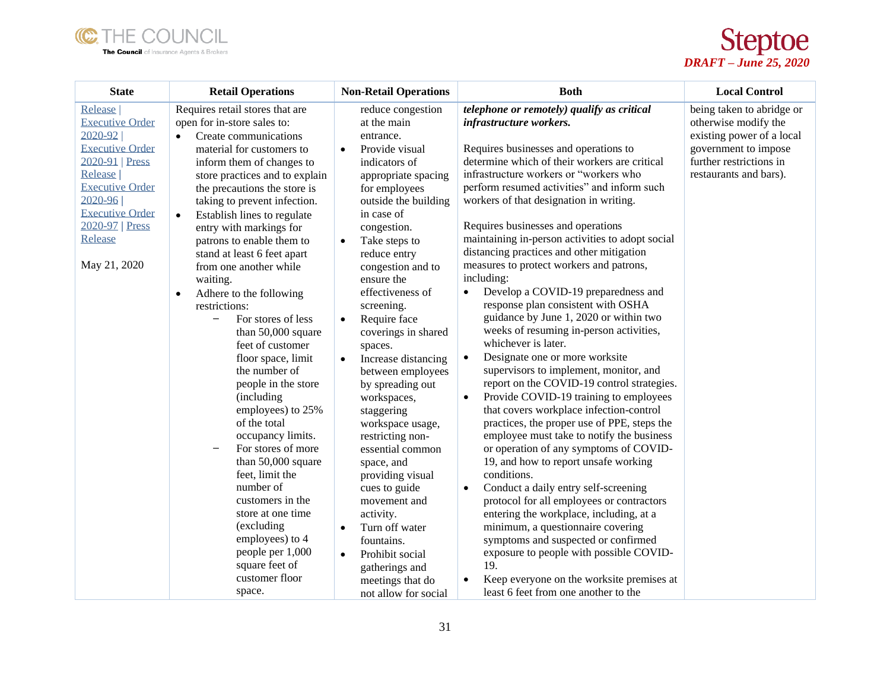



| <b>State</b>                                                                                                                                                                                                              | <b>Retail Operations</b>                                                                                                                                                                                                                                                                                                                                                                                                                                                                                                                                                                                                                                                                                                                                                                                                                                                                                                                                       | <b>Non-Retail Operations</b>                                                                                                                                                                                                                                                                                                                                                                                                                                                                                                                                                                                                                                                                                                                                     | <b>Both</b>                                                                                                                                                                                                                                                                                                                                                                                                                                                                                                                                                                                                                                                                                                                                                                                                                                                                                                                                                                                                                                                                                                                                                                                                                                                                                                                                                                                                                                                                                              | <b>Local Control</b>                                                                                                                                        |
|---------------------------------------------------------------------------------------------------------------------------------------------------------------------------------------------------------------------------|----------------------------------------------------------------------------------------------------------------------------------------------------------------------------------------------------------------------------------------------------------------------------------------------------------------------------------------------------------------------------------------------------------------------------------------------------------------------------------------------------------------------------------------------------------------------------------------------------------------------------------------------------------------------------------------------------------------------------------------------------------------------------------------------------------------------------------------------------------------------------------------------------------------------------------------------------------------|------------------------------------------------------------------------------------------------------------------------------------------------------------------------------------------------------------------------------------------------------------------------------------------------------------------------------------------------------------------------------------------------------------------------------------------------------------------------------------------------------------------------------------------------------------------------------------------------------------------------------------------------------------------------------------------------------------------------------------------------------------------|----------------------------------------------------------------------------------------------------------------------------------------------------------------------------------------------------------------------------------------------------------------------------------------------------------------------------------------------------------------------------------------------------------------------------------------------------------------------------------------------------------------------------------------------------------------------------------------------------------------------------------------------------------------------------------------------------------------------------------------------------------------------------------------------------------------------------------------------------------------------------------------------------------------------------------------------------------------------------------------------------------------------------------------------------------------------------------------------------------------------------------------------------------------------------------------------------------------------------------------------------------------------------------------------------------------------------------------------------------------------------------------------------------------------------------------------------------------------------------------------------------|-------------------------------------------------------------------------------------------------------------------------------------------------------------|
| Release  <br><b>Executive Order</b><br>2020-92<br><b>Executive Order</b><br>2020-91   Press<br>Release  <br><b>Executive Order</b><br>$2020 - 96$<br><b>Executive Order</b><br>2020-97   Press<br>Release<br>May 21, 2020 | Requires retail stores that are<br>open for in-store sales to:<br>Create communications<br>$\bullet$<br>material for customers to<br>inform them of changes to<br>store practices and to explain<br>the precautions the store is<br>taking to prevent infection.<br>Establish lines to regulate<br>$\bullet$<br>entry with markings for<br>patrons to enable them to<br>stand at least 6 feet apart<br>from one another while<br>waiting.<br>Adhere to the following<br>$\bullet$<br>restrictions:<br>For stores of less<br>$\overline{\phantom{0}}$<br>than 50,000 square<br>feet of customer<br>floor space, limit<br>the number of<br>people in the store<br>(including)<br>employees) to 25%<br>of the total<br>occupancy limits.<br>For stores of more<br>than 50,000 square<br>feet, limit the<br>number of<br>customers in the<br>store at one time<br>(excluding)<br>employees) to 4<br>people per 1,000<br>square feet of<br>customer floor<br>space. | reduce congestion<br>at the main<br>entrance.<br>Provide visual<br>$\bullet$<br>indicators of<br>appropriate spacing<br>for employees<br>outside the building<br>in case of<br>congestion.<br>Take steps to<br>$\bullet$<br>reduce entry<br>congestion and to<br>ensure the<br>effectiveness of<br>screening.<br>Require face<br>$\bullet$<br>coverings in shared<br>spaces.<br>Increase distancing<br>between employees<br>by spreading out<br>workspaces,<br>staggering<br>workspace usage,<br>restricting non-<br>essential common<br>space, and<br>providing visual<br>cues to guide<br>movement and<br>activity.<br>Turn off water<br>$\bullet$<br>fountains.<br>Prohibit social<br>$\bullet$<br>gatherings and<br>meetings that do<br>not allow for social | telephone or remotely) qualify as critical<br>infrastructure workers.<br>Requires businesses and operations to<br>determine which of their workers are critical<br>infrastructure workers or "workers who<br>perform resumed activities" and inform such<br>workers of that designation in writing.<br>Requires businesses and operations<br>maintaining in-person activities to adopt social<br>distancing practices and other mitigation<br>measures to protect workers and patrons,<br>including:<br>Develop a COVID-19 preparedness and<br>response plan consistent with OSHA<br>guidance by June 1, 2020 or within two<br>weeks of resuming in-person activities,<br>whichever is later.<br>Designate one or more worksite<br>$\bullet$<br>supervisors to implement, monitor, and<br>report on the COVID-19 control strategies.<br>Provide COVID-19 training to employees<br>$\bullet$<br>that covers workplace infection-control<br>practices, the proper use of PPE, steps the<br>employee must take to notify the business<br>or operation of any symptoms of COVID-<br>19, and how to report unsafe working<br>conditions.<br>Conduct a daily entry self-screening<br>$\bullet$<br>protocol for all employees or contractors<br>entering the workplace, including, at a<br>minimum, a questionnaire covering<br>symptoms and suspected or confirmed<br>exposure to people with possible COVID-<br>19.<br>Keep everyone on the worksite premises at<br>٠<br>least 6 feet from one another to the | being taken to abridge or<br>otherwise modify the<br>existing power of a local<br>government to impose<br>further restrictions in<br>restaurants and bars). |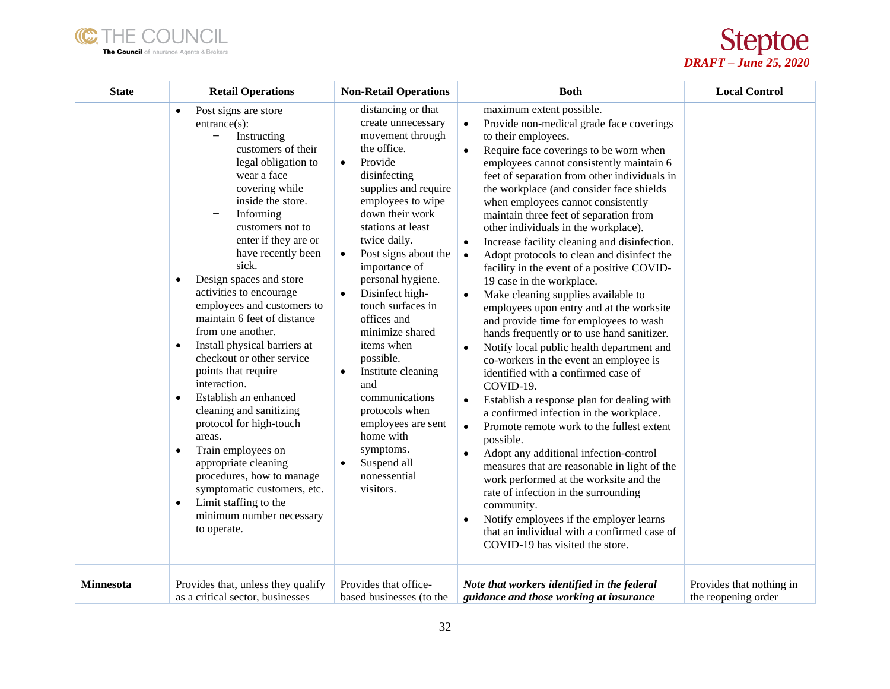



| <b>State</b>     | <b>Retail Operations</b>                                                                                                                                                                                                                                                                                                                                                                                                                                                                                                                                                                                                                                                                                                                                                                                                                                                            | <b>Non-Retail Operations</b>                                                                                                                                                                                                                                                                                                                                                                                                                                                                                                                                                                                 | <b>Both</b>                                                                                                                                                                                                                                                                                                                                                                                                                                                                                                                                                                                                                                                                                                                                                                                                                                                                                                                                                                                                                                                                                                                                                                                                                                                                                                                                                                                                                                                                            | <b>Local Control</b>                            |
|------------------|-------------------------------------------------------------------------------------------------------------------------------------------------------------------------------------------------------------------------------------------------------------------------------------------------------------------------------------------------------------------------------------------------------------------------------------------------------------------------------------------------------------------------------------------------------------------------------------------------------------------------------------------------------------------------------------------------------------------------------------------------------------------------------------------------------------------------------------------------------------------------------------|--------------------------------------------------------------------------------------------------------------------------------------------------------------------------------------------------------------------------------------------------------------------------------------------------------------------------------------------------------------------------------------------------------------------------------------------------------------------------------------------------------------------------------------------------------------------------------------------------------------|----------------------------------------------------------------------------------------------------------------------------------------------------------------------------------------------------------------------------------------------------------------------------------------------------------------------------------------------------------------------------------------------------------------------------------------------------------------------------------------------------------------------------------------------------------------------------------------------------------------------------------------------------------------------------------------------------------------------------------------------------------------------------------------------------------------------------------------------------------------------------------------------------------------------------------------------------------------------------------------------------------------------------------------------------------------------------------------------------------------------------------------------------------------------------------------------------------------------------------------------------------------------------------------------------------------------------------------------------------------------------------------------------------------------------------------------------------------------------------------|-------------------------------------------------|
|                  | Post signs are store<br>$\bullet$<br>$entrance(s)$ :<br>$\overline{\phantom{a}}$<br>Instructing<br>customers of their<br>legal obligation to<br>wear a face<br>covering while<br>inside the store.<br>Informing<br>—<br>customers not to<br>enter if they are or<br>have recently been<br>sick.<br>Design spaces and store<br>$\bullet$<br>activities to encourage<br>employees and customers to<br>maintain 6 feet of distance<br>from one another.<br>Install physical barriers at<br>$\bullet$<br>checkout or other service<br>points that require<br>interaction.<br>Establish an enhanced<br>$\bullet$<br>cleaning and sanitizing<br>protocol for high-touch<br>areas.<br>Train employees on<br>$\bullet$<br>appropriate cleaning<br>procedures, how to manage<br>symptomatic customers, etc.<br>Limit staffing to the<br>$\bullet$<br>minimum number necessary<br>to operate. | distancing or that<br>create unnecessary<br>movement through<br>the office.<br>Provide<br>$\bullet$<br>disinfecting<br>supplies and require<br>employees to wipe<br>down their work<br>stations at least<br>twice daily.<br>Post signs about the<br>$\bullet$<br>importance of<br>personal hygiene.<br>Disinfect high-<br>$\bullet$<br>touch surfaces in<br>offices and<br>minimize shared<br>items when<br>possible.<br>Institute cleaning<br>$\bullet$<br>and<br>communications<br>protocols when<br>employees are sent<br>home with<br>symptoms.<br>Suspend all<br>$\bullet$<br>nonessential<br>visitors. | maximum extent possible.<br>Provide non-medical grade face coverings<br>$\bullet$<br>to their employees.<br>Require face coverings to be worn when<br>employees cannot consistently maintain 6<br>feet of separation from other individuals in<br>the workplace (and consider face shields<br>when employees cannot consistently<br>maintain three feet of separation from<br>other individuals in the workplace).<br>Increase facility cleaning and disinfection.<br>$\bullet$<br>Adopt protocols to clean and disinfect the<br>$\bullet$<br>facility in the event of a positive COVID-<br>19 case in the workplace.<br>Make cleaning supplies available to<br>$\bullet$<br>employees upon entry and at the worksite<br>and provide time for employees to wash<br>hands frequently or to use hand sanitizer.<br>Notify local public health department and<br>co-workers in the event an employee is<br>identified with a confirmed case of<br>COVID-19.<br>Establish a response plan for dealing with<br>$\bullet$<br>a confirmed infection in the workplace.<br>Promote remote work to the fullest extent<br>$\bullet$<br>possible.<br>Adopt any additional infection-control<br>$\bullet$<br>measures that are reasonable in light of the<br>work performed at the worksite and the<br>rate of infection in the surrounding<br>community.<br>Notify employees if the employer learns<br>$\bullet$<br>that an individual with a confirmed case of<br>COVID-19 has visited the store. |                                                 |
| <b>Minnesota</b> | Provides that, unless they qualify<br>as a critical sector, businesses                                                                                                                                                                                                                                                                                                                                                                                                                                                                                                                                                                                                                                                                                                                                                                                                              | Provides that office-<br>based businesses (to the                                                                                                                                                                                                                                                                                                                                                                                                                                                                                                                                                            | Note that workers identified in the federal<br>guidance and those working at insurance                                                                                                                                                                                                                                                                                                                                                                                                                                                                                                                                                                                                                                                                                                                                                                                                                                                                                                                                                                                                                                                                                                                                                                                                                                                                                                                                                                                                 | Provides that nothing in<br>the reopening order |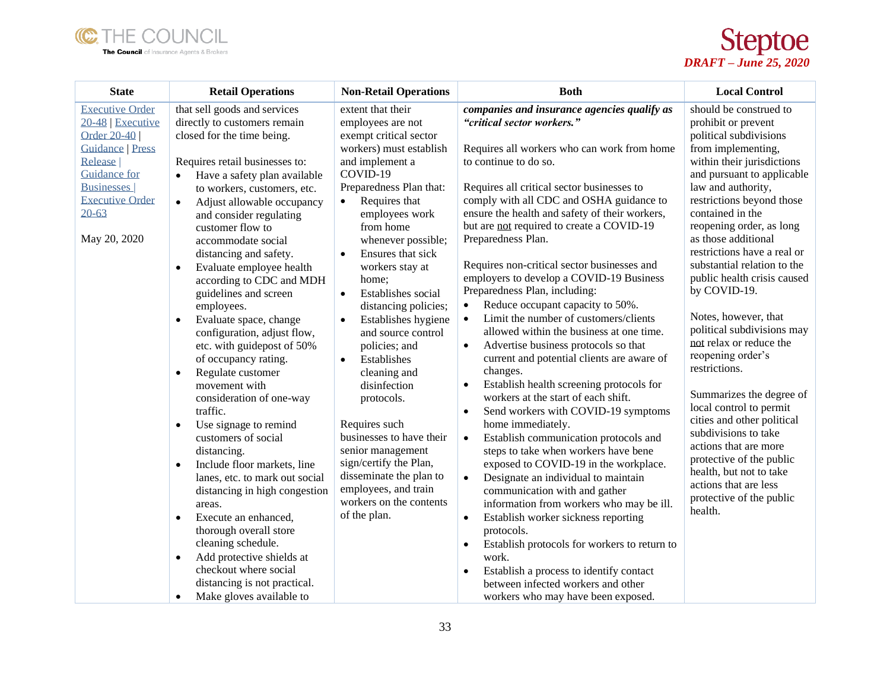



| <b>State</b>                                      | <b>Retail Operations</b>                                        | <b>Non-Retail Operations</b>                                         | <b>Both</b>                                                                       | <b>Local Control</b>                                                       |
|---------------------------------------------------|-----------------------------------------------------------------|----------------------------------------------------------------------|-----------------------------------------------------------------------------------|----------------------------------------------------------------------------|
| <b>Executive Order</b><br>20-48   Executive       | that sell goods and services<br>directly to customers remain    | extent that their<br>employees are not                               | companies and insurance agencies qualify as<br>"critical sector workers."         | should be construed to<br>prohibit or prevent                              |
| Order 20-40<br><b>Guidance   Press</b><br>Release | closed for the time being.<br>Requires retail businesses to:    | exempt critical sector<br>workers) must establish<br>and implement a | Requires all workers who can work from home<br>to continue to do so.              | political subdivisions<br>from implementing,<br>within their jurisdictions |
| <b>Guidance</b> for                               | Have a safety plan available                                    | COVID-19                                                             |                                                                                   | and pursuant to applicable                                                 |
| <b>Businesses</b>                                 | to workers, customers, etc.                                     | Preparedness Plan that:                                              | Requires all critical sector businesses to                                        | law and authority,                                                         |
| <b>Executive Order</b>                            | Adjust allowable occupancy<br>$\bullet$                         | Requires that                                                        | comply with all CDC and OSHA guidance to                                          | restrictions beyond those                                                  |
| $20 - 63$                                         | and consider regulating                                         | employees work                                                       | ensure the health and safety of their workers,                                    | contained in the                                                           |
|                                                   | customer flow to                                                | from home                                                            | but are not required to create a COVID-19                                         | reopening order, as long                                                   |
| May 20, 2020                                      | accommodate social                                              | whenever possible;                                                   | Preparedness Plan.                                                                | as those additional                                                        |
|                                                   | distancing and safety.                                          | Ensures that sick<br>$\bullet$                                       |                                                                                   | restrictions have a real or                                                |
|                                                   | Evaluate employee health<br>$\bullet$                           | workers stay at                                                      | Requires non-critical sector businesses and                                       | substantial relation to the                                                |
|                                                   | according to CDC and MDH                                        | home;                                                                | employers to develop a COVID-19 Business<br>Preparedness Plan, including:         | public health crisis caused<br>by COVID-19.                                |
|                                                   | guidelines and screen                                           | Establishes social<br>$\bullet$                                      | Reduce occupant capacity to 50%.<br>$\bullet$                                     |                                                                            |
|                                                   | employees.<br>Evaluate space, change                            | distancing policies;<br>Establishes hygiene<br>$\bullet$             | Limit the number of customers/clients<br>$\bullet$                                | Notes, however, that                                                       |
|                                                   | $\bullet$<br>configuration, adjust flow,                        | and source control                                                   | allowed within the business at one time.                                          | political subdivisions may                                                 |
|                                                   | etc. with guidepost of 50%                                      | policies; and                                                        | Advertise business protocols so that<br>$\bullet$                                 | not relax or reduce the                                                    |
|                                                   | of occupancy rating.                                            | Establishes<br>$\bullet$                                             | current and potential clients are aware of                                        | reopening order's                                                          |
|                                                   | Regulate customer<br>$\bullet$                                  | cleaning and                                                         | changes.                                                                          | restrictions.                                                              |
|                                                   | movement with                                                   | disinfection                                                         | Establish health screening protocols for<br>$\bullet$                             |                                                                            |
|                                                   | consideration of one-way                                        | protocols.                                                           | workers at the start of each shift.                                               | Summarizes the degree of                                                   |
|                                                   | traffic.                                                        |                                                                      | Send workers with COVID-19 symptoms<br>$\bullet$                                  | local control to permit<br>cities and other political                      |
|                                                   | Use signage to remind<br>$\bullet$                              | Requires such                                                        | home immediately.                                                                 | subdivisions to take                                                       |
|                                                   | customers of social                                             | businesses to have their                                             | Establish communication protocols and<br>$\bullet$                                | actions that are more                                                      |
|                                                   | distancing.                                                     | senior management                                                    | steps to take when workers have bene                                              | protective of the public                                                   |
|                                                   | Include floor markets, line<br>$\bullet$                        | sign/certify the Plan,<br>disseminate the plan to                    | exposed to COVID-19 in the workplace.                                             | health, but not to take                                                    |
|                                                   | lanes, etc. to mark out social<br>distancing in high congestion | employees, and train                                                 | Designate an individual to maintain<br>$\bullet$<br>communication with and gather | actions that are less                                                      |
|                                                   | areas.                                                          | workers on the contents                                              | information from workers who may be ill.                                          | protective of the public                                                   |
|                                                   | Execute an enhanced,<br>$\bullet$                               | of the plan.                                                         | Establish worker sickness reporting<br>$\bullet$                                  | health.                                                                    |
|                                                   | thorough overall store                                          |                                                                      | protocols.                                                                        |                                                                            |
|                                                   | cleaning schedule.                                              |                                                                      | Establish protocols for workers to return to<br>$\bullet$                         |                                                                            |
|                                                   | Add protective shields at<br>$\bullet$                          |                                                                      | work.                                                                             |                                                                            |
|                                                   | checkout where social                                           |                                                                      | Establish a process to identify contact<br>$\bullet$                              |                                                                            |
|                                                   | distancing is not practical.                                    |                                                                      | between infected workers and other                                                |                                                                            |
|                                                   | Make gloves available to<br>$\bullet$                           |                                                                      | workers who may have been exposed.                                                |                                                                            |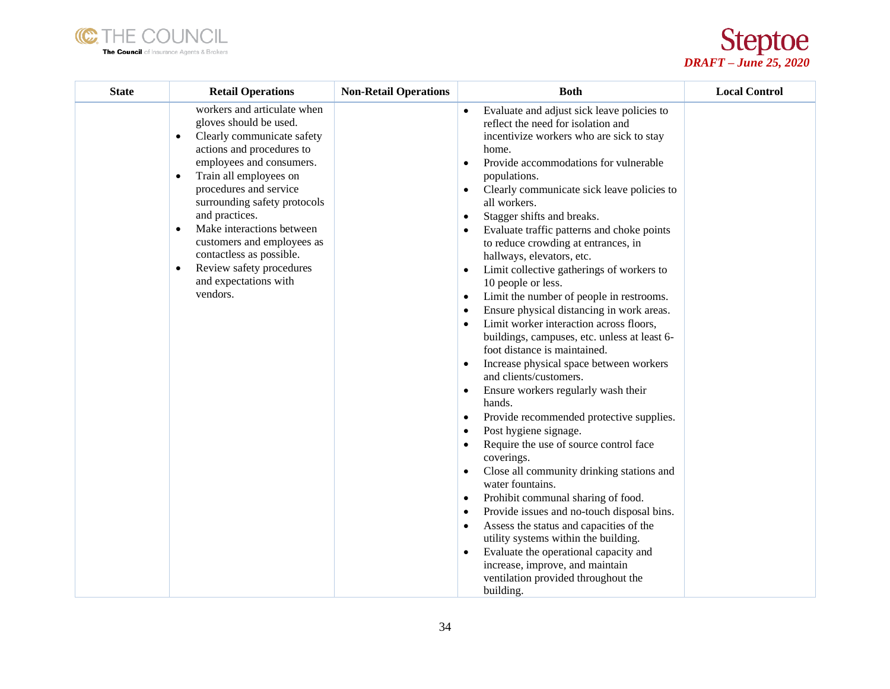



| <b>State</b> | <b>Retail Operations</b>                                                                                                                                                                                                                                                                                                                                                                                                                                       | <b>Non-Retail Operations</b> | <b>Both</b>                                                                                                                                                                                                                                                                                                                                                                                                                                                                                                                                                                                                                                                                                                                                                                                                                                                                                                                                                                                                                                                                                                                                                                                                                                                                                                                                                                                                                                                                                              | <b>Local Control</b> |
|--------------|----------------------------------------------------------------------------------------------------------------------------------------------------------------------------------------------------------------------------------------------------------------------------------------------------------------------------------------------------------------------------------------------------------------------------------------------------------------|------------------------------|----------------------------------------------------------------------------------------------------------------------------------------------------------------------------------------------------------------------------------------------------------------------------------------------------------------------------------------------------------------------------------------------------------------------------------------------------------------------------------------------------------------------------------------------------------------------------------------------------------------------------------------------------------------------------------------------------------------------------------------------------------------------------------------------------------------------------------------------------------------------------------------------------------------------------------------------------------------------------------------------------------------------------------------------------------------------------------------------------------------------------------------------------------------------------------------------------------------------------------------------------------------------------------------------------------------------------------------------------------------------------------------------------------------------------------------------------------------------------------------------------------|----------------------|
|              | workers and articulate when<br>gloves should be used.<br>Clearly communicate safety<br>$\bullet$<br>actions and procedures to<br>employees and consumers.<br>Train all employees on<br>$\bullet$<br>procedures and service<br>surrounding safety protocols<br>and practices.<br>Make interactions between<br>$\bullet$<br>customers and employees as<br>contactless as possible.<br>Review safety procedures<br>$\bullet$<br>and expectations with<br>vendors. |                              | Evaluate and adjust sick leave policies to<br>reflect the need for isolation and<br>incentivize workers who are sick to stay<br>home.<br>Provide accommodations for vulnerable<br>$\bullet$<br>populations.<br>Clearly communicate sick leave policies to<br>$\bullet$<br>all workers.<br>Stagger shifts and breaks.<br>$\bullet$<br>Evaluate traffic patterns and choke points<br>$\bullet$<br>to reduce crowding at entrances, in<br>hallways, elevators, etc.<br>Limit collective gatherings of workers to<br>٠<br>10 people or less.<br>Limit the number of people in restrooms.<br>٠<br>Ensure physical distancing in work areas.<br>$\bullet$<br>Limit worker interaction across floors,<br>٠<br>buildings, campuses, etc. unless at least 6-<br>foot distance is maintained.<br>Increase physical space between workers<br>$\bullet$<br>and clients/customers.<br>Ensure workers regularly wash their<br>$\bullet$<br>hands.<br>Provide recommended protective supplies.<br>٠<br>Post hygiene signage.<br>٠<br>Require the use of source control face<br>$\bullet$<br>coverings.<br>Close all community drinking stations and<br>٠<br>water fountains.<br>Prohibit communal sharing of food.<br>٠<br>Provide issues and no-touch disposal bins.<br>$\bullet$<br>Assess the status and capacities of the<br>$\bullet$<br>utility systems within the building.<br>Evaluate the operational capacity and<br>٠<br>increase, improve, and maintain<br>ventilation provided throughout the<br>building. |                      |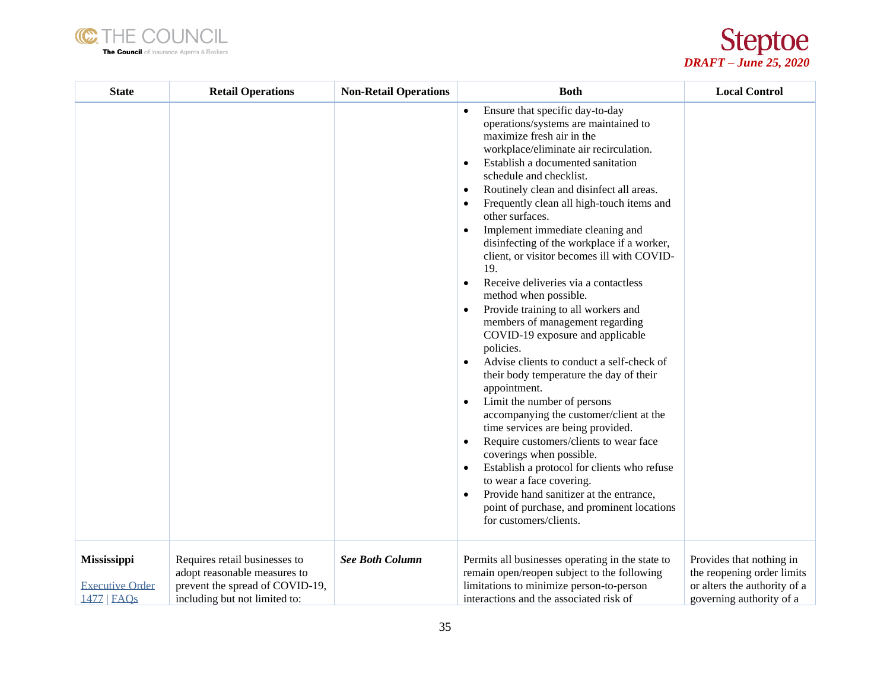



| <b>State</b>                                                | <b>Retail Operations</b>                                                                                                          | <b>Non-Retail Operations</b> | <b>Both</b>                                                                                                                                                                                                                                                                                                                                                                                                                                                                                                                                                                                                                                                                                                                                                                                                                                                                                                                                                                                                                                                                                                                                                                                                                      | <b>Local Control</b>                                                                                               |
|-------------------------------------------------------------|-----------------------------------------------------------------------------------------------------------------------------------|------------------------------|----------------------------------------------------------------------------------------------------------------------------------------------------------------------------------------------------------------------------------------------------------------------------------------------------------------------------------------------------------------------------------------------------------------------------------------------------------------------------------------------------------------------------------------------------------------------------------------------------------------------------------------------------------------------------------------------------------------------------------------------------------------------------------------------------------------------------------------------------------------------------------------------------------------------------------------------------------------------------------------------------------------------------------------------------------------------------------------------------------------------------------------------------------------------------------------------------------------------------------|--------------------------------------------------------------------------------------------------------------------|
|                                                             |                                                                                                                                   |                              | Ensure that specific day-to-day<br>operations/systems are maintained to<br>maximize fresh air in the<br>workplace/eliminate air recirculation.<br>Establish a documented sanitation<br>$\bullet$<br>schedule and checklist.<br>Routinely clean and disinfect all areas.<br>٠<br>Frequently clean all high-touch items and<br>٠<br>other surfaces.<br>Implement immediate cleaning and<br>disinfecting of the workplace if a worker,<br>client, or visitor becomes ill with COVID-<br>19.<br>Receive deliveries via a contactless<br>$\bullet$<br>method when possible.<br>Provide training to all workers and<br>٠<br>members of management regarding<br>COVID-19 exposure and applicable<br>policies.<br>Advise clients to conduct a self-check of<br>their body temperature the day of their<br>appointment.<br>Limit the number of persons<br>٠<br>accompanying the customer/client at the<br>time services are being provided.<br>Require customers/clients to wear face<br>$\bullet$<br>coverings when possible.<br>Establish a protocol for clients who refuse<br>$\bullet$<br>to wear a face covering.<br>Provide hand sanitizer at the entrance,<br>point of purchase, and prominent locations<br>for customers/clients. |                                                                                                                    |
| <b>Mississippi</b><br><b>Executive Order</b><br>1477   FAOs | Requires retail businesses to<br>adopt reasonable measures to<br>prevent the spread of COVID-19,<br>including but not limited to: | <b>See Both Column</b>       | Permits all businesses operating in the state to<br>remain open/reopen subject to the following<br>limitations to minimize person-to-person<br>interactions and the associated risk of                                                                                                                                                                                                                                                                                                                                                                                                                                                                                                                                                                                                                                                                                                                                                                                                                                                                                                                                                                                                                                           | Provides that nothing in<br>the reopening order limits<br>or alters the authority of a<br>governing authority of a |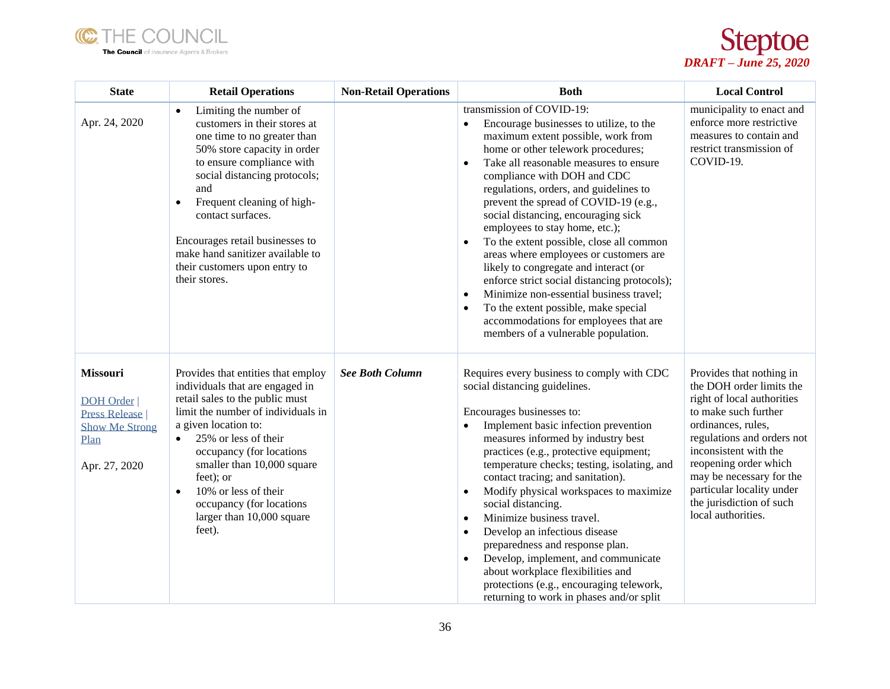



| <b>State</b>                                                                                                  | <b>Retail Operations</b>                                                                                                                                                                                                                                                                                                                                                                       | <b>Non-Retail Operations</b> | <b>Both</b>                                                                                                                                                                                                                                                                                                                                                                                                                                                                                                                                                                                                                                                                                                                                                                                 | <b>Local Control</b>                                                                                                                                                                                                                                                                                                        |
|---------------------------------------------------------------------------------------------------------------|------------------------------------------------------------------------------------------------------------------------------------------------------------------------------------------------------------------------------------------------------------------------------------------------------------------------------------------------------------------------------------------------|------------------------------|---------------------------------------------------------------------------------------------------------------------------------------------------------------------------------------------------------------------------------------------------------------------------------------------------------------------------------------------------------------------------------------------------------------------------------------------------------------------------------------------------------------------------------------------------------------------------------------------------------------------------------------------------------------------------------------------------------------------------------------------------------------------------------------------|-----------------------------------------------------------------------------------------------------------------------------------------------------------------------------------------------------------------------------------------------------------------------------------------------------------------------------|
| Apr. 24, 2020                                                                                                 | Limiting the number of<br>$\bullet$<br>customers in their stores at<br>one time to no greater than<br>50% store capacity in order<br>to ensure compliance with<br>social distancing protocols;<br>and<br>Frequent cleaning of high-<br>$\bullet$<br>contact surfaces.<br>Encourages retail businesses to<br>make hand sanitizer available to<br>their customers upon entry to<br>their stores. |                              | transmission of COVID-19:<br>Encourage businesses to utilize, to the<br>$\bullet$<br>maximum extent possible, work from<br>home or other telework procedures;<br>Take all reasonable measures to ensure<br>$\bullet$<br>compliance with DOH and CDC<br>regulations, orders, and guidelines to<br>prevent the spread of COVID-19 (e.g.,<br>social distancing, encouraging sick<br>employees to stay home, etc.);<br>To the extent possible, close all common<br>areas where employees or customers are<br>likely to congregate and interact (or<br>enforce strict social distancing protocols);<br>Minimize non-essential business travel;<br>$\bullet$<br>To the extent possible, make special<br>$\bullet$<br>accommodations for employees that are<br>members of a vulnerable population. | municipality to enact and<br>enforce more restrictive<br>measures to contain and<br>restrict transmission of<br>COVID-19.                                                                                                                                                                                                   |
| <b>Missouri</b><br><b>DOH</b> Order<br><b>Press Release</b><br><b>Show Me Strong</b><br>Plan<br>Apr. 27, 2020 | Provides that entities that employ<br>individuals that are engaged in<br>retail sales to the public must<br>limit the number of individuals in<br>a given location to:<br>25% or less of their<br>$\bullet$<br>occupancy (for locations<br>smaller than 10,000 square<br>feet); or<br>10% or less of their<br>$\bullet$<br>occupancy (for locations<br>larger than 10,000 square<br>feet).     | <b>See Both Column</b>       | Requires every business to comply with CDC<br>social distancing guidelines.<br>Encourages businesses to:<br>Implement basic infection prevention<br>$\bullet$<br>measures informed by industry best<br>practices (e.g., protective equipment;<br>temperature checks; testing, isolating, and<br>contact tracing; and sanitation).<br>Modify physical workspaces to maximize<br>$\bullet$<br>social distancing.<br>Minimize business travel.<br>$\bullet$<br>Develop an infectious disease<br>$\bullet$<br>preparedness and response plan.<br>Develop, implement, and communicate<br>$\bullet$<br>about workplace flexibilities and<br>protections (e.g., encouraging telework,<br>returning to work in phases and/or split                                                                  | Provides that nothing in<br>the DOH order limits the<br>right of local authorities<br>to make such further<br>ordinances, rules,<br>regulations and orders not<br>inconsistent with the<br>reopening order which<br>may be necessary for the<br>particular locality under<br>the jurisdiction of such<br>local authorities. |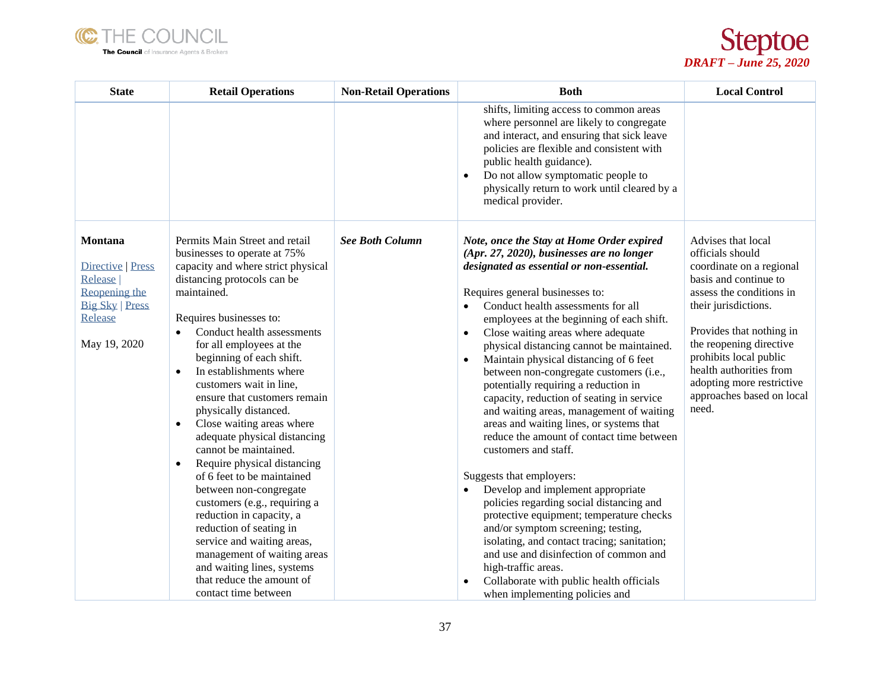



| <b>State</b>                                                                                                  | <b>Retail Operations</b>                                                                                                                                                                                                                                                                                                                                                                                                                                                                                                                                                                                                                                                                                                                                                                                                                      | <b>Non-Retail Operations</b> | <b>Both</b>                                                                                                                                                                                                                                                                                                                                                                                                                                                                                                                                                                                                                                                                                                                                                                                                                                                                                                                                                                                                                                                                                                                          | <b>Local Control</b>                                                                                                                                                                                                                                                                                                           |
|---------------------------------------------------------------------------------------------------------------|-----------------------------------------------------------------------------------------------------------------------------------------------------------------------------------------------------------------------------------------------------------------------------------------------------------------------------------------------------------------------------------------------------------------------------------------------------------------------------------------------------------------------------------------------------------------------------------------------------------------------------------------------------------------------------------------------------------------------------------------------------------------------------------------------------------------------------------------------|------------------------------|--------------------------------------------------------------------------------------------------------------------------------------------------------------------------------------------------------------------------------------------------------------------------------------------------------------------------------------------------------------------------------------------------------------------------------------------------------------------------------------------------------------------------------------------------------------------------------------------------------------------------------------------------------------------------------------------------------------------------------------------------------------------------------------------------------------------------------------------------------------------------------------------------------------------------------------------------------------------------------------------------------------------------------------------------------------------------------------------------------------------------------------|--------------------------------------------------------------------------------------------------------------------------------------------------------------------------------------------------------------------------------------------------------------------------------------------------------------------------------|
|                                                                                                               |                                                                                                                                                                                                                                                                                                                                                                                                                                                                                                                                                                                                                                                                                                                                                                                                                                               |                              | shifts, limiting access to common areas<br>where personnel are likely to congregate<br>and interact, and ensuring that sick leave<br>policies are flexible and consistent with<br>public health guidance).<br>Do not allow symptomatic people to<br>$\bullet$<br>physically return to work until cleared by a<br>medical provider.                                                                                                                                                                                                                                                                                                                                                                                                                                                                                                                                                                                                                                                                                                                                                                                                   |                                                                                                                                                                                                                                                                                                                                |
| Montana<br>Directive   Press<br>Release<br>Reopening the<br><b>Big Sky   Press</b><br>Release<br>May 19, 2020 | Permits Main Street and retail<br>businesses to operate at 75%<br>capacity and where strict physical<br>distancing protocols can be<br>maintained.<br>Requires businesses to:<br>Conduct health assessments<br>for all employees at the<br>beginning of each shift.<br>In establishments where<br>$\bullet$<br>customers wait in line,<br>ensure that customers remain<br>physically distanced.<br>Close waiting areas where<br>$\bullet$<br>adequate physical distancing<br>cannot be maintained.<br>Require physical distancing<br>$\bullet$<br>of 6 feet to be maintained<br>between non-congregate<br>customers (e.g., requiring a<br>reduction in capacity, a<br>reduction of seating in<br>service and waiting areas,<br>management of waiting areas<br>and waiting lines, systems<br>that reduce the amount of<br>contact time between | <b>See Both Column</b>       | Note, once the Stay at Home Order expired<br>(Apr. 27, 2020), businesses are no longer<br>designated as essential or non-essential.<br>Requires general businesses to:<br>Conduct health assessments for all<br>$\bullet$<br>employees at the beginning of each shift.<br>Close waiting areas where adequate<br>$\bullet$<br>physical distancing cannot be maintained.<br>Maintain physical distancing of 6 feet<br>$\bullet$<br>between non-congregate customers (i.e.,<br>potentially requiring a reduction in<br>capacity, reduction of seating in service<br>and waiting areas, management of waiting<br>areas and waiting lines, or systems that<br>reduce the amount of contact time between<br>customers and staff.<br>Suggests that employers:<br>Develop and implement appropriate<br>policies regarding social distancing and<br>protective equipment; temperature checks<br>and/or symptom screening; testing,<br>isolating, and contact tracing; sanitation;<br>and use and disinfection of common and<br>high-traffic areas.<br>Collaborate with public health officials<br>$\bullet$<br>when implementing policies and | Advises that local<br>officials should<br>coordinate on a regional<br>basis and continue to<br>assess the conditions in<br>their jurisdictions.<br>Provides that nothing in<br>the reopening directive<br>prohibits local public<br>health authorities from<br>adopting more restrictive<br>approaches based on local<br>need. |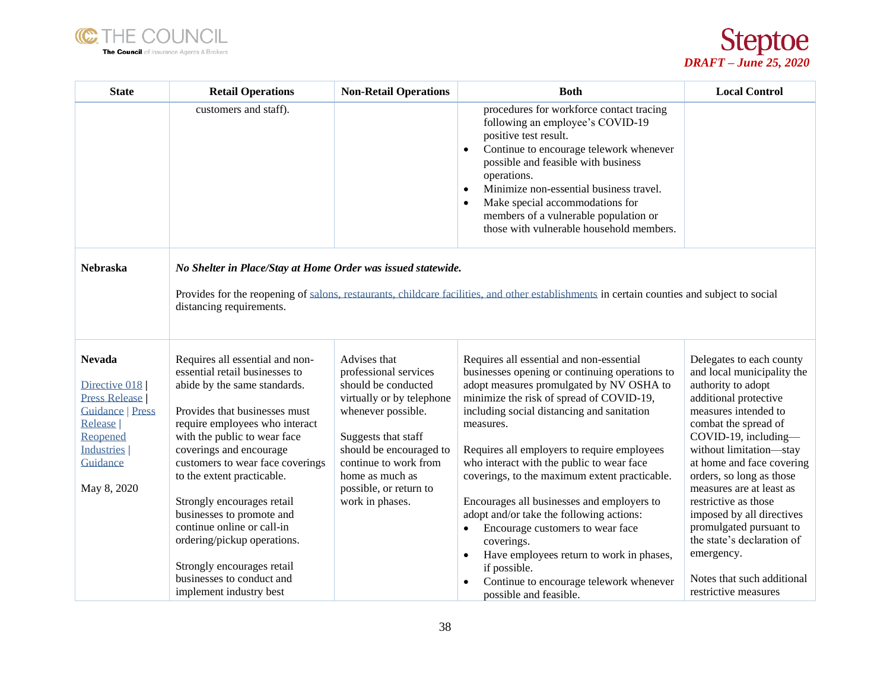



| <b>State</b>                                                                                                                                               | <b>Retail Operations</b>                                                                                                                                                                                                                                                                                                                                                                                                                                                                                        | <b>Non-Retail Operations</b>                                                                                                                                                                                                                               | <b>Both</b>                                                                                                                                                                                                                                                                                                                                                                                                                                                                                                                                                                                                                                                                                       | <b>Local Control</b>                                                                                                                                                                                                                                                                                                                                                                                                                                                            |
|------------------------------------------------------------------------------------------------------------------------------------------------------------|-----------------------------------------------------------------------------------------------------------------------------------------------------------------------------------------------------------------------------------------------------------------------------------------------------------------------------------------------------------------------------------------------------------------------------------------------------------------------------------------------------------------|------------------------------------------------------------------------------------------------------------------------------------------------------------------------------------------------------------------------------------------------------------|---------------------------------------------------------------------------------------------------------------------------------------------------------------------------------------------------------------------------------------------------------------------------------------------------------------------------------------------------------------------------------------------------------------------------------------------------------------------------------------------------------------------------------------------------------------------------------------------------------------------------------------------------------------------------------------------------|---------------------------------------------------------------------------------------------------------------------------------------------------------------------------------------------------------------------------------------------------------------------------------------------------------------------------------------------------------------------------------------------------------------------------------------------------------------------------------|
|                                                                                                                                                            | customers and staff).                                                                                                                                                                                                                                                                                                                                                                                                                                                                                           |                                                                                                                                                                                                                                                            | procedures for workforce contact tracing<br>following an employee's COVID-19<br>positive test result.<br>Continue to encourage telework whenever<br>possible and feasible with business<br>operations.<br>Minimize non-essential business travel.<br>$\bullet$<br>Make special accommodations for<br>members of a vulnerable population or<br>those with vulnerable household members.                                                                                                                                                                                                                                                                                                            |                                                                                                                                                                                                                                                                                                                                                                                                                                                                                 |
| <b>Nebraska</b>                                                                                                                                            | No Shelter in Place/Stay at Home Order was issued statewide.<br>Provides for the reopening of salons, restaurants, childcare facilities, and other establishments in certain counties and subject to social<br>distancing requirements.                                                                                                                                                                                                                                                                         |                                                                                                                                                                                                                                                            |                                                                                                                                                                                                                                                                                                                                                                                                                                                                                                                                                                                                                                                                                                   |                                                                                                                                                                                                                                                                                                                                                                                                                                                                                 |
| <b>Nevada</b><br>Directive 018<br><b>Press Release</b><br><b>Guidance   Press</b><br>Release  <br>Reopened<br><b>Industries</b><br>Guidance<br>May 8, 2020 | Requires all essential and non-<br>essential retail businesses to<br>abide by the same standards.<br>Provides that businesses must<br>require employees who interact<br>with the public to wear face<br>coverings and encourage<br>customers to wear face coverings<br>to the extent practicable.<br>Strongly encourages retail<br>businesses to promote and<br>continue online or call-in<br>ordering/pickup operations.<br>Strongly encourages retail<br>businesses to conduct and<br>implement industry best | Advises that<br>professional services<br>should be conducted<br>virtually or by telephone<br>whenever possible.<br>Suggests that staff<br>should be encouraged to<br>continue to work from<br>home as much as<br>possible, or return to<br>work in phases. | Requires all essential and non-essential<br>businesses opening or continuing operations to<br>adopt measures promulgated by NV OSHA to<br>minimize the risk of spread of COVID-19,<br>including social distancing and sanitation<br>measures.<br>Requires all employers to require employees<br>who interact with the public to wear face<br>coverings, to the maximum extent practicable.<br>Encourages all businesses and employers to<br>adopt and/or take the following actions:<br>Encourage customers to wear face<br>coverings.<br>Have employees return to work in phases,<br>$\bullet$<br>if possible.<br>Continue to encourage telework whenever<br>$\bullet$<br>possible and feasible. | Delegates to each county<br>and local municipality the<br>authority to adopt<br>additional protective<br>measures intended to<br>combat the spread of<br>COVID-19, including-<br>without limitation-stay<br>at home and face covering<br>orders, so long as those<br>measures are at least as<br>restrictive as those<br>imposed by all directives<br>promulgated pursuant to<br>the state's declaration of<br>emergency.<br>Notes that such additional<br>restrictive measures |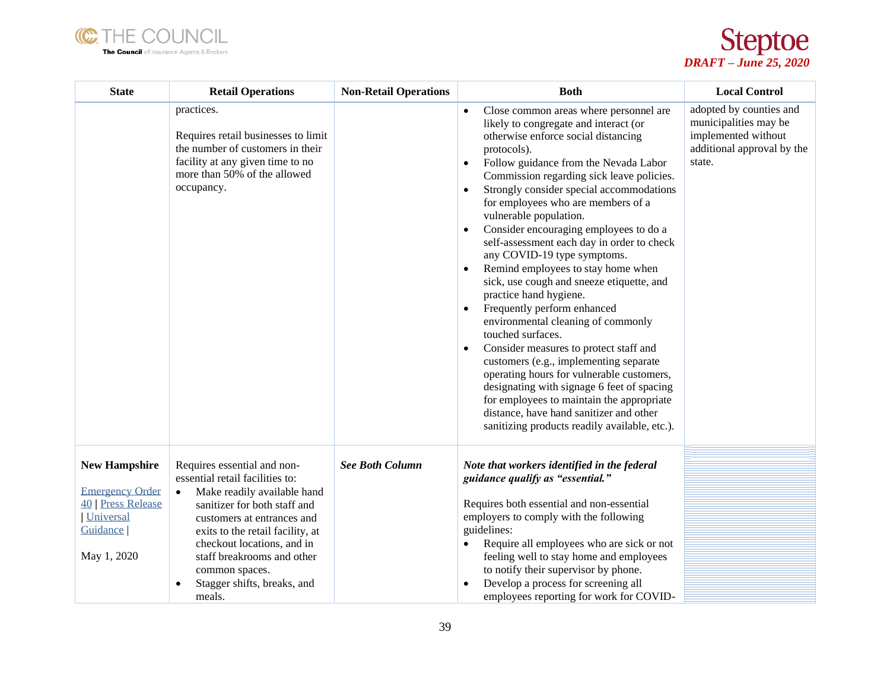



| <b>State</b>                                                                                                        | <b>Retail Operations</b>                                                                                                                                                                                                                                                                                                                         | <b>Non-Retail Operations</b> | <b>Both</b>                                                                                                                                                                                                                                                                                                                                                                                                                                                                                                                                                                                                                                                                                                                                                                                                                                                                                                                                                                                                                                                                 | <b>Local Control</b>                                                                                            |
|---------------------------------------------------------------------------------------------------------------------|--------------------------------------------------------------------------------------------------------------------------------------------------------------------------------------------------------------------------------------------------------------------------------------------------------------------------------------------------|------------------------------|-----------------------------------------------------------------------------------------------------------------------------------------------------------------------------------------------------------------------------------------------------------------------------------------------------------------------------------------------------------------------------------------------------------------------------------------------------------------------------------------------------------------------------------------------------------------------------------------------------------------------------------------------------------------------------------------------------------------------------------------------------------------------------------------------------------------------------------------------------------------------------------------------------------------------------------------------------------------------------------------------------------------------------------------------------------------------------|-----------------------------------------------------------------------------------------------------------------|
|                                                                                                                     | practices.<br>Requires retail businesses to limit<br>the number of customers in their<br>facility at any given time to no<br>more than 50% of the allowed<br>occupancy.                                                                                                                                                                          |                              | Close common areas where personnel are<br>$\bullet$<br>likely to congregate and interact (or<br>otherwise enforce social distancing<br>protocols).<br>Follow guidance from the Nevada Labor<br>$\bullet$<br>Commission regarding sick leave policies.<br>Strongly consider special accommodations<br>$\bullet$<br>for employees who are members of a<br>vulnerable population.<br>Consider encouraging employees to do a<br>$\bullet$<br>self-assessment each day in order to check<br>any COVID-19 type symptoms.<br>Remind employees to stay home when<br>sick, use cough and sneeze etiquette, and<br>practice hand hygiene.<br>Frequently perform enhanced<br>$\bullet$<br>environmental cleaning of commonly<br>touched surfaces.<br>Consider measures to protect staff and<br>$\bullet$<br>customers (e.g., implementing separate<br>operating hours for vulnerable customers,<br>designating with signage 6 feet of spacing<br>for employees to maintain the appropriate<br>distance, have hand sanitizer and other<br>sanitizing products readily available, etc.). | adopted by counties and<br>municipalities may be<br>implemented without<br>additional approval by the<br>state. |
| <b>New Hampshire</b><br><b>Emergency Order</b><br>40 Press Release<br><b>Universal</b><br>Guidance  <br>May 1, 2020 | Requires essential and non-<br>essential retail facilities to:<br>Make readily available hand<br>$\bullet$<br>sanitizer for both staff and<br>customers at entrances and<br>exits to the retail facility, at<br>checkout locations, and in<br>staff breakrooms and other<br>common spaces.<br>Stagger shifts, breaks, and<br>$\bullet$<br>meals. | <b>See Both Column</b>       | Note that workers identified in the federal<br>guidance qualify as "essential."<br>Requires both essential and non-essential<br>employers to comply with the following<br>guidelines:<br>Require all employees who are sick or not<br>$\bullet$<br>feeling well to stay home and employees<br>to notify their supervisor by phone.<br>Develop a process for screening all<br>$\bullet$<br>employees reporting for work for COVID-                                                                                                                                                                                                                                                                                                                                                                                                                                                                                                                                                                                                                                           |                                                                                                                 |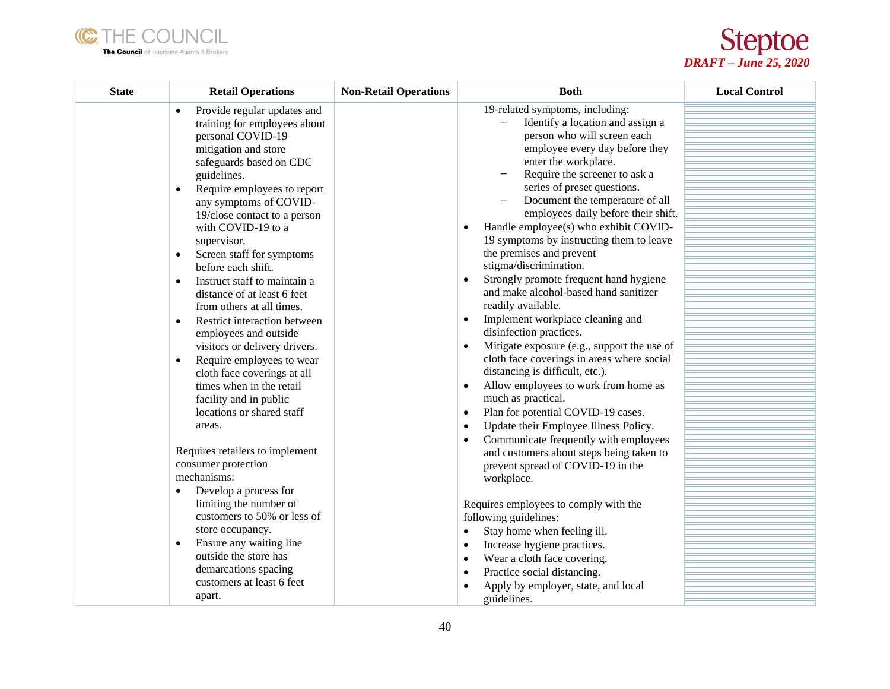



| <b>State</b> | <b>Retail Operations</b>                                                                                                                                                                                                                                                                                                                                                                                                                                                                                                                                                                                                                                                                                                                                         | <b>Non-Retail Operations</b> | <b>Both</b>                                                                                                                                                                                                                                                                                                                                                                                                                                                                                                                                                                                                                                                                                                                                                                                                                                                                                                                                   | <b>Local Control</b> |
|--------------|------------------------------------------------------------------------------------------------------------------------------------------------------------------------------------------------------------------------------------------------------------------------------------------------------------------------------------------------------------------------------------------------------------------------------------------------------------------------------------------------------------------------------------------------------------------------------------------------------------------------------------------------------------------------------------------------------------------------------------------------------------------|------------------------------|-----------------------------------------------------------------------------------------------------------------------------------------------------------------------------------------------------------------------------------------------------------------------------------------------------------------------------------------------------------------------------------------------------------------------------------------------------------------------------------------------------------------------------------------------------------------------------------------------------------------------------------------------------------------------------------------------------------------------------------------------------------------------------------------------------------------------------------------------------------------------------------------------------------------------------------------------|----------------------|
|              | Provide regular updates and<br>$\bullet$<br>training for employees about<br>personal COVID-19<br>mitigation and store<br>safeguards based on CDC<br>guidelines.<br>Require employees to report<br>$\bullet$<br>any symptoms of COVID-<br>19/close contact to a person<br>with COVID-19 to a<br>supervisor.<br>Screen staff for symptoms<br>$\bullet$<br>before each shift.<br>Instruct staff to maintain a<br>$\bullet$<br>distance of at least 6 feet<br>from others at all times.<br>Restrict interaction between<br>$\bullet$<br>employees and outside<br>visitors or delivery drivers.<br>Require employees to wear<br>$\bullet$<br>cloth face coverings at all<br>times when in the retail<br>facility and in public<br>locations or shared staff<br>areas. |                              | 19-related symptoms, including:<br>Identify a location and assign a<br>person who will screen each<br>employee every day before they<br>enter the workplace.<br>Require the screener to ask a<br>series of preset questions.<br>Document the temperature of all<br>employees daily before their shift.<br>Handle employee(s) who exhibit COVID-<br>19 symptoms by instructing them to leave<br>the premises and prevent<br>stigma/discrimination.<br>Strongly promote frequent hand hygiene<br>$\bullet$<br>and make alcohol-based hand sanitizer<br>readily available.<br>Implement workplace cleaning and<br>disinfection practices.<br>Mitigate exposure (e.g., support the use of<br>cloth face coverings in areas where social<br>distancing is difficult, etc.).<br>Allow employees to work from home as<br>$\bullet$<br>much as practical.<br>Plan for potential COVID-19 cases.<br>$\bullet$<br>Update their Employee Illness Policy. |                      |
|              | Requires retailers to implement<br>consumer protection<br>mechanisms:<br>Develop a process for<br>$\bullet$<br>limiting the number of<br>customers to 50% or less of<br>store occupancy.<br>Ensure any waiting line<br>$\bullet$<br>outside the store has<br>demarcations spacing<br>customers at least 6 feet<br>apart.                                                                                                                                                                                                                                                                                                                                                                                                                                         |                              | Communicate frequently with employees<br>and customers about steps being taken to<br>prevent spread of COVID-19 in the<br>workplace.<br>Requires employees to comply with the<br>following guidelines:<br>Stay home when feeling ill.<br>$\bullet$<br>Increase hygiene practices.<br>$\bullet$<br>Wear a cloth face covering.<br>$\bullet$<br>Practice social distancing.<br>$\bullet$<br>Apply by employer, state, and local<br>guidelines.                                                                                                                                                                                                                                                                                                                                                                                                                                                                                                  |                      |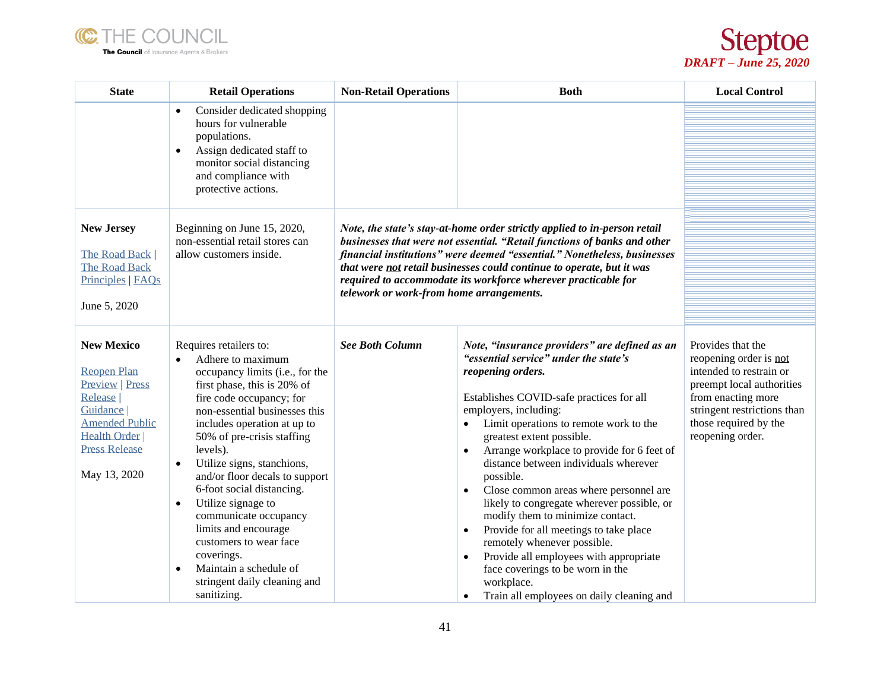



| <b>State</b>                                                                                                                                                                         | <b>Retail Operations</b>                                                                                                                                                                                                                                                                                                                                                                                                                                                                                                                                           | <b>Non-Retail Operations</b>                                                                                                                                                                                                                                                                                                                                                                                             | <b>Both</b>                                                                                                                                                                                                                                                                                                                                                                                                                                                                                                                                                                                                                                                                                                                                                   | <b>Local Control</b>                                                                                                                                                                                  |
|--------------------------------------------------------------------------------------------------------------------------------------------------------------------------------------|--------------------------------------------------------------------------------------------------------------------------------------------------------------------------------------------------------------------------------------------------------------------------------------------------------------------------------------------------------------------------------------------------------------------------------------------------------------------------------------------------------------------------------------------------------------------|--------------------------------------------------------------------------------------------------------------------------------------------------------------------------------------------------------------------------------------------------------------------------------------------------------------------------------------------------------------------------------------------------------------------------|---------------------------------------------------------------------------------------------------------------------------------------------------------------------------------------------------------------------------------------------------------------------------------------------------------------------------------------------------------------------------------------------------------------------------------------------------------------------------------------------------------------------------------------------------------------------------------------------------------------------------------------------------------------------------------------------------------------------------------------------------------------|-------------------------------------------------------------------------------------------------------------------------------------------------------------------------------------------------------|
|                                                                                                                                                                                      | Consider dedicated shopping<br>$\bullet$<br>hours for vulnerable<br>populations.<br>Assign dedicated staff to<br>$\bullet$<br>monitor social distancing<br>and compliance with<br>protective actions.                                                                                                                                                                                                                                                                                                                                                              |                                                                                                                                                                                                                                                                                                                                                                                                                          |                                                                                                                                                                                                                                                                                                                                                                                                                                                                                                                                                                                                                                                                                                                                                               |                                                                                                                                                                                                       |
| <b>New Jersey</b><br>The Road Back  <br><b>The Road Back</b><br>Principles   FAQs<br>June 5, 2020                                                                                    | Beginning on June 15, 2020,<br>non-essential retail stores can<br>allow customers inside.                                                                                                                                                                                                                                                                                                                                                                                                                                                                          | Note, the state's stay-at-home order strictly applied to in-person retail<br>businesses that were not essential. "Retail functions of banks and other<br>financial institutions" were deemed "essential." Nonetheless, businesses<br>that were not retail businesses could continue to operate, but it was<br>required to accommodate its workforce wherever practicable for<br>telework or work-from home arrangements. |                                                                                                                                                                                                                                                                                                                                                                                                                                                                                                                                                                                                                                                                                                                                                               |                                                                                                                                                                                                       |
| <b>New Mexico</b><br><b>Reopen Plan</b><br><b>Preview   Press</b><br>Release  <br>Guidance  <br><b>Amended Public</b><br><b>Health Order</b><br><b>Press Release</b><br>May 13, 2020 | Requires retailers to:<br>Adhere to maximum<br>occupancy limits (i.e., for the<br>first phase, this is 20% of<br>fire code occupancy; for<br>non-essential businesses this<br>includes operation at up to<br>50% of pre-crisis staffing<br>levels).<br>Utilize signs, stanchions,<br>and/or floor decals to support<br>6-foot social distancing.<br>Utilize signage to<br>$\bullet$<br>communicate occupancy<br>limits and encourage<br>customers to wear face<br>coverings.<br>Maintain a schedule of<br>$\bullet$<br>stringent daily cleaning and<br>sanitizing. | <b>See Both Column</b>                                                                                                                                                                                                                                                                                                                                                                                                   | Note, "insurance providers" are defined as an<br>"essential service" under the state's<br>reopening orders.<br>Establishes COVID-safe practices for all<br>employers, including:<br>Limit operations to remote work to the<br>$\bullet$<br>greatest extent possible.<br>Arrange workplace to provide for 6 feet of<br>distance between individuals wherever<br>possible.<br>Close common areas where personnel are<br>likely to congregate wherever possible, or<br>modify them to minimize contact.<br>Provide for all meetings to take place<br>$\bullet$<br>remotely whenever possible.<br>Provide all employees with appropriate<br>$\bullet$<br>face coverings to be worn in the<br>workplace.<br>Train all employees on daily cleaning and<br>$\bullet$ | Provides that the<br>reopening order is not<br>intended to restrain or<br>preempt local authorities<br>from enacting more<br>stringent restrictions than<br>those required by the<br>reopening order. |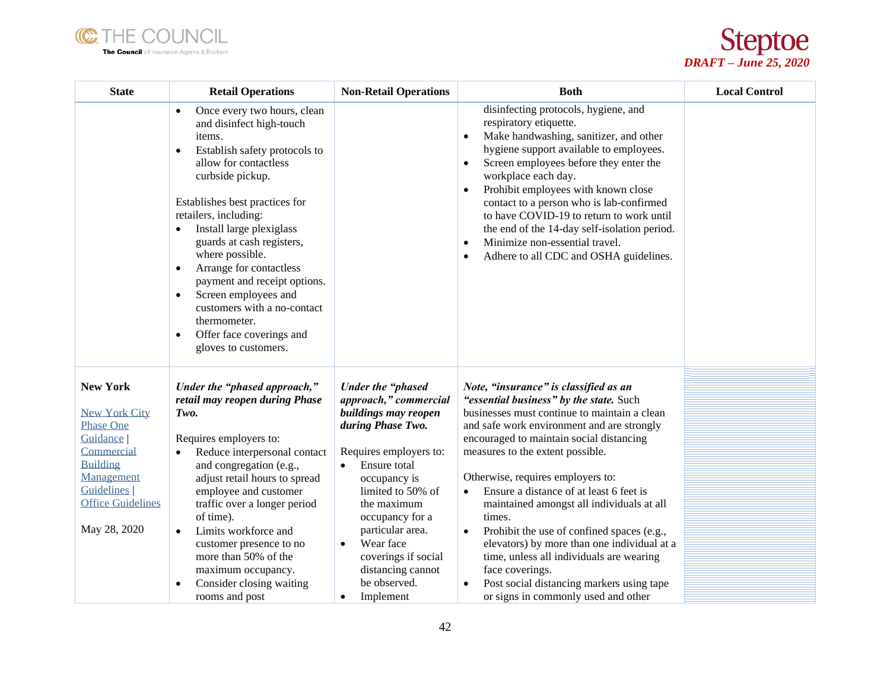



| <b>State</b>                                                                                                                                                                              | <b>Retail Operations</b>                                                                                                                                                                                                                                                                                                                                                                                                                                                                                                                      | <b>Non-Retail Operations</b>                                                                                                                                                                                                                                                                                                                 | <b>Both</b>                                                                                                                                                                                                                                                                                                                                                                                                                                                                                                                                                                                                                                                                     | <b>Local Control</b> |
|-------------------------------------------------------------------------------------------------------------------------------------------------------------------------------------------|-----------------------------------------------------------------------------------------------------------------------------------------------------------------------------------------------------------------------------------------------------------------------------------------------------------------------------------------------------------------------------------------------------------------------------------------------------------------------------------------------------------------------------------------------|----------------------------------------------------------------------------------------------------------------------------------------------------------------------------------------------------------------------------------------------------------------------------------------------------------------------------------------------|---------------------------------------------------------------------------------------------------------------------------------------------------------------------------------------------------------------------------------------------------------------------------------------------------------------------------------------------------------------------------------------------------------------------------------------------------------------------------------------------------------------------------------------------------------------------------------------------------------------------------------------------------------------------------------|----------------------|
|                                                                                                                                                                                           | Once every two hours, clean<br>$\bullet$<br>and disinfect high-touch<br>items.<br>Establish safety protocols to<br>$\bullet$<br>allow for contactless<br>curbside pickup.<br>Establishes best practices for<br>retailers, including:<br>Install large plexiglass<br>guards at cash registers,<br>where possible.<br>Arrange for contactless<br>$\bullet$<br>payment and receipt options.<br>Screen employees and<br>$\bullet$<br>customers with a no-contact<br>thermometer.<br>Offer face coverings and<br>$\bullet$<br>gloves to customers. |                                                                                                                                                                                                                                                                                                                                              | disinfecting protocols, hygiene, and<br>respiratory etiquette.<br>Make handwashing, sanitizer, and other<br>$\bullet$<br>hygiene support available to employees.<br>Screen employees before they enter the<br>$\bullet$<br>workplace each day.<br>Prohibit employees with known close<br>$\bullet$<br>contact to a person who is lab-confirmed<br>to have COVID-19 to return to work until<br>the end of the 14-day self-isolation period.<br>Minimize non-essential travel.<br>$\bullet$<br>Adhere to all CDC and OSHA guidelines.                                                                                                                                             |                      |
| <b>New York</b><br><b>New York City</b><br><b>Phase One</b><br>Guidance  <br>Commercial<br><b>Building</b><br>Management<br><b>Guidelines</b><br><b>Office Guidelines</b><br>May 28, 2020 | Under the "phased approach,"<br>retail may reopen during Phase<br>Two.<br>Requires employers to:<br>Reduce interpersonal contact<br>$\bullet$<br>and congregation (e.g.,<br>adjust retail hours to spread<br>employee and customer<br>traffic over a longer period<br>of time).<br>Limits workforce and<br>$\bullet$<br>customer presence to no<br>more than 50% of the<br>maximum occupancy.<br>Consider closing waiting<br>$\bullet$<br>rooms and post                                                                                      | Under the "phased<br>approach," commercial<br>buildings may reopen<br>during Phase Two.<br>Requires employers to:<br>Ensure total<br>occupancy is<br>limited to 50% of<br>the maximum<br>occupancy for a<br>particular area.<br>Wear face<br>$\bullet$<br>coverings if social<br>distancing cannot<br>be observed.<br>Implement<br>$\bullet$ | Note, "insurance" is classified as an<br>"essential business" by the state. Such<br>businesses must continue to maintain a clean<br>and safe work environment and are strongly<br>encouraged to maintain social distancing<br>measures to the extent possible.<br>Otherwise, requires employers to:<br>Ensure a distance of at least 6 feet is<br>maintained amongst all individuals at all<br>times.<br>Prohibit the use of confined spaces (e.g.,<br>$\bullet$<br>elevators) by more than one individual at a<br>time, unless all individuals are wearing<br>face coverings.<br>Post social distancing markers using tape<br>$\bullet$<br>or signs in commonly used and other |                      |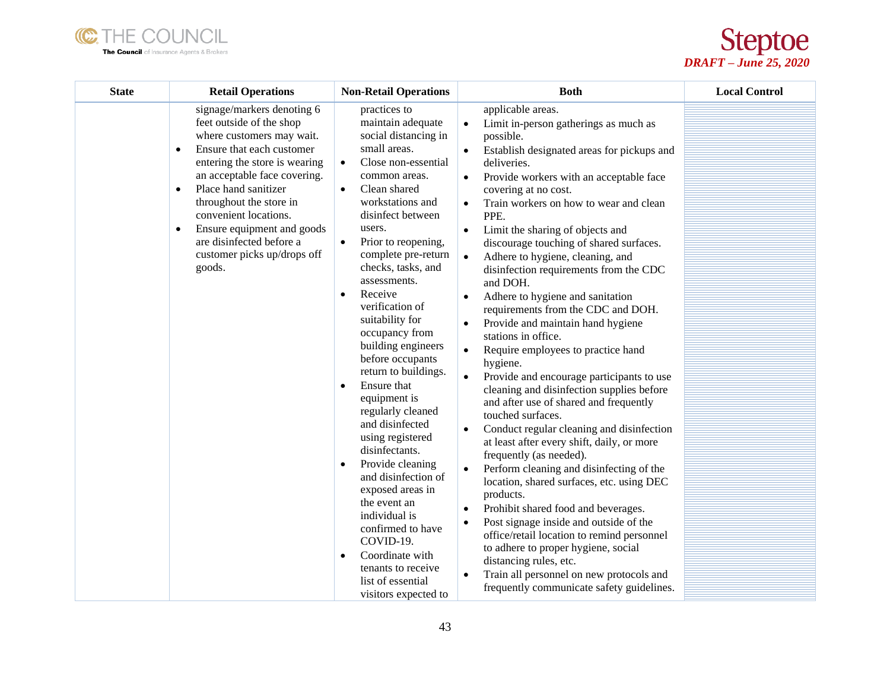



| <b>State</b> | <b>Retail Operations</b>                                                                                                                                                                                                                                                                                                                                                                                | <b>Non-Retail Operations</b>                                                                                                                                                                                                                                                                                                                                                                                                                                                                                                                                                                                                                                                                                                                                                                                                                  | <b>Both</b>                                                                                                                                                                                                                                                                                                                                                                                                                                                                                                                                                                                                                                                                                                                                                                                                                                                                                                                                                                                                                                                                                                                                                                                                                                                                                                                                                                                                                   | <b>Local Control</b> |
|--------------|---------------------------------------------------------------------------------------------------------------------------------------------------------------------------------------------------------------------------------------------------------------------------------------------------------------------------------------------------------------------------------------------------------|-----------------------------------------------------------------------------------------------------------------------------------------------------------------------------------------------------------------------------------------------------------------------------------------------------------------------------------------------------------------------------------------------------------------------------------------------------------------------------------------------------------------------------------------------------------------------------------------------------------------------------------------------------------------------------------------------------------------------------------------------------------------------------------------------------------------------------------------------|-------------------------------------------------------------------------------------------------------------------------------------------------------------------------------------------------------------------------------------------------------------------------------------------------------------------------------------------------------------------------------------------------------------------------------------------------------------------------------------------------------------------------------------------------------------------------------------------------------------------------------------------------------------------------------------------------------------------------------------------------------------------------------------------------------------------------------------------------------------------------------------------------------------------------------------------------------------------------------------------------------------------------------------------------------------------------------------------------------------------------------------------------------------------------------------------------------------------------------------------------------------------------------------------------------------------------------------------------------------------------------------------------------------------------------|----------------------|
|              | signage/markers denoting 6<br>feet outside of the shop<br>where customers may wait.<br>Ensure that each customer<br>$\bullet$<br>entering the store is wearing<br>an acceptable face covering.<br>Place hand sanitizer<br>$\bullet$<br>throughout the store in<br>convenient locations.<br>Ensure equipment and goods<br>$\bullet$<br>are disinfected before a<br>customer picks up/drops off<br>goods. | practices to<br>maintain adequate<br>social distancing in<br>small areas.<br>Close non-essential<br>$\bullet$<br>common areas.<br>Clean shared<br>$\bullet$<br>workstations and<br>disinfect between<br>users.<br>Prior to reopening,<br>$\bullet$<br>complete pre-return<br>checks, tasks, and<br>assessments.<br>Receive<br>$\bullet$<br>verification of<br>suitability for<br>occupancy from<br>building engineers<br>before occupants<br>return to buildings.<br>Ensure that<br>$\bullet$<br>equipment is<br>regularly cleaned<br>and disinfected<br>using registered<br>disinfectants.<br>Provide cleaning<br>$\bullet$<br>and disinfection of<br>exposed areas in<br>the event an<br>individual is<br>confirmed to have<br>COVID-19.<br>Coordinate with<br>$\bullet$<br>tenants to receive<br>list of essential<br>visitors expected to | applicable areas.<br>Limit in-person gatherings as much as<br>$\bullet$<br>possible.<br>Establish designated areas for pickups and<br>deliveries.<br>Provide workers with an acceptable face<br>$\bullet$<br>covering at no cost.<br>Train workers on how to wear and clean<br>$\bullet$<br>PPE.<br>Limit the sharing of objects and<br>$\bullet$<br>discourage touching of shared surfaces.<br>Adhere to hygiene, cleaning, and<br>$\bullet$<br>disinfection requirements from the CDC<br>and DOH.<br>Adhere to hygiene and sanitation<br>requirements from the CDC and DOH.<br>Provide and maintain hand hygiene<br>stations in office.<br>Require employees to practice hand<br>hygiene.<br>Provide and encourage participants to use<br>$\bullet$<br>cleaning and disinfection supplies before<br>and after use of shared and frequently<br>touched surfaces.<br>Conduct regular cleaning and disinfection<br>at least after every shift, daily, or more<br>frequently (as needed).<br>Perform cleaning and disinfecting of the<br>location, shared surfaces, etc. using DEC<br>products.<br>Prohibit shared food and beverages.<br>$\bullet$<br>Post signage inside and outside of the<br>$\bullet$<br>office/retail location to remind personnel<br>to adhere to proper hygiene, social<br>distancing rules, etc.<br>Train all personnel on new protocols and<br>$\bullet$<br>frequently communicate safety guidelines. |                      |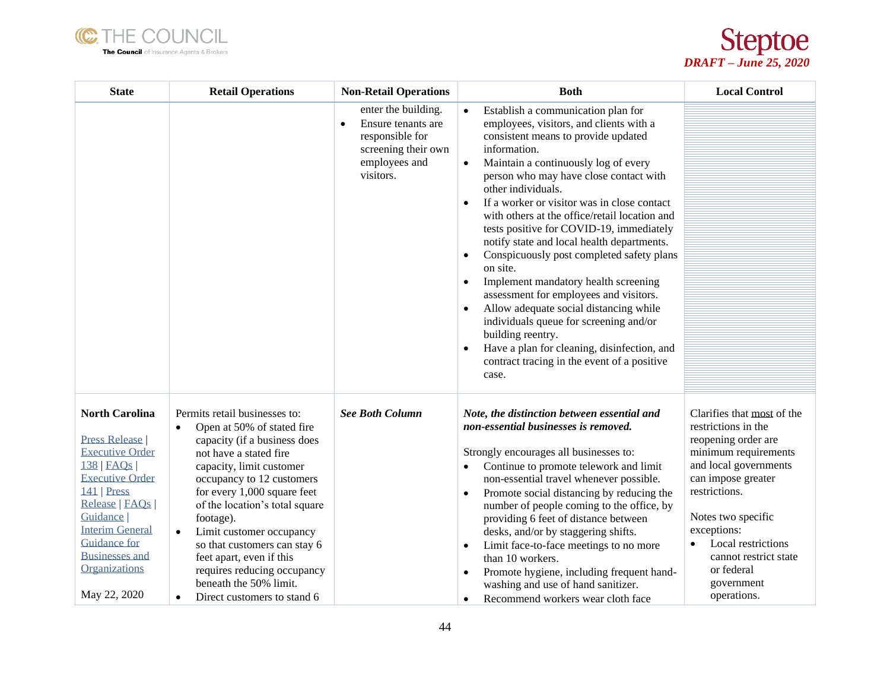



| <b>State</b>                                                                                                                                                                                                                                                                      | <b>Retail Operations</b>                                                                                                                                                                                                                                                                                                                                                                                                                                                            | <b>Non-Retail Operations</b>                                                                                                   | <b>Both</b>                                                                                                                                                                                                                                                                                                                                                                                                                                                                                                                                                                                                                                                                                                                                                                                                                              | <b>Local Control</b>                                                                                                                                                                                                                                                                                         |
|-----------------------------------------------------------------------------------------------------------------------------------------------------------------------------------------------------------------------------------------------------------------------------------|-------------------------------------------------------------------------------------------------------------------------------------------------------------------------------------------------------------------------------------------------------------------------------------------------------------------------------------------------------------------------------------------------------------------------------------------------------------------------------------|--------------------------------------------------------------------------------------------------------------------------------|------------------------------------------------------------------------------------------------------------------------------------------------------------------------------------------------------------------------------------------------------------------------------------------------------------------------------------------------------------------------------------------------------------------------------------------------------------------------------------------------------------------------------------------------------------------------------------------------------------------------------------------------------------------------------------------------------------------------------------------------------------------------------------------------------------------------------------------|--------------------------------------------------------------------------------------------------------------------------------------------------------------------------------------------------------------------------------------------------------------------------------------------------------------|
|                                                                                                                                                                                                                                                                                   |                                                                                                                                                                                                                                                                                                                                                                                                                                                                                     | enter the building.<br>Ensure tenants are<br>$\bullet$<br>responsible for<br>screening their own<br>employees and<br>visitors. | Establish a communication plan for<br>employees, visitors, and clients with a<br>consistent means to provide updated<br>information.<br>Maintain a continuously log of every<br>$\bullet$<br>person who may have close contact with<br>other individuals.<br>If a worker or visitor was in close contact<br>$\bullet$<br>with others at the office/retail location and<br>tests positive for COVID-19, immediately<br>notify state and local health departments.<br>Conspicuously post completed safety plans<br>on site.<br>Implement mandatory health screening<br>assessment for employees and visitors.<br>Allow adequate social distancing while<br>$\bullet$<br>individuals queue for screening and/or<br>building reentry.<br>Have a plan for cleaning, disinfection, and<br>contract tracing in the event of a positive<br>case. |                                                                                                                                                                                                                                                                                                              |
| <b>North Carolina</b><br><b>Press Release</b><br><b>Executive Order</b><br>$138$   FAQs  <br><b>Executive Order</b><br>$141$   Press<br>Release   FAQs  <br>Guidance  <br><b>Interim General</b><br><b>Guidance for</b><br><b>Businesses and</b><br>Organizations<br>May 22, 2020 | Permits retail businesses to:<br>Open at 50% of stated fire<br>$\bullet$<br>capacity (if a business does<br>not have a stated fire<br>capacity, limit customer<br>occupancy to 12 customers<br>for every 1,000 square feet<br>of the location's total square<br>footage).<br>Limit customer occupancy<br>$\bullet$<br>so that customers can stay 6<br>feet apart, even if this<br>requires reducing occupancy<br>beneath the 50% limit.<br>Direct customers to stand 6<br>$\bullet$ | <b>See Both Column</b>                                                                                                         | Note, the distinction between essential and<br>non-essential businesses is removed.<br>Strongly encourages all businesses to:<br>Continue to promote telework and limit<br>non-essential travel whenever possible.<br>Promote social distancing by reducing the<br>number of people coming to the office, by<br>providing 6 feet of distance between<br>desks, and/or by staggering shifts.<br>Limit face-to-face meetings to no more<br>$\bullet$<br>than 10 workers.<br>Promote hygiene, including frequent hand-<br>$\bullet$<br>washing and use of hand sanitizer.<br>Recommend workers wear cloth face<br>$\bullet$                                                                                                                                                                                                                 | Clarifies that most of the<br>restrictions in the<br>reopening order are<br>minimum requirements<br>and local governments<br>can impose greater<br>restrictions.<br>Notes two specific<br>exceptions:<br>Local restrictions<br>$\bullet$<br>cannot restrict state<br>or federal<br>government<br>operations. |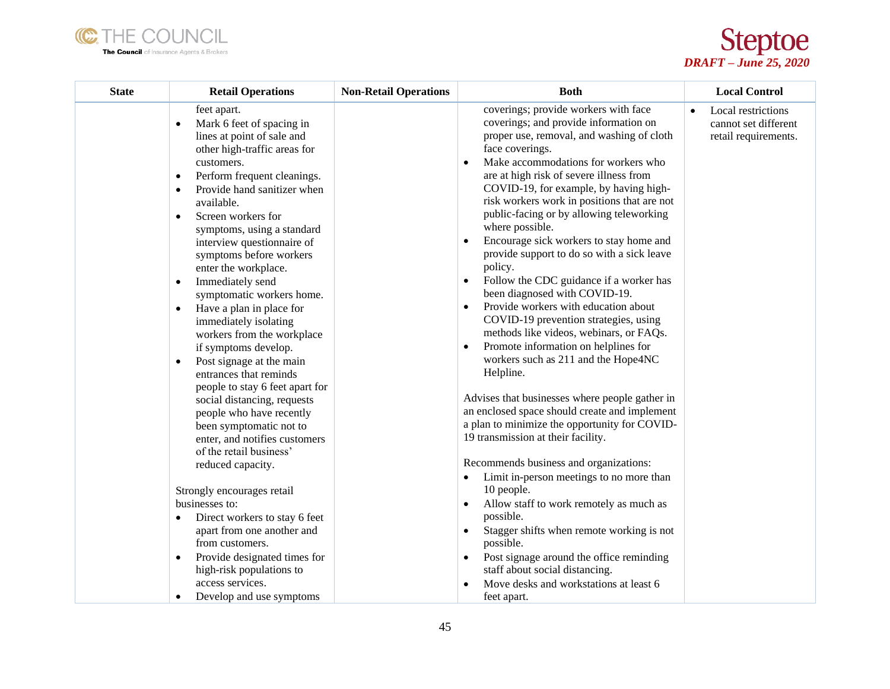



| <b>State</b> | <b>Retail Operations</b>                                                                                                                                                                                                                                                                                                                                                                                                                                                                                                                                                                                                                                                                                                                                                                                                                                                                                                                                                                                                                                                     | <b>Non-Retail Operations</b> | <b>Both</b>                                                                                                                                                                                                                                                                                                                                                                                                                                                                                                                                                                                                                                                                                                                                                                                                                                                                                                                                                                                                                                                                                                                                                                                                                                                                                                                                                                                           | <b>Local Control</b>                                                            |
|--------------|------------------------------------------------------------------------------------------------------------------------------------------------------------------------------------------------------------------------------------------------------------------------------------------------------------------------------------------------------------------------------------------------------------------------------------------------------------------------------------------------------------------------------------------------------------------------------------------------------------------------------------------------------------------------------------------------------------------------------------------------------------------------------------------------------------------------------------------------------------------------------------------------------------------------------------------------------------------------------------------------------------------------------------------------------------------------------|------------------------------|-------------------------------------------------------------------------------------------------------------------------------------------------------------------------------------------------------------------------------------------------------------------------------------------------------------------------------------------------------------------------------------------------------------------------------------------------------------------------------------------------------------------------------------------------------------------------------------------------------------------------------------------------------------------------------------------------------------------------------------------------------------------------------------------------------------------------------------------------------------------------------------------------------------------------------------------------------------------------------------------------------------------------------------------------------------------------------------------------------------------------------------------------------------------------------------------------------------------------------------------------------------------------------------------------------------------------------------------------------------------------------------------------------|---------------------------------------------------------------------------------|
|              | feet apart.<br>Mark 6 feet of spacing in<br>$\bullet$<br>lines at point of sale and<br>other high-traffic areas for<br>customers.<br>Perform frequent cleanings.<br>$\bullet$<br>Provide hand sanitizer when<br>$\bullet$<br>available.<br>Screen workers for<br>$\bullet$<br>symptoms, using a standard<br>interview questionnaire of<br>symptoms before workers<br>enter the workplace.<br>Immediately send<br>$\bullet$<br>symptomatic workers home.<br>Have a plan in place for<br>$\bullet$<br>immediately isolating<br>workers from the workplace<br>if symptoms develop.<br>Post signage at the main<br>$\bullet$<br>entrances that reminds<br>people to stay 6 feet apart for<br>social distancing, requests<br>people who have recently<br>been symptomatic not to<br>enter, and notifies customers<br>of the retail business'<br>reduced capacity.<br>Strongly encourages retail<br>businesses to:<br>Direct workers to stay 6 feet<br>٠<br>apart from one another and<br>from customers.<br>Provide designated times for<br>$\bullet$<br>high-risk populations to |                              | coverings; provide workers with face<br>coverings; and provide information on<br>proper use, removal, and washing of cloth<br>face coverings.<br>Make accommodations for workers who<br>$\bullet$<br>are at high risk of severe illness from<br>COVID-19, for example, by having high-<br>risk workers work in positions that are not<br>public-facing or by allowing teleworking<br>where possible.<br>Encourage sick workers to stay home and<br>$\bullet$<br>provide support to do so with a sick leave<br>policy.<br>Follow the CDC guidance if a worker has<br>$\bullet$<br>been diagnosed with COVID-19.<br>Provide workers with education about<br>$\bullet$<br>COVID-19 prevention strategies, using<br>methods like videos, webinars, or FAQs.<br>Promote information on helplines for<br>workers such as 211 and the Hope4NC<br>Helpline.<br>Advises that businesses where people gather in<br>an enclosed space should create and implement<br>a plan to minimize the opportunity for COVID-<br>19 transmission at their facility.<br>Recommends business and organizations:<br>Limit in-person meetings to no more than<br>$\bullet$<br>10 people.<br>Allow staff to work remotely as much as<br>$\bullet$<br>possible.<br>Stagger shifts when remote working is not<br>$\bullet$<br>possible.<br>Post signage around the office reminding<br>$\bullet$<br>staff about social distancing. | Local restrictions<br>$\bullet$<br>cannot set different<br>retail requirements. |
|              | access services.<br>Develop and use symptoms<br>$\bullet$                                                                                                                                                                                                                                                                                                                                                                                                                                                                                                                                                                                                                                                                                                                                                                                                                                                                                                                                                                                                                    |                              | Move desks and workstations at least 6<br>feet apart.                                                                                                                                                                                                                                                                                                                                                                                                                                                                                                                                                                                                                                                                                                                                                                                                                                                                                                                                                                                                                                                                                                                                                                                                                                                                                                                                                 |                                                                                 |
|              |                                                                                                                                                                                                                                                                                                                                                                                                                                                                                                                                                                                                                                                                                                                                                                                                                                                                                                                                                                                                                                                                              |                              |                                                                                                                                                                                                                                                                                                                                                                                                                                                                                                                                                                                                                                                                                                                                                                                                                                                                                                                                                                                                                                                                                                                                                                                                                                                                                                                                                                                                       |                                                                                 |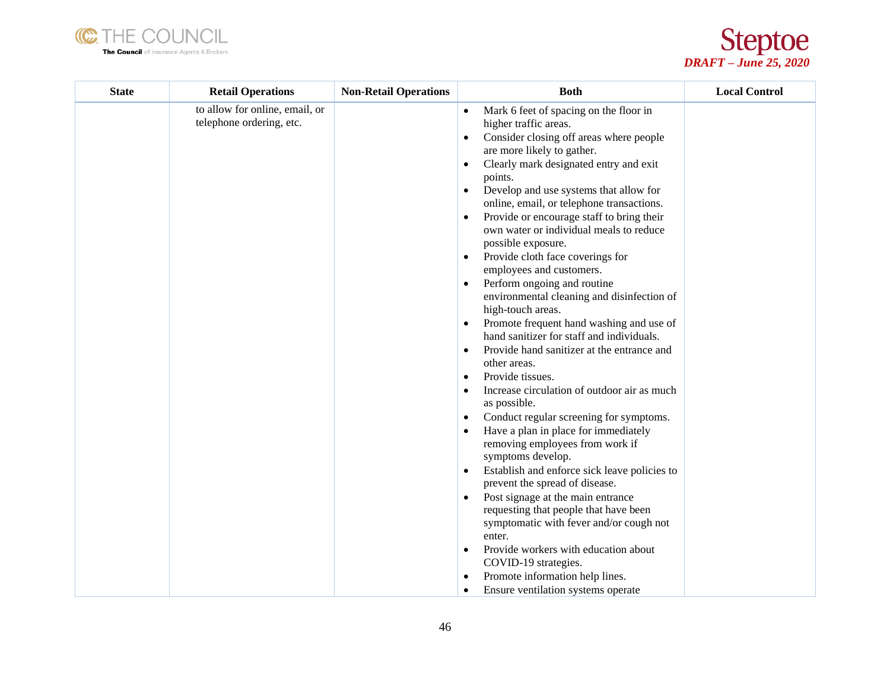



| <b>State</b> | <b>Retail Operations</b>                                   | <b>Non-Retail Operations</b> | <b>Both</b>                                                                                                                                                                                                                                                                                                                                                                                                                                                                                                                                                                                                                                                                                                                                                                                                                                                                                                                                                                                                                                                                                                                                                                                                                                                                                                                                                                                                                                                                                      | <b>Local Control</b> |
|--------------|------------------------------------------------------------|------------------------------|--------------------------------------------------------------------------------------------------------------------------------------------------------------------------------------------------------------------------------------------------------------------------------------------------------------------------------------------------------------------------------------------------------------------------------------------------------------------------------------------------------------------------------------------------------------------------------------------------------------------------------------------------------------------------------------------------------------------------------------------------------------------------------------------------------------------------------------------------------------------------------------------------------------------------------------------------------------------------------------------------------------------------------------------------------------------------------------------------------------------------------------------------------------------------------------------------------------------------------------------------------------------------------------------------------------------------------------------------------------------------------------------------------------------------------------------------------------------------------------------------|----------------------|
|              | to allow for online, email, or<br>telephone ordering, etc. |                              | Mark 6 feet of spacing on the floor in<br>$\bullet$<br>higher traffic areas.<br>Consider closing off areas where people<br>are more likely to gather.<br>Clearly mark designated entry and exit<br>$\bullet$<br>points.<br>Develop and use systems that allow for<br>$\bullet$<br>online, email, or telephone transactions.<br>Provide or encourage staff to bring their<br>own water or individual meals to reduce<br>possible exposure.<br>Provide cloth face coverings for<br>$\bullet$<br>employees and customers.<br>Perform ongoing and routine<br>$\bullet$<br>environmental cleaning and disinfection of<br>high-touch areas.<br>Promote frequent hand washing and use of<br>hand sanitizer for staff and individuals.<br>Provide hand sanitizer at the entrance and<br>$\bullet$<br>other areas.<br>Provide tissues.<br>$\bullet$<br>Increase circulation of outdoor air as much<br>as possible.<br>Conduct regular screening for symptoms.<br>$\bullet$<br>Have a plan in place for immediately<br>removing employees from work if<br>symptoms develop.<br>Establish and enforce sick leave policies to<br>$\bullet$<br>prevent the spread of disease.<br>Post signage at the main entrance<br>$\bullet$<br>requesting that people that have been<br>symptomatic with fever and/or cough not<br>enter.<br>Provide workers with education about<br>$\bullet$<br>COVID-19 strategies.<br>Promote information help lines.<br>$\bullet$<br>Ensure ventilation systems operate<br>$\bullet$ |                      |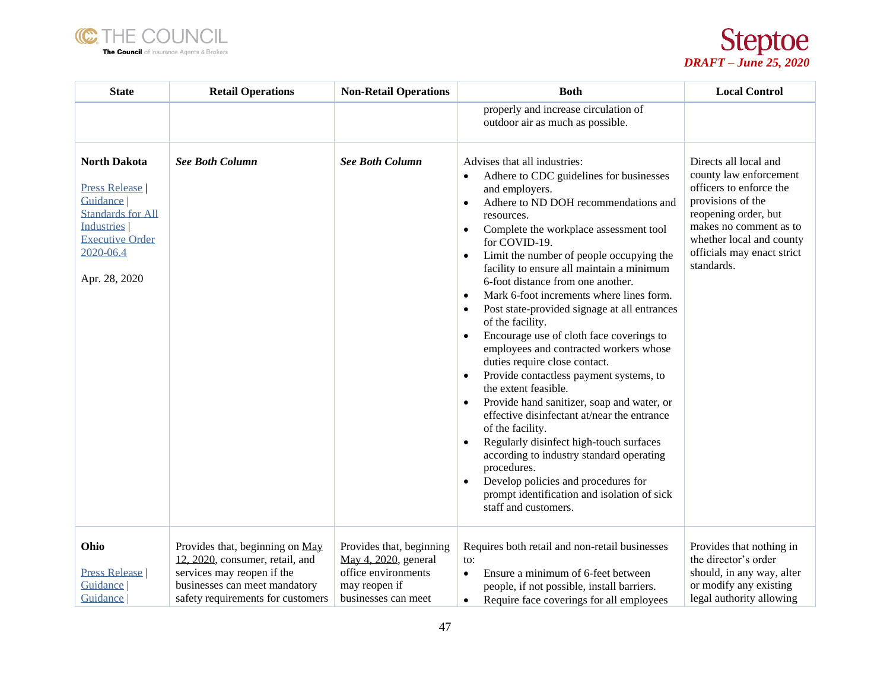



| <b>State</b>                                                                                                                                                     | <b>Retail Operations</b>                                                                                                                                               | <b>Non-Retail Operations</b>                                                                                    | <b>Both</b>                                                                                                                                                                                                                                                                                                                                                                                                                                                                                                                                                                                                                                                                                                                                                                                                                                                                                                                                                                                                                                                                                                               | <b>Local Control</b>                                                                                                                                                                                                      |
|------------------------------------------------------------------------------------------------------------------------------------------------------------------|------------------------------------------------------------------------------------------------------------------------------------------------------------------------|-----------------------------------------------------------------------------------------------------------------|---------------------------------------------------------------------------------------------------------------------------------------------------------------------------------------------------------------------------------------------------------------------------------------------------------------------------------------------------------------------------------------------------------------------------------------------------------------------------------------------------------------------------------------------------------------------------------------------------------------------------------------------------------------------------------------------------------------------------------------------------------------------------------------------------------------------------------------------------------------------------------------------------------------------------------------------------------------------------------------------------------------------------------------------------------------------------------------------------------------------------|---------------------------------------------------------------------------------------------------------------------------------------------------------------------------------------------------------------------------|
|                                                                                                                                                                  |                                                                                                                                                                        |                                                                                                                 | properly and increase circulation of<br>outdoor air as much as possible.                                                                                                                                                                                                                                                                                                                                                                                                                                                                                                                                                                                                                                                                                                                                                                                                                                                                                                                                                                                                                                                  |                                                                                                                                                                                                                           |
| <b>North Dakota</b><br><b>Press Release</b><br>Guidance<br><b>Standards for All</b><br><b>Industries</b><br><b>Executive Order</b><br>2020-06.4<br>Apr. 28, 2020 | <b>See Both Column</b>                                                                                                                                                 | <b>See Both Column</b>                                                                                          | Advises that all industries:<br>Adhere to CDC guidelines for businesses<br>$\bullet$<br>and employers.<br>Adhere to ND DOH recommendations and<br>$\bullet$<br>resources.<br>Complete the workplace assessment tool<br>$\bullet$<br>for COVID-19.<br>Limit the number of people occupying the<br>$\bullet$<br>facility to ensure all maintain a minimum<br>6-foot distance from one another.<br>Mark 6-foot increments where lines form.<br>$\bullet$<br>Post state-provided signage at all entrances<br>$\bullet$<br>of the facility.<br>Encourage use of cloth face coverings to<br>$\bullet$<br>employees and contracted workers whose<br>duties require close contact.<br>Provide contactless payment systems, to<br>$\bullet$<br>the extent feasible.<br>Provide hand sanitizer, soap and water, or<br>$\bullet$<br>effective disinfectant at/near the entrance<br>of the facility.<br>Regularly disinfect high-touch surfaces<br>$\bullet$<br>according to industry standard operating<br>procedures.<br>Develop policies and procedures for<br>prompt identification and isolation of sick<br>staff and customers. | Directs all local and<br>county law enforcement<br>officers to enforce the<br>provisions of the<br>reopening order, but<br>makes no comment as to<br>whether local and county<br>officials may enact strict<br>standards. |
| Ohio<br><b>Press Release</b><br>Guidance<br>Guidance                                                                                                             | Provides that, beginning on May<br>12, 2020, consumer, retail, and<br>services may reopen if the<br>businesses can meet mandatory<br>safety requirements for customers | Provides that, beginning<br>May 4, 2020, general<br>office environments<br>may reopen if<br>businesses can meet | Requires both retail and non-retail businesses<br>to:<br>Ensure a minimum of 6-feet between<br>$\bullet$<br>people, if not possible, install barriers.<br>Require face coverings for all employees<br>$\bullet$                                                                                                                                                                                                                                                                                                                                                                                                                                                                                                                                                                                                                                                                                                                                                                                                                                                                                                           | Provides that nothing in<br>the director's order<br>should, in any way, alter<br>or modify any existing<br>legal authority allowing                                                                                       |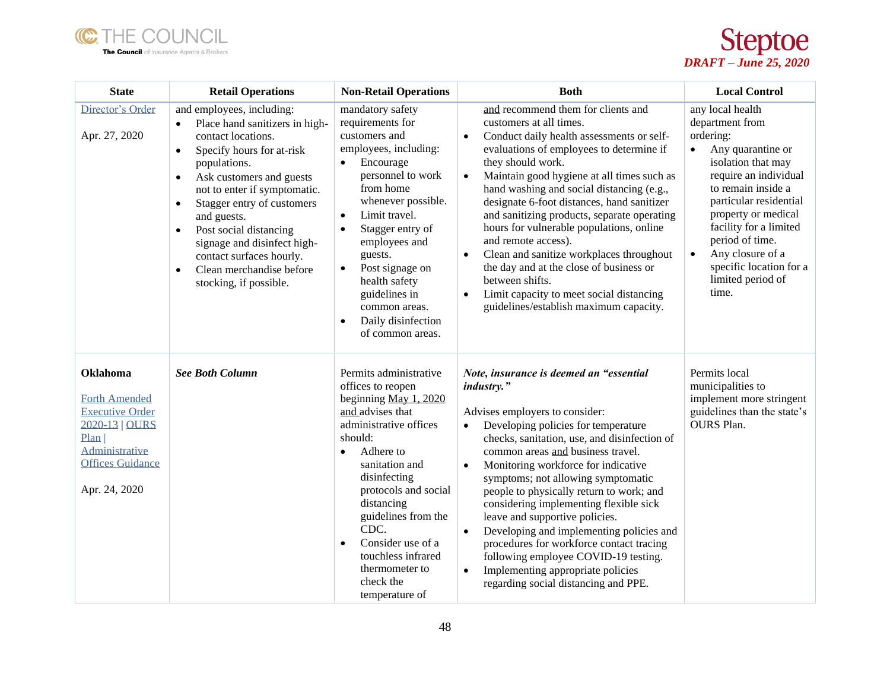



| <b>State</b>                                                                                                                                              | <b>Retail Operations</b>                                                                                                                                                                                                                                                                                                                                                                                                                                         | <b>Non-Retail Operations</b>                                                                                                                                                                                                                                                                                                                                                             | <b>Both</b>                                                                                                                                                                                                                                                                                                                                                                                                                                                                                                                                                                                                                                                                                | <b>Local Control</b>                                                                                                                                                                                                                                                                                                                            |
|-----------------------------------------------------------------------------------------------------------------------------------------------------------|------------------------------------------------------------------------------------------------------------------------------------------------------------------------------------------------------------------------------------------------------------------------------------------------------------------------------------------------------------------------------------------------------------------------------------------------------------------|------------------------------------------------------------------------------------------------------------------------------------------------------------------------------------------------------------------------------------------------------------------------------------------------------------------------------------------------------------------------------------------|--------------------------------------------------------------------------------------------------------------------------------------------------------------------------------------------------------------------------------------------------------------------------------------------------------------------------------------------------------------------------------------------------------------------------------------------------------------------------------------------------------------------------------------------------------------------------------------------------------------------------------------------------------------------------------------------|-------------------------------------------------------------------------------------------------------------------------------------------------------------------------------------------------------------------------------------------------------------------------------------------------------------------------------------------------|
| Director's Order<br>Apr. 27, 2020                                                                                                                         | and employees, including:<br>Place hand sanitizers in high-<br>$\bullet$<br>contact locations.<br>Specify hours for at-risk<br>$\bullet$<br>populations.<br>Ask customers and guests<br>$\bullet$<br>not to enter if symptomatic.<br>Stagger entry of customers<br>$\bullet$<br>and guests.<br>Post social distancing<br>$\bullet$<br>signage and disinfect high-<br>contact surfaces hourly.<br>Clean merchandise before<br>$\bullet$<br>stocking, if possible. | mandatory safety<br>requirements for<br>customers and<br>employees, including:<br>Encourage<br>$\bullet$<br>personnel to work<br>from home<br>whenever possible.<br>Limit travel.<br>Stagger entry of<br>$\bullet$<br>employees and<br>guests.<br>Post signage on<br>$\bullet$<br>health safety<br>guidelines in<br>common areas.<br>Daily disinfection<br>$\bullet$<br>of common areas. | and recommend them for clients and<br>customers at all times.<br>Conduct daily health assessments or self-<br>$\bullet$<br>evaluations of employees to determine if<br>they should work.<br>Maintain good hygiene at all times such as<br>$\bullet$<br>hand washing and social distancing (e.g.,<br>designate 6-foot distances, hand sanitizer<br>and sanitizing products, separate operating<br>hours for vulnerable populations, online<br>and remote access).<br>Clean and sanitize workplaces throughout<br>$\bullet$<br>the day and at the close of business or<br>between shifts.<br>Limit capacity to meet social distancing<br>$\bullet$<br>guidelines/establish maximum capacity. | any local health<br>department from<br>ordering:<br>Any quarantine or<br>$\bullet$<br>isolation that may<br>require an individual<br>to remain inside a<br>particular residential<br>property or medical<br>facility for a limited<br>period of time.<br>Any closure of a<br>$\bullet$<br>specific location for a<br>limited period of<br>time. |
| <b>Oklahoma</b><br><b>Forth Amended</b><br><b>Executive Order</b><br>2020-13   OURS<br>Plan<br>Administrative<br><b>Offices Guidance</b><br>Apr. 24, 2020 | <b>See Both Column</b>                                                                                                                                                                                                                                                                                                                                                                                                                                           | Permits administrative<br>offices to reopen<br>beginning May 1, 2020<br>and advises that<br>administrative offices<br>should:<br>Adhere to<br>$\bullet$<br>sanitation and<br>disinfecting<br>protocols and social<br>distancing<br>guidelines from the<br>CDC.<br>Consider use of a<br>$\bullet$<br>touchless infrared<br>thermometer to<br>check the<br>temperature of                  | Note, insurance is deemed an "essential<br>industry."<br>Advises employers to consider:<br>Developing policies for temperature<br>$\bullet$<br>checks, sanitation, use, and disinfection of<br>common areas and business travel.<br>Monitoring workforce for indicative<br>$\bullet$<br>symptoms; not allowing symptomatic<br>people to physically return to work; and<br>considering implementing flexible sick<br>leave and supportive policies.<br>Developing and implementing policies and<br>$\bullet$<br>procedures for workforce contact tracing<br>following employee COVID-19 testing.<br>Implementing appropriate policies<br>$\bullet$<br>regarding social distancing and PPE.  | Permits local<br>municipalities to<br>implement more stringent<br>guidelines than the state's<br><b>OURS</b> Plan.                                                                                                                                                                                                                              |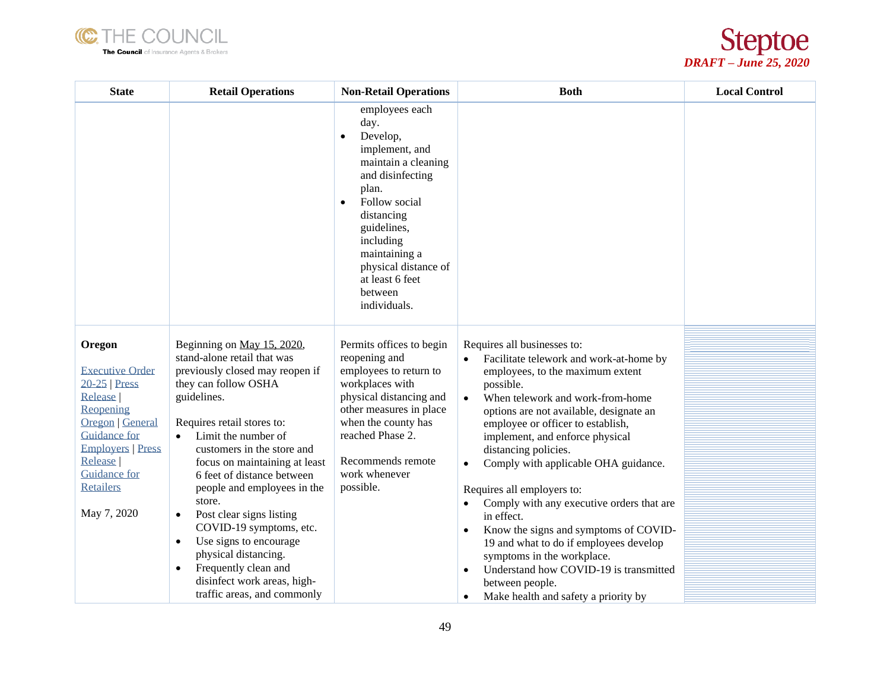



| <b>State</b>                                                                                                                                                                                                               | <b>Retail Operations</b>                                                                                                                                                                                                                                                                                                                                                                                                                                                                                                                                                          | <b>Non-Retail Operations</b>                                                                                                                                                                                                                                                         | <b>Both</b>                                                                                                                                                                                                                                                                                                                                                                                                                                                                                                                                                                                                                                                                                                                                 | <b>Local Control</b> |
|----------------------------------------------------------------------------------------------------------------------------------------------------------------------------------------------------------------------------|-----------------------------------------------------------------------------------------------------------------------------------------------------------------------------------------------------------------------------------------------------------------------------------------------------------------------------------------------------------------------------------------------------------------------------------------------------------------------------------------------------------------------------------------------------------------------------------|--------------------------------------------------------------------------------------------------------------------------------------------------------------------------------------------------------------------------------------------------------------------------------------|---------------------------------------------------------------------------------------------------------------------------------------------------------------------------------------------------------------------------------------------------------------------------------------------------------------------------------------------------------------------------------------------------------------------------------------------------------------------------------------------------------------------------------------------------------------------------------------------------------------------------------------------------------------------------------------------------------------------------------------------|----------------------|
|                                                                                                                                                                                                                            |                                                                                                                                                                                                                                                                                                                                                                                                                                                                                                                                                                                   | employees each<br>day.<br>Develop,<br>$\bullet$<br>implement, and<br>maintain a cleaning<br>and disinfecting<br>plan.<br>Follow social<br>$\bullet$<br>distancing<br>guidelines,<br>including<br>maintaining a<br>physical distance of<br>at least 6 feet<br>between<br>individuals. |                                                                                                                                                                                                                                                                                                                                                                                                                                                                                                                                                                                                                                                                                                                                             |                      |
| Oregon<br><b>Executive Order</b><br>$20-25$ Press<br>Release<br>Reopening<br><b>Oregon</b> General<br><b>Guidance for</b><br><b>Employers   Press</b><br>Release<br><b>Guidance for</b><br><b>Retailers</b><br>May 7, 2020 | Beginning on May 15, 2020,<br>stand-alone retail that was<br>previously closed may reopen if<br>they can follow OSHA<br>guidelines.<br>Requires retail stores to:<br>Limit the number of<br>$\bullet$<br>customers in the store and<br>focus on maintaining at least<br>6 feet of distance between<br>people and employees in the<br>store.<br>Post clear signs listing<br>$\bullet$<br>COVID-19 symptoms, etc.<br>Use signs to encourage<br>$\bullet$<br>physical distancing.<br>Frequently clean and<br>$\bullet$<br>disinfect work areas, high-<br>traffic areas, and commonly | Permits offices to begin<br>reopening and<br>employees to return to<br>workplaces with<br>physical distancing and<br>other measures in place<br>when the county has<br>reached Phase 2.<br>Recommends remote<br>work whenever<br>possible.                                           | Requires all businesses to:<br>Facilitate telework and work-at-home by<br>employees, to the maximum extent<br>possible.<br>When telework and work-from-home<br>$\bullet$<br>options are not available, designate an<br>employee or officer to establish,<br>implement, and enforce physical<br>distancing policies.<br>Comply with applicable OHA guidance.<br>$\bullet$<br>Requires all employers to:<br>Comply with any executive orders that are<br>$\bullet$<br>in effect.<br>Know the signs and symptoms of COVID-<br>$\bullet$<br>19 and what to do if employees develop<br>symptoms in the workplace.<br>Understand how COVID-19 is transmitted<br>$\bullet$<br>between people.<br>Make health and safety a priority by<br>$\bullet$ |                      |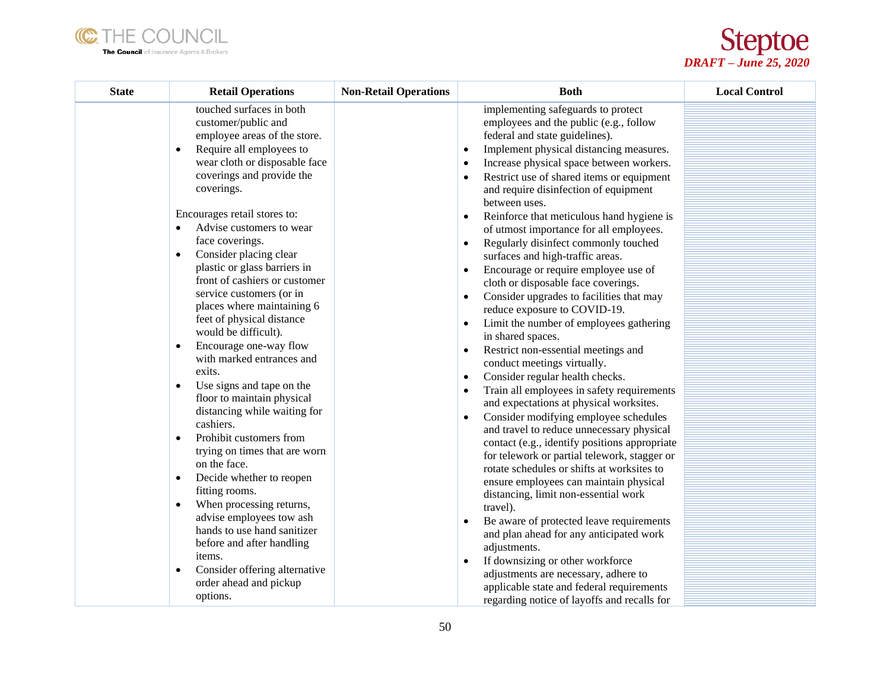



| <b>State</b> | <b>Retail Operations</b>                                                                                                                                                                                                                                                                                                                                                                                                                                                                                                                                                                                                                                                                                                                                                                                                                                                                                                                                                                                                                                                             | <b>Non-Retail Operations</b> | <b>Both</b>                                                                                                                                                                                                                                                                                                                                                                                                                                                                                                                                                                                                                                                                                                                                                                                                                                                                                                                                                                                                                                                                                                                                                                                                                                                                                                                                                                                                                                                                                                                                                                 | <b>Local Control</b> |
|--------------|--------------------------------------------------------------------------------------------------------------------------------------------------------------------------------------------------------------------------------------------------------------------------------------------------------------------------------------------------------------------------------------------------------------------------------------------------------------------------------------------------------------------------------------------------------------------------------------------------------------------------------------------------------------------------------------------------------------------------------------------------------------------------------------------------------------------------------------------------------------------------------------------------------------------------------------------------------------------------------------------------------------------------------------------------------------------------------------|------------------------------|-----------------------------------------------------------------------------------------------------------------------------------------------------------------------------------------------------------------------------------------------------------------------------------------------------------------------------------------------------------------------------------------------------------------------------------------------------------------------------------------------------------------------------------------------------------------------------------------------------------------------------------------------------------------------------------------------------------------------------------------------------------------------------------------------------------------------------------------------------------------------------------------------------------------------------------------------------------------------------------------------------------------------------------------------------------------------------------------------------------------------------------------------------------------------------------------------------------------------------------------------------------------------------------------------------------------------------------------------------------------------------------------------------------------------------------------------------------------------------------------------------------------------------------------------------------------------------|----------------------|
|              | touched surfaces in both<br>customer/public and<br>employee areas of the store.<br>Require all employees to<br>$\bullet$<br>wear cloth or disposable face<br>coverings and provide the<br>coverings.<br>Encourages retail stores to:<br>Advise customers to wear<br>$\bullet$<br>face coverings.<br>Consider placing clear<br>$\bullet$<br>plastic or glass barriers in<br>front of cashiers or customer<br>service customers (or in<br>places where maintaining 6<br>feet of physical distance<br>would be difficult).<br>Encourage one-way flow<br>$\bullet$<br>with marked entrances and<br>exits.<br>Use signs and tape on the<br>$\bullet$<br>floor to maintain physical<br>distancing while waiting for<br>cashiers.<br>Prohibit customers from<br>$\bullet$<br>trying on times that are worn<br>on the face.<br>Decide whether to reopen<br>$\bullet$<br>fitting rooms.<br>When processing returns,<br>$\bullet$<br>advise employees tow ash<br>hands to use hand sanitizer<br>before and after handling<br>items.<br>Consider offering alternative<br>order ahead and pickup |                              | implementing safeguards to protect<br>employees and the public (e.g., follow<br>federal and state guidelines).<br>Implement physical distancing measures.<br>$\bullet$<br>Increase physical space between workers.<br>Restrict use of shared items or equipment<br>and require disinfection of equipment<br>between uses.<br>Reinforce that meticulous hand hygiene is<br>of utmost importance for all employees.<br>Regularly disinfect commonly touched<br>surfaces and high-traffic areas.<br>Encourage or require employee use of<br>$\bullet$<br>cloth or disposable face coverings.<br>Consider upgrades to facilities that may<br>$\bullet$<br>reduce exposure to COVID-19.<br>Limit the number of employees gathering<br>$\bullet$<br>in shared spaces.<br>Restrict non-essential meetings and<br>$\bullet$<br>conduct meetings virtually.<br>Consider regular health checks.<br>$\bullet$<br>Train all employees in safety requirements<br>and expectations at physical worksites.<br>Consider modifying employee schedules<br>and travel to reduce unnecessary physical<br>contact (e.g., identify positions appropriate<br>for telework or partial telework, stagger or<br>rotate schedules or shifts at worksites to<br>ensure employees can maintain physical<br>distancing, limit non-essential work<br>travel).<br>Be aware of protected leave requirements<br>and plan ahead for any anticipated work<br>adjustments.<br>If downsizing or other workforce<br>$\bullet$<br>adjustments are necessary, adhere to<br>applicable state and federal requirements |                      |
|              | options.                                                                                                                                                                                                                                                                                                                                                                                                                                                                                                                                                                                                                                                                                                                                                                                                                                                                                                                                                                                                                                                                             |                              | regarding notice of layoffs and recalls for                                                                                                                                                                                                                                                                                                                                                                                                                                                                                                                                                                                                                                                                                                                                                                                                                                                                                                                                                                                                                                                                                                                                                                                                                                                                                                                                                                                                                                                                                                                                 |                      |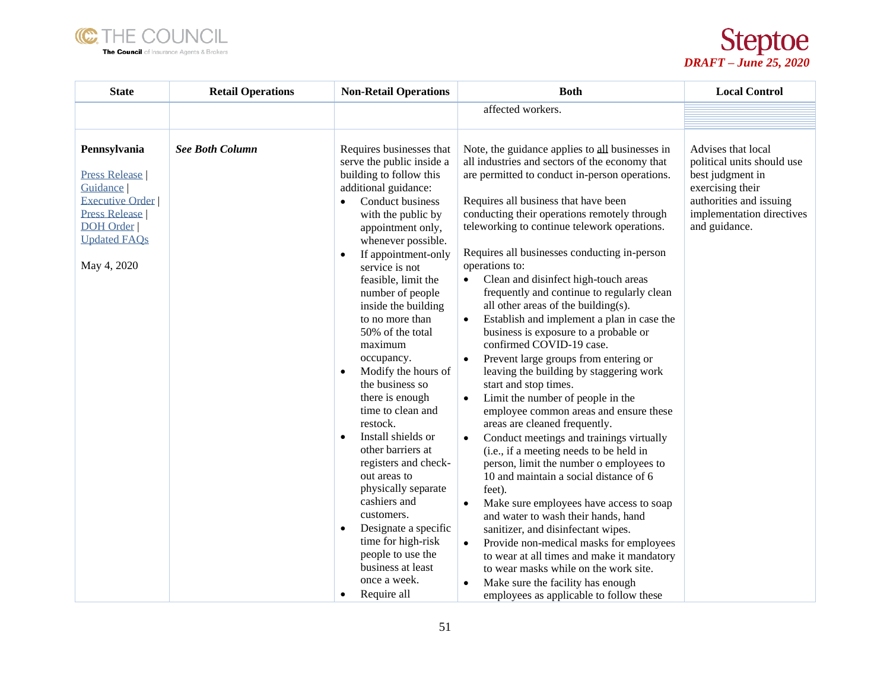



| <b>State</b>                                                                                                                                                              | <b>Retail Operations</b> | <b>Non-Retail Operations</b>                                                                                                                                                                                                                                                                                                                                                                                                                                                                                                                                                     | <b>Both</b>                                                                                                                                                                                                                                                                                                                                                                                                                                                                                                                                                                                                                                                                                                                                                                                                                                                                                                                                                                               | <b>Local Control</b>                                                                                                                                              |
|---------------------------------------------------------------------------------------------------------------------------------------------------------------------------|--------------------------|----------------------------------------------------------------------------------------------------------------------------------------------------------------------------------------------------------------------------------------------------------------------------------------------------------------------------------------------------------------------------------------------------------------------------------------------------------------------------------------------------------------------------------------------------------------------------------|-------------------------------------------------------------------------------------------------------------------------------------------------------------------------------------------------------------------------------------------------------------------------------------------------------------------------------------------------------------------------------------------------------------------------------------------------------------------------------------------------------------------------------------------------------------------------------------------------------------------------------------------------------------------------------------------------------------------------------------------------------------------------------------------------------------------------------------------------------------------------------------------------------------------------------------------------------------------------------------------|-------------------------------------------------------------------------------------------------------------------------------------------------------------------|
|                                                                                                                                                                           |                          |                                                                                                                                                                                                                                                                                                                                                                                                                                                                                                                                                                                  | affected workers.                                                                                                                                                                                                                                                                                                                                                                                                                                                                                                                                                                                                                                                                                                                                                                                                                                                                                                                                                                         |                                                                                                                                                                   |
|                                                                                                                                                                           |                          |                                                                                                                                                                                                                                                                                                                                                                                                                                                                                                                                                                                  |                                                                                                                                                                                                                                                                                                                                                                                                                                                                                                                                                                                                                                                                                                                                                                                                                                                                                                                                                                                           |                                                                                                                                                                   |
| Pennsylvania<br><b>Press Release</b><br>Guidance <sup>[</sup><br><b>Executive Order</b><br><b>Press Release</b><br><b>DOH</b> Order<br><b>Updated FAQs</b><br>May 4, 2020 | <b>See Both Column</b>   | Requires businesses that<br>serve the public inside a<br>building to follow this<br>additional guidance:<br>Conduct business<br>with the public by<br>appointment only,<br>whenever possible.<br>If appointment-only<br>$\bullet$<br>service is not<br>feasible, limit the<br>number of people<br>inside the building<br>to no more than<br>50% of the total<br>maximum<br>occupancy.<br>Modify the hours of<br>$\bullet$<br>the business so<br>there is enough<br>time to clean and<br>restock.<br>Install shields or<br>$\bullet$<br>other barriers at<br>registers and check- | Note, the guidance applies to all businesses in<br>all industries and sectors of the economy that<br>are permitted to conduct in-person operations.<br>Requires all business that have been<br>conducting their operations remotely through<br>teleworking to continue telework operations.<br>Requires all businesses conducting in-person<br>operations to:<br>Clean and disinfect high-touch areas<br>frequently and continue to regularly clean<br>all other areas of the building(s).<br>Establish and implement a plan in case the<br>business is exposure to a probable or<br>confirmed COVID-19 case.<br>Prevent large groups from entering or<br>leaving the building by staggering work<br>start and stop times.<br>Limit the number of people in the<br>$\bullet$<br>employee common areas and ensure these<br>areas are cleaned frequently.<br>Conduct meetings and trainings virtually<br>(i.e., if a meeting needs to be held in<br>person, limit the number o employees to | Advises that local<br>political units should use<br>best judgment in<br>exercising their<br>authorities and issuing<br>implementation directives<br>and guidance. |
|                                                                                                                                                                           |                          | out areas to<br>physically separate<br>cashiers and                                                                                                                                                                                                                                                                                                                                                                                                                                                                                                                              | 10 and maintain a social distance of 6<br>feet).<br>Make sure employees have access to soap<br>$\bullet$                                                                                                                                                                                                                                                                                                                                                                                                                                                                                                                                                                                                                                                                                                                                                                                                                                                                                  |                                                                                                                                                                   |
|                                                                                                                                                                           |                          | customers.<br>Designate a specific<br>$\bullet$<br>time for high-risk<br>people to use the<br>business at least<br>once a week.                                                                                                                                                                                                                                                                                                                                                                                                                                                  | and water to wash their hands, hand<br>sanitizer, and disinfectant wipes.<br>Provide non-medical masks for employees<br>$\bullet$<br>to wear at all times and make it mandatory<br>to wear masks while on the work site.<br>Make sure the facility has enough                                                                                                                                                                                                                                                                                                                                                                                                                                                                                                                                                                                                                                                                                                                             |                                                                                                                                                                   |
|                                                                                                                                                                           |                          | Require all<br>$\bullet$                                                                                                                                                                                                                                                                                                                                                                                                                                                                                                                                                         | employees as applicable to follow these                                                                                                                                                                                                                                                                                                                                                                                                                                                                                                                                                                                                                                                                                                                                                                                                                                                                                                                                                   |                                                                                                                                                                   |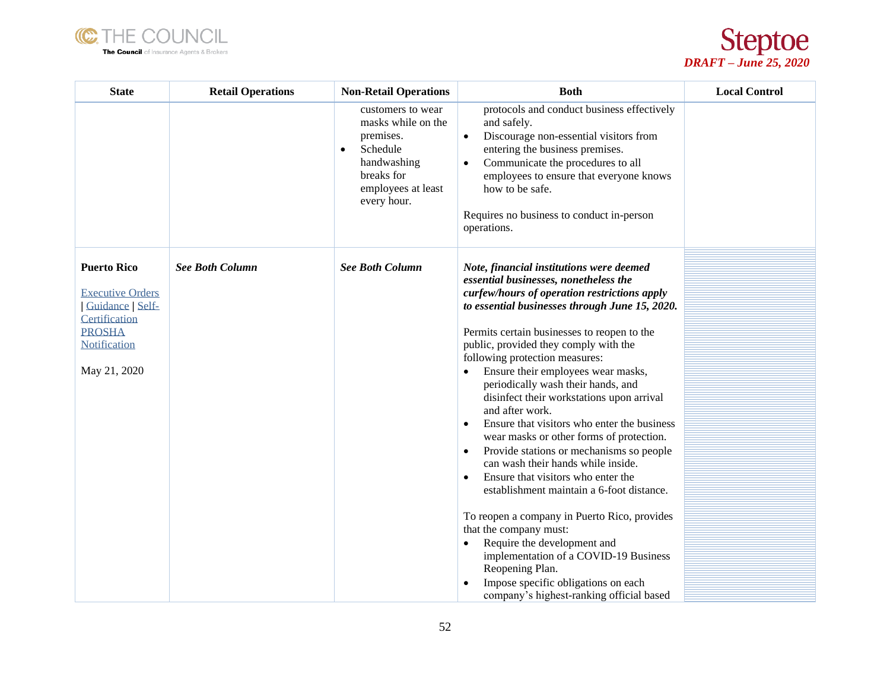



| <b>State</b>                                                                                                                               | <b>Retail Operations</b> | <b>Non-Retail Operations</b>                                                                                                                    | <b>Both</b>                                                                                                                                                                                                                                                                                                                                                                                                                                                                                                                                                                                                                                                                                                                                                                                                                                                                                                                                                                                                                           | <b>Local Control</b> |
|--------------------------------------------------------------------------------------------------------------------------------------------|--------------------------|-------------------------------------------------------------------------------------------------------------------------------------------------|---------------------------------------------------------------------------------------------------------------------------------------------------------------------------------------------------------------------------------------------------------------------------------------------------------------------------------------------------------------------------------------------------------------------------------------------------------------------------------------------------------------------------------------------------------------------------------------------------------------------------------------------------------------------------------------------------------------------------------------------------------------------------------------------------------------------------------------------------------------------------------------------------------------------------------------------------------------------------------------------------------------------------------------|----------------------|
|                                                                                                                                            |                          | customers to wear<br>masks while on the<br>premises.<br>Schedule<br>$\bullet$<br>handwashing<br>breaks for<br>employees at least<br>every hour. | protocols and conduct business effectively<br>and safely.<br>Discourage non-essential visitors from<br>$\bullet$<br>entering the business premises.<br>Communicate the procedures to all<br>$\bullet$<br>employees to ensure that everyone knows<br>how to be safe.<br>Requires no business to conduct in-person<br>operations.                                                                                                                                                                                                                                                                                                                                                                                                                                                                                                                                                                                                                                                                                                       |                      |
| <b>Puerto Rico</b><br><b>Executive Orders</b><br>Guidance   Self-<br>Certification<br><b>PROSHA</b><br><b>Notification</b><br>May 21, 2020 | <b>See Both Column</b>   | <b>See Both Column</b>                                                                                                                          | Note, financial institutions were deemed<br>essential businesses, nonetheless the<br>curfew/hours of operation restrictions apply<br>to essential businesses through June 15, 2020.<br>Permits certain businesses to reopen to the<br>public, provided they comply with the<br>following protection measures:<br>Ensure their employees wear masks,<br>$\bullet$<br>periodically wash their hands, and<br>disinfect their workstations upon arrival<br>and after work.<br>Ensure that visitors who enter the business<br>$\bullet$<br>wear masks or other forms of protection.<br>Provide stations or mechanisms so people<br>$\bullet$<br>can wash their hands while inside.<br>Ensure that visitors who enter the<br>$\bullet$<br>establishment maintain a 6-foot distance.<br>To reopen a company in Puerto Rico, provides<br>that the company must:<br>Require the development and<br>implementation of a COVID-19 Business<br>Reopening Plan.<br>Impose specific obligations on each<br>company's highest-ranking official based |                      |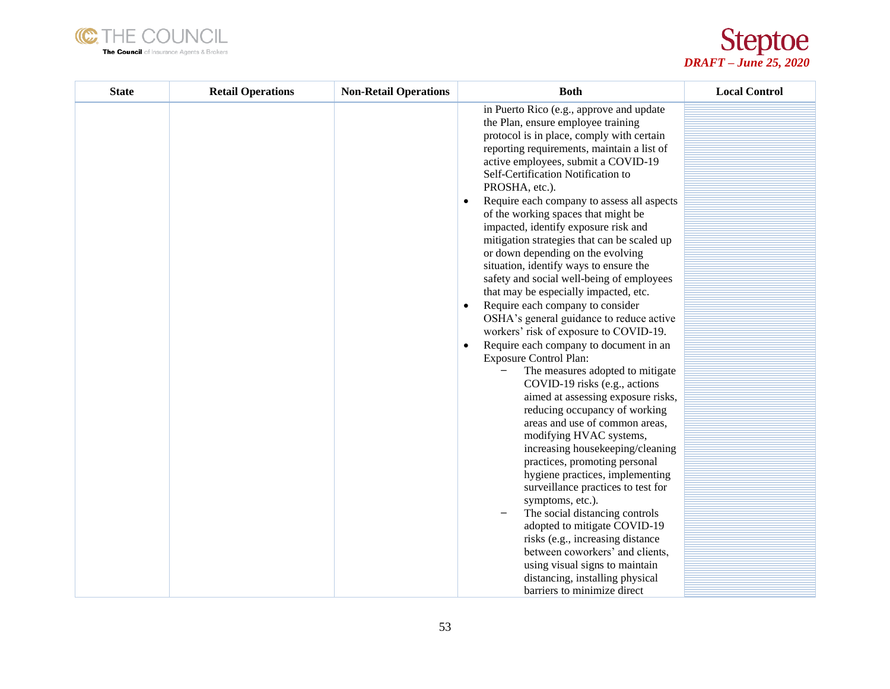



| <b>State</b> | <b>Retail Operations</b> | <b>Non-Retail Operations</b> | <b>Both</b>                                                                                                                                                                                                                                                                                                                                                                                                                                                                                                                                                                                                                                                                                                                                                                                                                                                                                                                                                                                                                                                                                                                                                                                                                                                                                                                                                                                       | <b>Local Control</b> |
|--------------|--------------------------|------------------------------|---------------------------------------------------------------------------------------------------------------------------------------------------------------------------------------------------------------------------------------------------------------------------------------------------------------------------------------------------------------------------------------------------------------------------------------------------------------------------------------------------------------------------------------------------------------------------------------------------------------------------------------------------------------------------------------------------------------------------------------------------------------------------------------------------------------------------------------------------------------------------------------------------------------------------------------------------------------------------------------------------------------------------------------------------------------------------------------------------------------------------------------------------------------------------------------------------------------------------------------------------------------------------------------------------------------------------------------------------------------------------------------------------|----------------------|
|              |                          |                              | in Puerto Rico (e.g., approve and update<br>the Plan, ensure employee training<br>protocol is in place, comply with certain<br>reporting requirements, maintain a list of<br>active employees, submit a COVID-19<br>Self-Certification Notification to<br>PROSHA, etc.).<br>Require each company to assess all aspects<br>of the working spaces that might be<br>impacted, identify exposure risk and<br>mitigation strategies that can be scaled up<br>or down depending on the evolving<br>situation, identify ways to ensure the<br>safety and social well-being of employees<br>that may be especially impacted, etc.<br>Require each company to consider<br>$\bullet$<br>OSHA's general guidance to reduce active<br>workers' risk of exposure to COVID-19.<br>Require each company to document in an<br><b>Exposure Control Plan:</b><br>The measures adopted to mitigate<br>COVID-19 risks (e.g., actions<br>aimed at assessing exposure risks,<br>reducing occupancy of working<br>areas and use of common areas,<br>modifying HVAC systems,<br>increasing housekeeping/cleaning<br>practices, promoting personal<br>hygiene practices, implementing<br>surveillance practices to test for<br>symptoms, etc.).<br>The social distancing controls<br>adopted to mitigate COVID-19<br>risks (e.g., increasing distance<br>between coworkers' and clients,<br>using visual signs to maintain |                      |
|              |                          |                              | distancing, installing physical                                                                                                                                                                                                                                                                                                                                                                                                                                                                                                                                                                                                                                                                                                                                                                                                                                                                                                                                                                                                                                                                                                                                                                                                                                                                                                                                                                   |                      |
|              |                          |                              | barriers to minimize direct                                                                                                                                                                                                                                                                                                                                                                                                                                                                                                                                                                                                                                                                                                                                                                                                                                                                                                                                                                                                                                                                                                                                                                                                                                                                                                                                                                       |                      |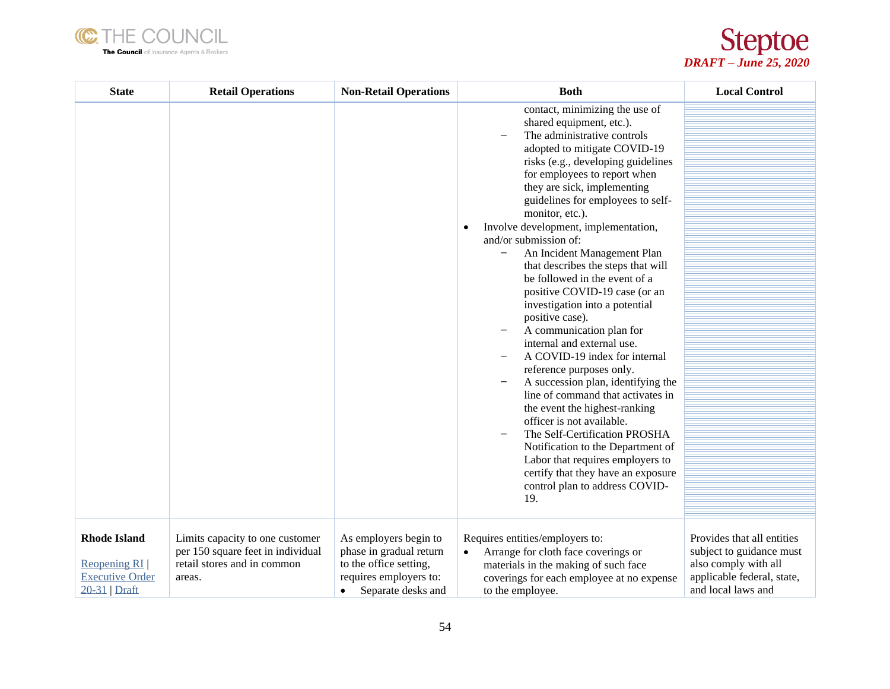



| <b>State</b>                                                                 | <b>Retail Operations</b>                                                                                      | <b>Non-Retail Operations</b>                                                                                               | <b>Both</b>                                                                                                                                                                                                                                                                                                                                                                                                                                                                                                                                                                                                                                                                                                                                                                                                                                                                                                                                                                                                       | <b>Local Control</b>                                                                                                               |
|------------------------------------------------------------------------------|---------------------------------------------------------------------------------------------------------------|----------------------------------------------------------------------------------------------------------------------------|-------------------------------------------------------------------------------------------------------------------------------------------------------------------------------------------------------------------------------------------------------------------------------------------------------------------------------------------------------------------------------------------------------------------------------------------------------------------------------------------------------------------------------------------------------------------------------------------------------------------------------------------------------------------------------------------------------------------------------------------------------------------------------------------------------------------------------------------------------------------------------------------------------------------------------------------------------------------------------------------------------------------|------------------------------------------------------------------------------------------------------------------------------------|
|                                                                              |                                                                                                               |                                                                                                                            | contact, minimizing the use of<br>shared equipment, etc.).<br>The administrative controls<br>adopted to mitigate COVID-19<br>risks (e.g., developing guidelines<br>for employees to report when<br>they are sick, implementing<br>guidelines for employees to self-<br>monitor, etc.).<br>Involve development, implementation,<br>٠<br>and/or submission of:<br>An Incident Management Plan<br>that describes the steps that will<br>be followed in the event of a<br>positive COVID-19 case (or an<br>investigation into a potential<br>positive case).<br>A communication plan for<br>internal and external use.<br>A COVID-19 index for internal<br>reference purposes only.<br>A succession plan, identifying the<br>line of command that activates in<br>the event the highest-ranking<br>officer is not available.<br>The Self-Certification PROSHA<br>Notification to the Department of<br>Labor that requires employers to<br>certify that they have an exposure<br>control plan to address COVID-<br>19. |                                                                                                                                    |
| <b>Rhode Island</b><br>Reopening RI<br><b>Executive Order</b><br>20-31 Draft | Limits capacity to one customer<br>per 150 square feet in individual<br>retail stores and in common<br>areas. | As employers begin to<br>phase in gradual return<br>to the office setting,<br>requires employers to:<br>Separate desks and | Requires entities/employers to:<br>Arrange for cloth face coverings or<br>$\bullet$<br>materials in the making of such face<br>coverings for each employee at no expense<br>to the employee.                                                                                                                                                                                                                                                                                                                                                                                                                                                                                                                                                                                                                                                                                                                                                                                                                      | Provides that all entities<br>subject to guidance must<br>also comply with all<br>applicable federal, state,<br>and local laws and |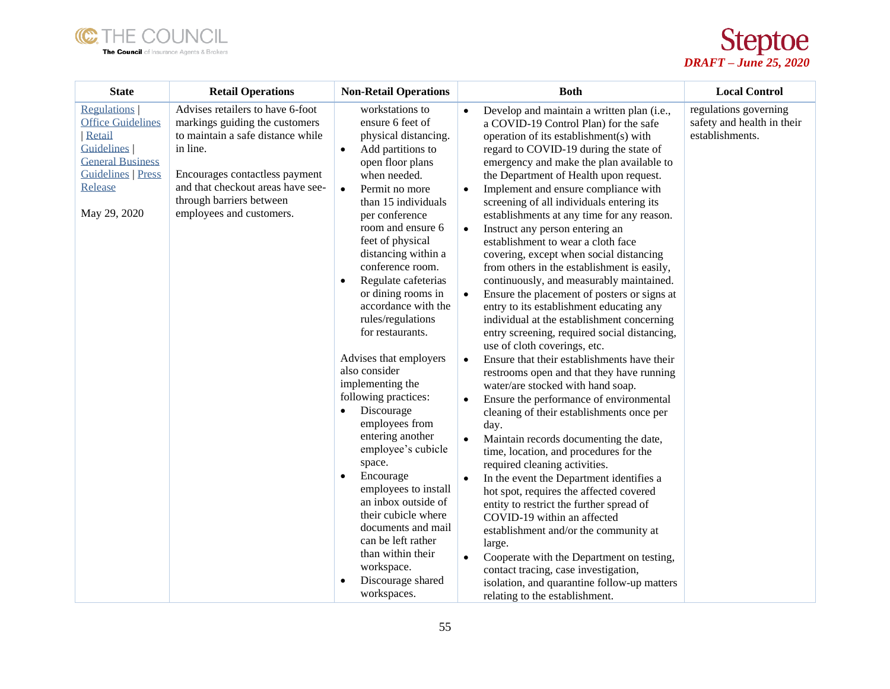



| <b>State</b>                                                                                                                                                     | <b>Retail Operations</b>                                                                                                                                                                                                                           | <b>Non-Retail Operations</b>                                                                                                                                                                                                                                                                                                                                                                                                                                                                                                                                                                                                                                                                                                                                                                                          | <b>Both</b>                                                                                                                                                                                                                                                                                                                                                                                                                                                                                                                                                                                                                                                                                                                                                                                                                                                                                                                                                                                                                                                                                                                                                                                                                                                                                                                                                                                                                                                                                                                                                                                                                                                                                       | <b>Local Control</b>                                                   |
|------------------------------------------------------------------------------------------------------------------------------------------------------------------|----------------------------------------------------------------------------------------------------------------------------------------------------------------------------------------------------------------------------------------------------|-----------------------------------------------------------------------------------------------------------------------------------------------------------------------------------------------------------------------------------------------------------------------------------------------------------------------------------------------------------------------------------------------------------------------------------------------------------------------------------------------------------------------------------------------------------------------------------------------------------------------------------------------------------------------------------------------------------------------------------------------------------------------------------------------------------------------|---------------------------------------------------------------------------------------------------------------------------------------------------------------------------------------------------------------------------------------------------------------------------------------------------------------------------------------------------------------------------------------------------------------------------------------------------------------------------------------------------------------------------------------------------------------------------------------------------------------------------------------------------------------------------------------------------------------------------------------------------------------------------------------------------------------------------------------------------------------------------------------------------------------------------------------------------------------------------------------------------------------------------------------------------------------------------------------------------------------------------------------------------------------------------------------------------------------------------------------------------------------------------------------------------------------------------------------------------------------------------------------------------------------------------------------------------------------------------------------------------------------------------------------------------------------------------------------------------------------------------------------------------------------------------------------------------|------------------------------------------------------------------------|
| <b>Regulations</b><br><b>Office Guidelines</b><br>Retail<br><b>Guidelines</b><br><b>General Business</b><br><b>Guidelines   Press</b><br>Release<br>May 29, 2020 | Advises retailers to have 6-foot<br>markings guiding the customers<br>to maintain a safe distance while<br>in line.<br>Encourages contactless payment<br>and that checkout areas have see-<br>through barriers between<br>employees and customers. | workstations to<br>ensure 6 feet of<br>physical distancing.<br>Add partitions to<br>$\bullet$<br>open floor plans<br>when needed.<br>Permit no more<br>$\bullet$<br>than 15 individuals<br>per conference<br>room and ensure 6<br>feet of physical<br>distancing within a<br>conference room.<br>Regulate cafeterias<br>$\bullet$<br>or dining rooms in<br>accordance with the<br>rules/regulations<br>for restaurants.<br>Advises that employers<br>also consider<br>implementing the<br>following practices:<br>Discourage<br>employees from<br>entering another<br>employee's cubicle<br>space.<br>Encourage<br>$\bullet$<br>employees to install<br>an inbox outside of<br>their cubicle where<br>documents and mail<br>can be left rather<br>than within their<br>workspace.<br>Discourage shared<br>workspaces. | Develop and maintain a written plan (i.e.,<br>a COVID-19 Control Plan) for the safe<br>operation of its establishment(s) with<br>regard to COVID-19 during the state of<br>emergency and make the plan available to<br>the Department of Health upon request.<br>Implement and ensure compliance with<br>$\bullet$<br>screening of all individuals entering its<br>establishments at any time for any reason.<br>Instruct any person entering an<br>$\bullet$<br>establishment to wear a cloth face<br>covering, except when social distancing<br>from others in the establishment is easily,<br>continuously, and measurably maintained.<br>Ensure the placement of posters or signs at<br>$\bullet$<br>entry to its establishment educating any<br>individual at the establishment concerning<br>entry screening, required social distancing,<br>use of cloth coverings, etc.<br>Ensure that their establishments have their<br>$\bullet$<br>restrooms open and that they have running<br>water/are stocked with hand soap.<br>Ensure the performance of environmental<br>$\bullet$<br>cleaning of their establishments once per<br>day.<br>Maintain records documenting the date,<br>$\bullet$<br>time, location, and procedures for the<br>required cleaning activities.<br>In the event the Department identifies a<br>$\bullet$<br>hot spot, requires the affected covered<br>entity to restrict the further spread of<br>COVID-19 within an affected<br>establishment and/or the community at<br>large.<br>Cooperate with the Department on testing,<br>$\bullet$<br>contact tracing, case investigation,<br>isolation, and quarantine follow-up matters<br>relating to the establishment. | regulations governing<br>safety and health in their<br>establishments. |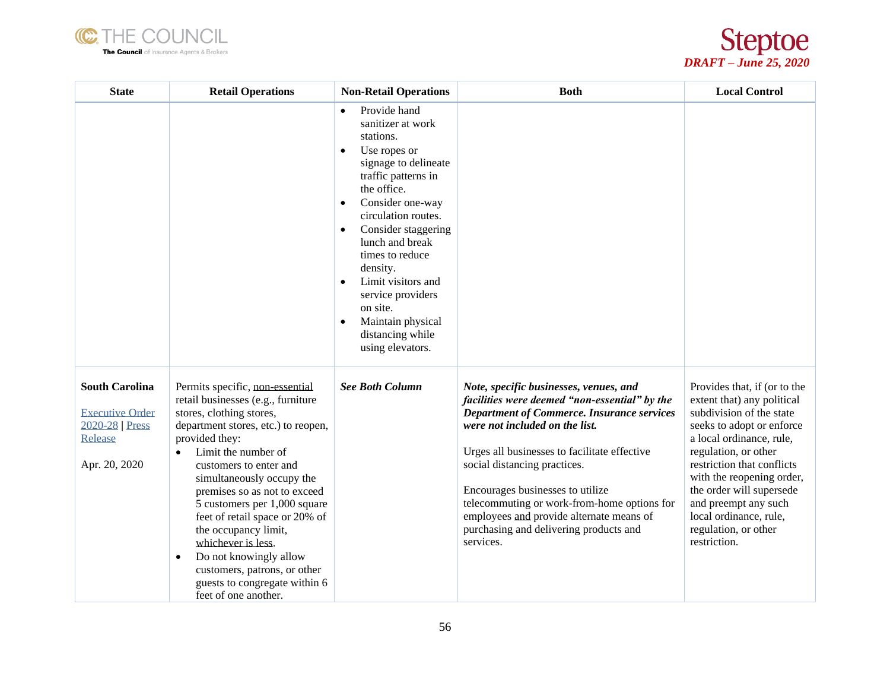



| <b>State</b>                                                                                 | <b>Retail Operations</b>                                                                                                                                                                                                                                                                                                                                                                                                                                                                                                              | <b>Non-Retail Operations</b>                                                                                                                                                                                                                                                                                                                                                                                                                       | <b>Both</b>                                                                                                                                                                                                                                                                                                                                                                                                                                          | <b>Local Control</b>                                                                                                                                                                                                                                                                                                                                     |
|----------------------------------------------------------------------------------------------|---------------------------------------------------------------------------------------------------------------------------------------------------------------------------------------------------------------------------------------------------------------------------------------------------------------------------------------------------------------------------------------------------------------------------------------------------------------------------------------------------------------------------------------|----------------------------------------------------------------------------------------------------------------------------------------------------------------------------------------------------------------------------------------------------------------------------------------------------------------------------------------------------------------------------------------------------------------------------------------------------|------------------------------------------------------------------------------------------------------------------------------------------------------------------------------------------------------------------------------------------------------------------------------------------------------------------------------------------------------------------------------------------------------------------------------------------------------|----------------------------------------------------------------------------------------------------------------------------------------------------------------------------------------------------------------------------------------------------------------------------------------------------------------------------------------------------------|
|                                                                                              |                                                                                                                                                                                                                                                                                                                                                                                                                                                                                                                                       | Provide hand<br>$\bullet$<br>sanitizer at work<br>stations.<br>Use ropes or<br>$\bullet$<br>signage to delineate<br>traffic patterns in<br>the office.<br>Consider one-way<br>$\bullet$<br>circulation routes.<br>Consider staggering<br>$\bullet$<br>lunch and break<br>times to reduce<br>density.<br>Limit visitors and<br>$\bullet$<br>service providers<br>on site.<br>Maintain physical<br>$\bullet$<br>distancing while<br>using elevators. |                                                                                                                                                                                                                                                                                                                                                                                                                                                      |                                                                                                                                                                                                                                                                                                                                                          |
| <b>South Carolina</b><br><b>Executive Order</b><br>2020-28 Press<br>Release<br>Apr. 20, 2020 | Permits specific, non-essential<br>retail businesses (e.g., furniture<br>stores, clothing stores,<br>department stores, etc.) to reopen,<br>provided they:<br>Limit the number of<br>$\bullet$<br>customers to enter and<br>simultaneously occupy the<br>premises so as not to exceed<br>5 customers per 1,000 square<br>feet of retail space or 20% of<br>the occupancy limit,<br>whichever is less.<br>Do not knowingly allow<br>$\bullet$<br>customers, patrons, or other<br>guests to congregate within 6<br>feet of one another. | <b>See Both Column</b>                                                                                                                                                                                                                                                                                                                                                                                                                             | Note, specific businesses, venues, and<br>facilities were deemed "non-essential" by the<br><b>Department of Commerce. Insurance services</b><br>were not included on the list.<br>Urges all businesses to facilitate effective<br>social distancing practices.<br>Encourages businesses to utilize<br>telecommuting or work-from-home options for<br>employees and provide alternate means of<br>purchasing and delivering products and<br>services. | Provides that, if (or to the<br>extent that) any political<br>subdivision of the state<br>seeks to adopt or enforce<br>a local ordinance, rule,<br>regulation, or other<br>restriction that conflicts<br>with the reopening order,<br>the order will supersede<br>and preempt any such<br>local ordinance, rule,<br>regulation, or other<br>restriction. |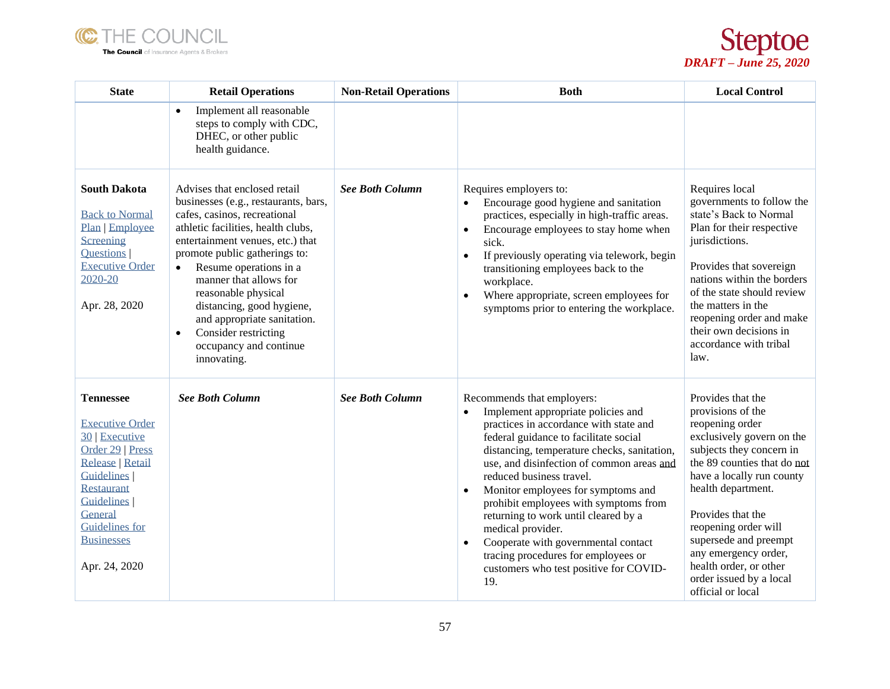



| <b>State</b>                                                                                                                                                                                                                                         | <b>Retail Operations</b>                                                                                                                                                                                                                                                                                                                                                                                                                          | <b>Non-Retail Operations</b> | <b>Both</b>                                                                                                                                                                                                                                                                                                                                                                                                                                                                                                                                                                      | <b>Local Control</b>                                                                                                                                                                                                                                                                                                                                                         |
|------------------------------------------------------------------------------------------------------------------------------------------------------------------------------------------------------------------------------------------------------|---------------------------------------------------------------------------------------------------------------------------------------------------------------------------------------------------------------------------------------------------------------------------------------------------------------------------------------------------------------------------------------------------------------------------------------------------|------------------------------|----------------------------------------------------------------------------------------------------------------------------------------------------------------------------------------------------------------------------------------------------------------------------------------------------------------------------------------------------------------------------------------------------------------------------------------------------------------------------------------------------------------------------------------------------------------------------------|------------------------------------------------------------------------------------------------------------------------------------------------------------------------------------------------------------------------------------------------------------------------------------------------------------------------------------------------------------------------------|
|                                                                                                                                                                                                                                                      | Implement all reasonable<br>$\bullet$<br>steps to comply with CDC,<br>DHEC, or other public<br>health guidance.                                                                                                                                                                                                                                                                                                                                   |                              |                                                                                                                                                                                                                                                                                                                                                                                                                                                                                                                                                                                  |                                                                                                                                                                                                                                                                                                                                                                              |
| <b>South Dakota</b><br><b>Back to Normal</b><br>Plan   Employee<br>Screening<br>Questions  <br><b>Executive Order</b><br>2020-20<br>Apr. 28, 2020                                                                                                    | Advises that enclosed retail<br>businesses (e.g., restaurants, bars,<br>cafes, casinos, recreational<br>athletic facilities, health clubs,<br>entertainment venues, etc.) that<br>promote public gatherings to:<br>Resume operations in a<br>$\bullet$<br>manner that allows for<br>reasonable physical<br>distancing, good hygiene,<br>and appropriate sanitation.<br>Consider restricting<br>$\bullet$<br>occupancy and continue<br>innovating. | <b>See Both Column</b>       | Requires employers to:<br>Encourage good hygiene and sanitation<br>$\bullet$<br>practices, especially in high-traffic areas.<br>Encourage employees to stay home when<br>$\bullet$<br>sick.<br>If previously operating via telework, begin<br>$\bullet$<br>transitioning employees back to the<br>workplace.<br>Where appropriate, screen employees for<br>symptoms prior to entering the workplace.                                                                                                                                                                             | Requires local<br>governments to follow the<br>state's Back to Normal<br>Plan for their respective<br>jurisdictions.<br>Provides that sovereign<br>nations within the borders<br>of the state should review<br>the matters in the<br>reopening order and make<br>their own decisions in<br>accordance with tribal<br>law.                                                    |
| <b>Tennessee</b><br><b>Executive Order</b><br>30   Executive<br>Order 29   Press<br><b>Release   Retail</b><br><b>Guidelines</b><br><b>Restaurant</b><br><b>Guidelines</b><br>General<br><b>Guidelines</b> for<br><b>Businesses</b><br>Apr. 24, 2020 | <b>See Both Column</b>                                                                                                                                                                                                                                                                                                                                                                                                                            | <b>See Both Column</b>       | Recommends that employers:<br>Implement appropriate policies and<br>$\bullet$<br>practices in accordance with state and<br>federal guidance to facilitate social<br>distancing, temperature checks, sanitation,<br>use, and disinfection of common areas and<br>reduced business travel.<br>Monitor employees for symptoms and<br>prohibit employees with symptoms from<br>returning to work until cleared by a<br>medical provider.<br>Cooperate with governmental contact<br>$\bullet$<br>tracing procedures for employees or<br>customers who test positive for COVID-<br>19. | Provides that the<br>provisions of the<br>reopening order<br>exclusively govern on the<br>subjects they concern in<br>the 89 counties that do not<br>have a locally run county<br>health department.<br>Provides that the<br>reopening order will<br>supersede and preempt<br>any emergency order,<br>health order, or other<br>order issued by a local<br>official or local |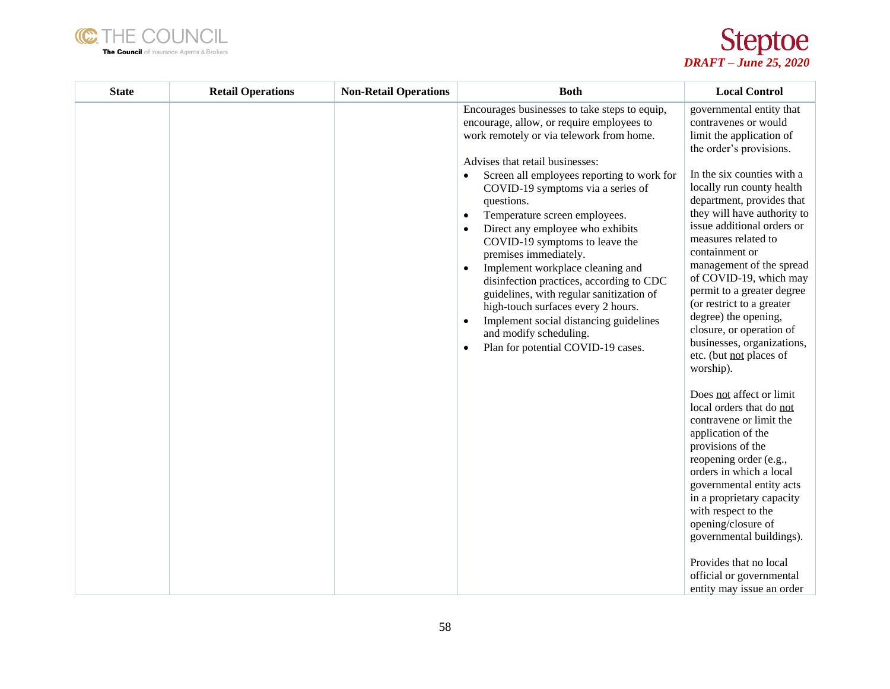



| <b>State</b> | <b>Retail Operations</b> | <b>Non-Retail Operations</b> | <b>Both</b>                                                                                                                                                                                                                                                                                                                                                                                                                                                                                                                                                                                                                                                                                                                                             | <b>Local Control</b>                                                                                                                                                                                                                                                                                                                                                                                                                                                                                                                                                                                                                                                                                                                                                                                                                                                                                                                                     |
|--------------|--------------------------|------------------------------|---------------------------------------------------------------------------------------------------------------------------------------------------------------------------------------------------------------------------------------------------------------------------------------------------------------------------------------------------------------------------------------------------------------------------------------------------------------------------------------------------------------------------------------------------------------------------------------------------------------------------------------------------------------------------------------------------------------------------------------------------------|----------------------------------------------------------------------------------------------------------------------------------------------------------------------------------------------------------------------------------------------------------------------------------------------------------------------------------------------------------------------------------------------------------------------------------------------------------------------------------------------------------------------------------------------------------------------------------------------------------------------------------------------------------------------------------------------------------------------------------------------------------------------------------------------------------------------------------------------------------------------------------------------------------------------------------------------------------|
|              |                          |                              | Encourages businesses to take steps to equip,<br>encourage, allow, or require employees to<br>work remotely or via telework from home.<br>Advises that retail businesses:<br>Screen all employees reporting to work for<br>$\bullet$<br>COVID-19 symptoms via a series of<br>questions.<br>Temperature screen employees.<br>$\bullet$<br>Direct any employee who exhibits<br>COVID-19 symptoms to leave the<br>premises immediately.<br>Implement workplace cleaning and<br>$\bullet$<br>disinfection practices, according to CDC<br>guidelines, with regular sanitization of<br>high-touch surfaces every 2 hours.<br>Implement social distancing guidelines<br>$\bullet$<br>and modify scheduling.<br>Plan for potential COVID-19 cases.<br>$\bullet$ | governmental entity that<br>contravenes or would<br>limit the application of<br>the order's provisions.<br>In the six counties with a<br>locally run county health<br>department, provides that<br>they will have authority to<br>issue additional orders or<br>measures related to<br>containment or<br>management of the spread<br>of COVID-19, which may<br>permit to a greater degree<br>(or restrict to a greater<br>degree) the opening,<br>closure, or operation of<br>businesses, organizations,<br>etc. (but not places of<br>worship).<br>Does not affect or limit<br>local orders that do not<br>contravene or limit the<br>application of the<br>provisions of the<br>reopening order (e.g.,<br>orders in which a local<br>governmental entity acts<br>in a proprietary capacity<br>with respect to the<br>opening/closure of<br>governmental buildings).<br>Provides that no local<br>official or governmental<br>entity may issue an order |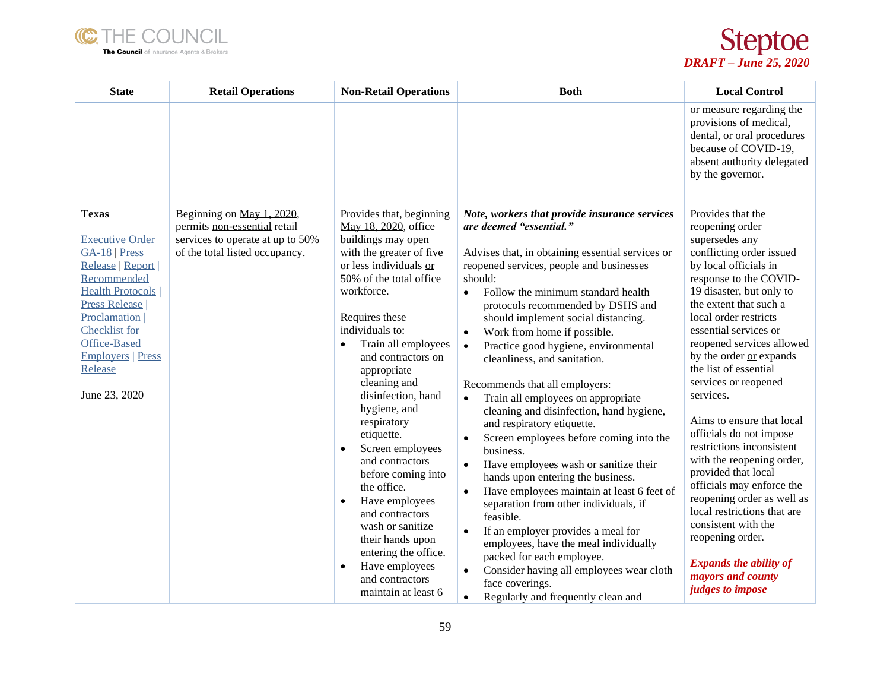



| <b>State</b>                                                                                                                                                                                                                                                    | <b>Retail Operations</b>                                                                                                        | <b>Non-Retail Operations</b>                                                                                                                                                                                                                                                                                                                                                                                                                                                                                                                                                                                        | <b>Both</b>                                                                                                                                                                                                                                                                                                                                                                                                                                                                                                                                                                                                                                                                                                                                                                                                                                                                                                                                                                                                                                                                                             | <b>Local Control</b>                                                                                                                                                                                                                                                                                                                                                                                                                                                                                                                                                                                                                                                                                                               |
|-----------------------------------------------------------------------------------------------------------------------------------------------------------------------------------------------------------------------------------------------------------------|---------------------------------------------------------------------------------------------------------------------------------|---------------------------------------------------------------------------------------------------------------------------------------------------------------------------------------------------------------------------------------------------------------------------------------------------------------------------------------------------------------------------------------------------------------------------------------------------------------------------------------------------------------------------------------------------------------------------------------------------------------------|---------------------------------------------------------------------------------------------------------------------------------------------------------------------------------------------------------------------------------------------------------------------------------------------------------------------------------------------------------------------------------------------------------------------------------------------------------------------------------------------------------------------------------------------------------------------------------------------------------------------------------------------------------------------------------------------------------------------------------------------------------------------------------------------------------------------------------------------------------------------------------------------------------------------------------------------------------------------------------------------------------------------------------------------------------------------------------------------------------|------------------------------------------------------------------------------------------------------------------------------------------------------------------------------------------------------------------------------------------------------------------------------------------------------------------------------------------------------------------------------------------------------------------------------------------------------------------------------------------------------------------------------------------------------------------------------------------------------------------------------------------------------------------------------------------------------------------------------------|
|                                                                                                                                                                                                                                                                 |                                                                                                                                 |                                                                                                                                                                                                                                                                                                                                                                                                                                                                                                                                                                                                                     |                                                                                                                                                                                                                                                                                                                                                                                                                                                                                                                                                                                                                                                                                                                                                                                                                                                                                                                                                                                                                                                                                                         | or measure regarding the<br>provisions of medical,<br>dental, or oral procedures<br>because of COVID-19,<br>absent authority delegated<br>by the governor.                                                                                                                                                                                                                                                                                                                                                                                                                                                                                                                                                                         |
| <b>Texas</b><br><b>Executive Order</b><br>GA-18   Press<br>Release   Report  <br>Recommended<br><b>Health Protocols</b><br><b>Press Release</b><br>Proclamation<br>Checklist for<br><b>Office-Based</b><br><b>Employers   Press</b><br>Release<br>June 23, 2020 | Beginning on May 1, 2020,<br>permits non-essential retail<br>services to operate at up to 50%<br>of the total listed occupancy. | Provides that, beginning<br>May 18, 2020, office<br>buildings may open<br>with the greater of five<br>or less individuals or<br>50% of the total office<br>workforce.<br>Requires these<br>individuals to:<br>Train all employees<br>and contractors on<br>appropriate<br>cleaning and<br>disinfection, hand<br>hygiene, and<br>respiratory<br>etiquette.<br>Screen employees<br>and contractors<br>before coming into<br>the office.<br>Have employees<br>and contractors<br>wash or sanitize<br>their hands upon<br>entering the office.<br>Have employees<br>$\bullet$<br>and contractors<br>maintain at least 6 | Note, workers that provide insurance services<br>are deemed "essential."<br>Advises that, in obtaining essential services or<br>reopened services, people and businesses<br>should:<br>Follow the minimum standard health<br>$\bullet$<br>protocols recommended by DSHS and<br>should implement social distancing.<br>Work from home if possible.<br>$\bullet$<br>Practice good hygiene, environmental<br>$\bullet$<br>cleanliness, and sanitation.<br>Recommends that all employers:<br>Train all employees on appropriate<br>cleaning and disinfection, hand hygiene,<br>and respiratory etiquette.<br>Screen employees before coming into the<br>business.<br>Have employees wash or sanitize their<br>hands upon entering the business.<br>Have employees maintain at least 6 feet of<br>$\bullet$<br>separation from other individuals, if<br>feasible.<br>If an employer provides a meal for<br>$\bullet$<br>employees, have the meal individually<br>packed for each employee.<br>Consider having all employees wear cloth<br>face coverings.<br>Regularly and frequently clean and<br>$\bullet$ | Provides that the<br>reopening order<br>supersedes any<br>conflicting order issued<br>by local officials in<br>response to the COVID-<br>19 disaster, but only to<br>the extent that such a<br>local order restricts<br>essential services or<br>reopened services allowed<br>by the order or expands<br>the list of essential<br>services or reopened<br>services.<br>Aims to ensure that local<br>officials do not impose<br>restrictions inconsistent<br>with the reopening order,<br>provided that local<br>officials may enforce the<br>reopening order as well as<br>local restrictions that are<br>consistent with the<br>reopening order.<br><b>Expands the ability of</b><br>mayors and county<br><i>judges to impose</i> |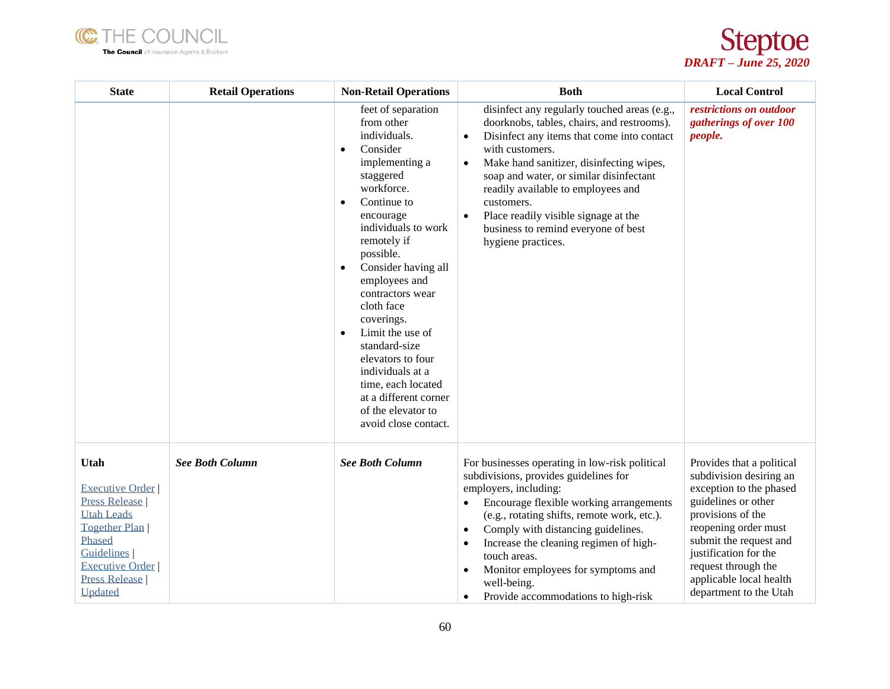



| <b>State</b>                                                                                                                                                                                           | <b>Retail Operations</b> | <b>Non-Retail Operations</b>                                                                                                                                                                                                                                                                                                                                                                                                                                                                                    | <b>Both</b>                                                                                                                                                                                                                                                                                                                                                                                                                                                             | <b>Local Control</b>                                                                                                                                                                                                                                                               |
|--------------------------------------------------------------------------------------------------------------------------------------------------------------------------------------------------------|--------------------------|-----------------------------------------------------------------------------------------------------------------------------------------------------------------------------------------------------------------------------------------------------------------------------------------------------------------------------------------------------------------------------------------------------------------------------------------------------------------------------------------------------------------|-------------------------------------------------------------------------------------------------------------------------------------------------------------------------------------------------------------------------------------------------------------------------------------------------------------------------------------------------------------------------------------------------------------------------------------------------------------------------|------------------------------------------------------------------------------------------------------------------------------------------------------------------------------------------------------------------------------------------------------------------------------------|
|                                                                                                                                                                                                        |                          | feet of separation<br>from other<br>individuals.<br>Consider<br>$\bullet$<br>implementing a<br>staggered<br>workforce.<br>Continue to<br>$\bullet$<br>encourage<br>individuals to work<br>remotely if<br>possible.<br>Consider having all<br>$\bullet$<br>employees and<br>contractors wear<br>cloth face<br>coverings.<br>Limit the use of<br>$\bullet$<br>standard-size<br>elevators to four<br>individuals at a<br>time, each located<br>at a different corner<br>of the elevator to<br>avoid close contact. | disinfect any regularly touched areas (e.g.,<br>doorknobs, tables, chairs, and restrooms).<br>Disinfect any items that come into contact<br>$\bullet$<br>with customers.<br>Make hand sanitizer, disinfecting wipes,<br>$\bullet$<br>soap and water, or similar disinfectant<br>readily available to employees and<br>customers.<br>Place readily visible signage at the<br>$\bullet$<br>business to remind everyone of best<br>hygiene practices.                      | restrictions on outdoor<br>gatherings of over 100<br><i>people.</i>                                                                                                                                                                                                                |
| Utah<br><b>Executive Order</b><br><b>Press Release</b><br><b>Utah Leads</b><br><b>Together Plan</b><br>Phased<br><b>Guidelines</b><br><b>Executive Order</b><br><b>Press Release</b><br><b>Updated</b> | <b>See Both Column</b>   | <b>See Both Column</b>                                                                                                                                                                                                                                                                                                                                                                                                                                                                                          | For businesses operating in low-risk political<br>subdivisions, provides guidelines for<br>employers, including:<br>Encourage flexible working arrangements<br>$\bullet$<br>(e.g., rotating shifts, remote work, etc.).<br>Comply with distancing guidelines.<br>$\bullet$<br>Increase the cleaning regimen of high-<br>$\bullet$<br>touch areas.<br>Monitor employees for symptoms and<br>$\bullet$<br>well-being.<br>Provide accommodations to high-risk<br>$\bullet$ | Provides that a political<br>subdivision desiring an<br>exception to the phased<br>guidelines or other<br>provisions of the<br>reopening order must<br>submit the request and<br>justification for the<br>request through the<br>applicable local health<br>department to the Utah |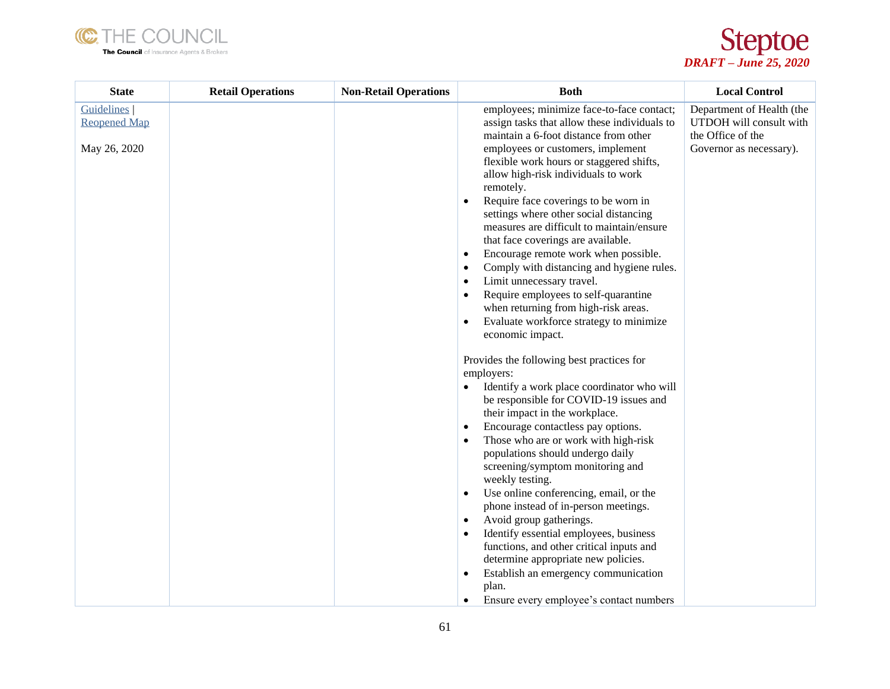



| employees; minimize face-to-face contact;<br><b>Guidelines</b>                                    | Department of Health (the |
|---------------------------------------------------------------------------------------------------|---------------------------|
| <b>Reopened Map</b><br>assign tasks that allow these individuals to                               | UTDOH will consult with   |
| the Office of the<br>maintain a 6-foot distance from other                                        |                           |
| employees or customers, implement<br>May 26, 2020<br>flexible work hours or staggered shifts,     | Governor as necessary).   |
| allow high-risk individuals to work                                                               |                           |
| remotely.                                                                                         |                           |
| Require face coverings to be worn in<br>$\bullet$                                                 |                           |
| settings where other social distancing<br>measures are difficult to maintain/ensure               |                           |
| that face coverings are available.                                                                |                           |
| Encourage remote work when possible.<br>$\bullet$                                                 |                           |
| Comply with distancing and hygiene rules.<br>$\bullet$                                            |                           |
| Limit unnecessary travel.<br>$\bullet$<br>Require employees to self-quarantine<br>$\bullet$       |                           |
| when returning from high-risk areas.                                                              |                           |
| Evaluate workforce strategy to minimize<br>$\bullet$                                              |                           |
| economic impact.                                                                                  |                           |
| Provides the following best practices for                                                         |                           |
| employers:                                                                                        |                           |
| Identify a work place coordinator who will<br>$\bullet$<br>be responsible for COVID-19 issues and |                           |
| their impact in the workplace.                                                                    |                           |
| Encourage contactless pay options.<br>$\bullet$                                                   |                           |
| Those who are or work with high-risk<br>$\bullet$                                                 |                           |
| populations should undergo daily<br>screening/symptom monitoring and                              |                           |
| weekly testing.                                                                                   |                           |
| Use online conferencing, email, or the<br>$\bullet$                                               |                           |
| phone instead of in-person meetings.                                                              |                           |
| Avoid group gatherings.<br>$\bullet$<br>Identify essential employees, business<br>$\bullet$       |                           |
| functions, and other critical inputs and                                                          |                           |
| determine appropriate new policies.                                                               |                           |
| Establish an emergency communication<br>$\bullet$                                                 |                           |
| plan.<br>Ensure every employee's contact numbers<br>$\bullet$                                     |                           |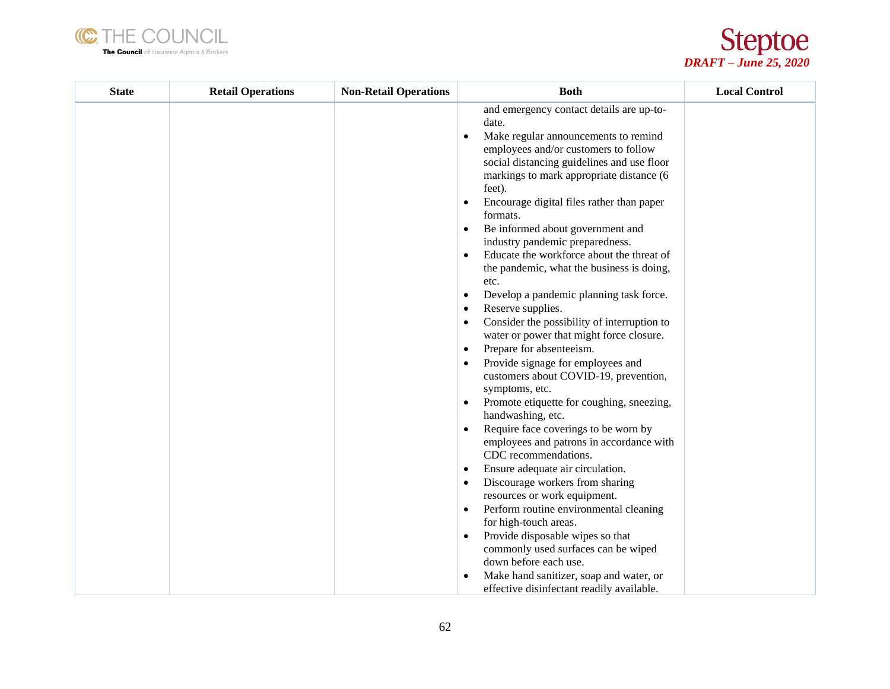



| <b>State</b> | <b>Retail Operations</b> | <b>Non-Retail Operations</b> | <b>Both</b>                                                                                                                                                                                                                                                                                                                                                                                                                                                                                                                                                                                                                                                                                                                                                                                                                                                                                                                                                                                                                                                                                                                                                                                                                                                                                                                                                                                                                                                                   | <b>Local Control</b> |
|--------------|--------------------------|------------------------------|-------------------------------------------------------------------------------------------------------------------------------------------------------------------------------------------------------------------------------------------------------------------------------------------------------------------------------------------------------------------------------------------------------------------------------------------------------------------------------------------------------------------------------------------------------------------------------------------------------------------------------------------------------------------------------------------------------------------------------------------------------------------------------------------------------------------------------------------------------------------------------------------------------------------------------------------------------------------------------------------------------------------------------------------------------------------------------------------------------------------------------------------------------------------------------------------------------------------------------------------------------------------------------------------------------------------------------------------------------------------------------------------------------------------------------------------------------------------------------|----------------------|
|              |                          |                              | and emergency contact details are up-to-<br>date.<br>Make regular announcements to remind<br>$\bullet$<br>employees and/or customers to follow<br>social distancing guidelines and use floor<br>markings to mark appropriate distance (6<br>feet).<br>Encourage digital files rather than paper<br>$\bullet$<br>formats.<br>Be informed about government and<br>$\bullet$<br>industry pandemic preparedness.<br>Educate the workforce about the threat of<br>$\bullet$<br>the pandemic, what the business is doing,<br>etc.<br>Develop a pandemic planning task force.<br>٠<br>Reserve supplies.<br>٠<br>Consider the possibility of interruption to<br>٠<br>water or power that might force closure.<br>Prepare for absenteeism.<br>٠<br>Provide signage for employees and<br>customers about COVID-19, prevention,<br>symptoms, etc.<br>Promote etiquette for coughing, sneezing,<br>$\bullet$<br>handwashing, etc.<br>Require face coverings to be worn by<br>$\bullet$<br>employees and patrons in accordance with<br>CDC recommendations.<br>Ensure adequate air circulation.<br>$\bullet$<br>Discourage workers from sharing<br>$\bullet$<br>resources or work equipment.<br>Perform routine environmental cleaning<br>$\bullet$<br>for high-touch areas.<br>Provide disposable wipes so that<br>$\bullet$<br>commonly used surfaces can be wiped<br>down before each use.<br>Make hand sanitizer, soap and water, or<br>٠<br>effective disinfectant readily available. |                      |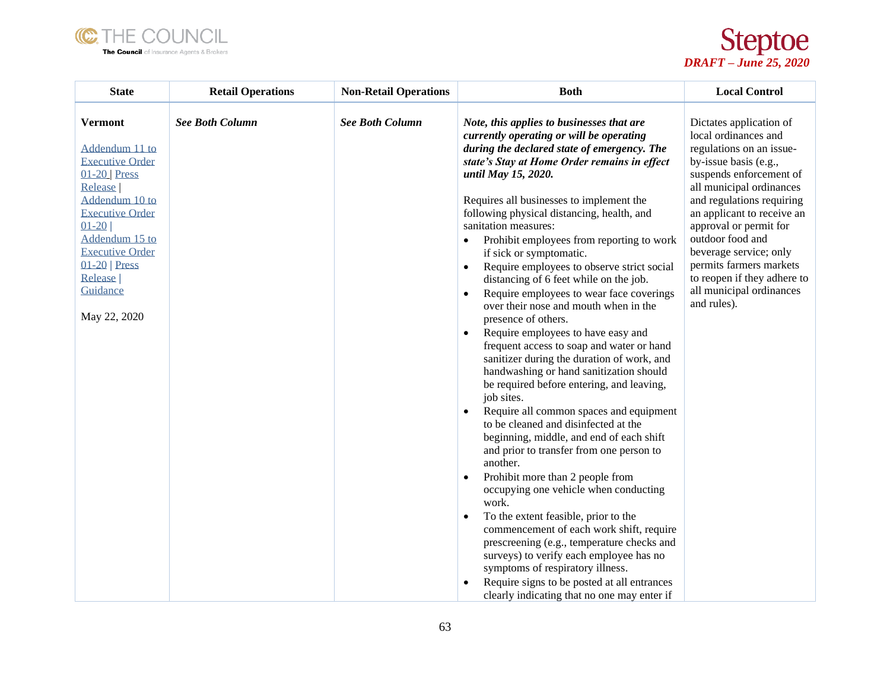



| <b>State</b>                                                                                                                                                                                                                                            | <b>Retail Operations</b> | <b>Non-Retail Operations</b> | <b>Both</b>                                                                                                                                                                                                                                                                                                                                                                                                                                                                                                                                                                                                                                                                                                                                                                                                                                                                                                                                                                                                                                                                                                                                                                                                                                                                                                                                                                                                                                                                                                                             | <b>Local Control</b>                                                                                                                                                                                                                                                                                                                                                                                |
|---------------------------------------------------------------------------------------------------------------------------------------------------------------------------------------------------------------------------------------------------------|--------------------------|------------------------------|-----------------------------------------------------------------------------------------------------------------------------------------------------------------------------------------------------------------------------------------------------------------------------------------------------------------------------------------------------------------------------------------------------------------------------------------------------------------------------------------------------------------------------------------------------------------------------------------------------------------------------------------------------------------------------------------------------------------------------------------------------------------------------------------------------------------------------------------------------------------------------------------------------------------------------------------------------------------------------------------------------------------------------------------------------------------------------------------------------------------------------------------------------------------------------------------------------------------------------------------------------------------------------------------------------------------------------------------------------------------------------------------------------------------------------------------------------------------------------------------------------------------------------------------|-----------------------------------------------------------------------------------------------------------------------------------------------------------------------------------------------------------------------------------------------------------------------------------------------------------------------------------------------------------------------------------------------------|
| <b>Vermont</b><br>Addendum 11 to<br><b>Executive Order</b><br>$01-20$ Press<br>Release<br>Addendum 10 to<br><b>Executive Order</b><br>$01 - 20$<br>Addendum 15 to<br><b>Executive Order</b><br>$01-20$   Press<br>Release  <br>Guidance<br>May 22, 2020 | <b>See Both Column</b>   | <b>See Both Column</b>       | Note, this applies to businesses that are<br>currently operating or will be operating<br>during the declared state of emergency. The<br>state's Stay at Home Order remains in effect<br>until May 15, 2020.<br>Requires all businesses to implement the<br>following physical distancing, health, and<br>sanitation measures:<br>Prohibit employees from reporting to work<br>$\bullet$<br>if sick or symptomatic.<br>Require employees to observe strict social<br>$\bullet$<br>distancing of 6 feet while on the job.<br>Require employees to wear face coverings<br>$\bullet$<br>over their nose and mouth when in the<br>presence of others.<br>Require employees to have easy and<br>$\bullet$<br>frequent access to soap and water or hand<br>sanitizer during the duration of work, and<br>handwashing or hand sanitization should<br>be required before entering, and leaving,<br>job sites.<br>Require all common spaces and equipment<br>$\bullet$<br>to be cleaned and disinfected at the<br>beginning, middle, and end of each shift<br>and prior to transfer from one person to<br>another.<br>Prohibit more than 2 people from<br>$\bullet$<br>occupying one vehicle when conducting<br>work.<br>To the extent feasible, prior to the<br>$\bullet$<br>commencement of each work shift, require<br>prescreening (e.g., temperature checks and<br>surveys) to verify each employee has no<br>symptoms of respiratory illness.<br>Require signs to be posted at all entrances<br>clearly indicating that no one may enter if | Dictates application of<br>local ordinances and<br>regulations on an issue-<br>by-issue basis (e.g.,<br>suspends enforcement of<br>all municipal ordinances<br>and regulations requiring<br>an applicant to receive an<br>approval or permit for<br>outdoor food and<br>beverage service; only<br>permits farmers markets<br>to reopen if they adhere to<br>all municipal ordinances<br>and rules). |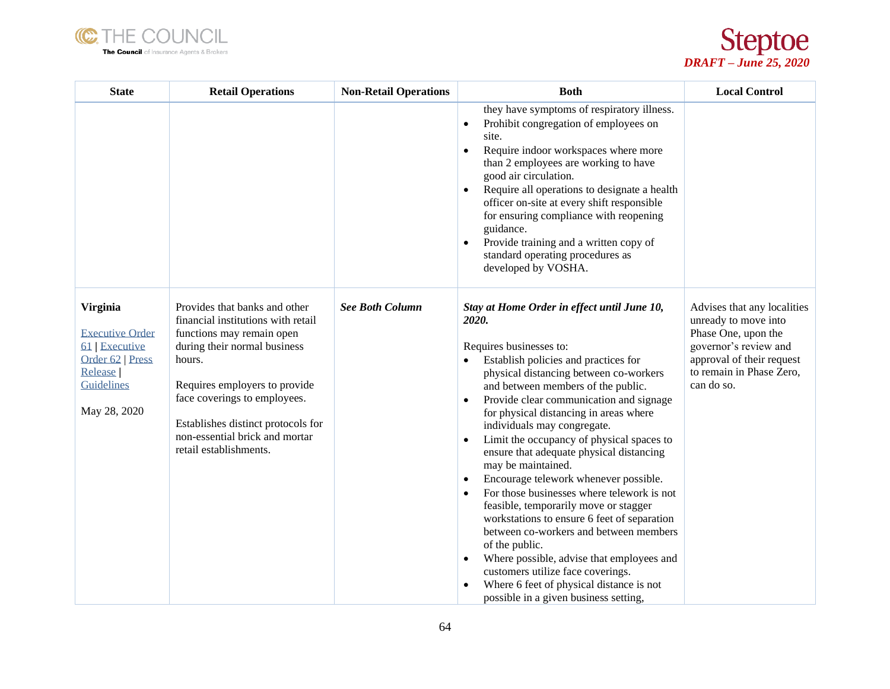



| <b>State</b>                                                                                                             | <b>Retail Operations</b>                                                                                                                                                                                                                                                                                      | <b>Non-Retail Operations</b> | <b>Both</b>                                                                                                                                                                                                                                                                                                                                                                                                                                                                                                                                                                                                                                                                                                                                                                                                                                                                                         | <b>Local Control</b>                                                                                                                                                       |
|--------------------------------------------------------------------------------------------------------------------------|---------------------------------------------------------------------------------------------------------------------------------------------------------------------------------------------------------------------------------------------------------------------------------------------------------------|------------------------------|-----------------------------------------------------------------------------------------------------------------------------------------------------------------------------------------------------------------------------------------------------------------------------------------------------------------------------------------------------------------------------------------------------------------------------------------------------------------------------------------------------------------------------------------------------------------------------------------------------------------------------------------------------------------------------------------------------------------------------------------------------------------------------------------------------------------------------------------------------------------------------------------------------|----------------------------------------------------------------------------------------------------------------------------------------------------------------------------|
|                                                                                                                          |                                                                                                                                                                                                                                                                                                               |                              | they have symptoms of respiratory illness.<br>Prohibit congregation of employees on<br>$\bullet$<br>site.<br>Require indoor workspaces where more<br>$\bullet$<br>than 2 employees are working to have<br>good air circulation.<br>Require all operations to designate a health<br>officer on-site at every shift responsible<br>for ensuring compliance with reopening<br>guidance.<br>Provide training and a written copy of<br>standard operating procedures as<br>developed by VOSHA.                                                                                                                                                                                                                                                                                                                                                                                                           |                                                                                                                                                                            |
| Virginia<br><b>Executive Order</b><br>61 Executive<br>Order 62   Press<br>Release  <br><b>Guidelines</b><br>May 28, 2020 | Provides that banks and other<br>financial institutions with retail<br>functions may remain open<br>during their normal business<br>hours.<br>Requires employers to provide<br>face coverings to employees.<br>Establishes distinct protocols for<br>non-essential brick and mortar<br>retail establishments. | <b>See Both Column</b>       | Stay at Home Order in effect until June 10,<br>2020.<br>Requires businesses to:<br>Establish policies and practices for<br>physical distancing between co-workers<br>and between members of the public.<br>Provide clear communication and signage<br>for physical distancing in areas where<br>individuals may congregate.<br>Limit the occupancy of physical spaces to<br>$\bullet$<br>ensure that adequate physical distancing<br>may be maintained.<br>Encourage telework whenever possible.<br>For those businesses where telework is not<br>feasible, temporarily move or stagger<br>workstations to ensure 6 feet of separation<br>between co-workers and between members<br>of the public.<br>Where possible, advise that employees and<br>$\bullet$<br>customers utilize face coverings.<br>Where 6 feet of physical distance is not<br>$\bullet$<br>possible in a given business setting, | Advises that any localities<br>unready to move into<br>Phase One, upon the<br>governor's review and<br>approval of their request<br>to remain in Phase Zero,<br>can do so. |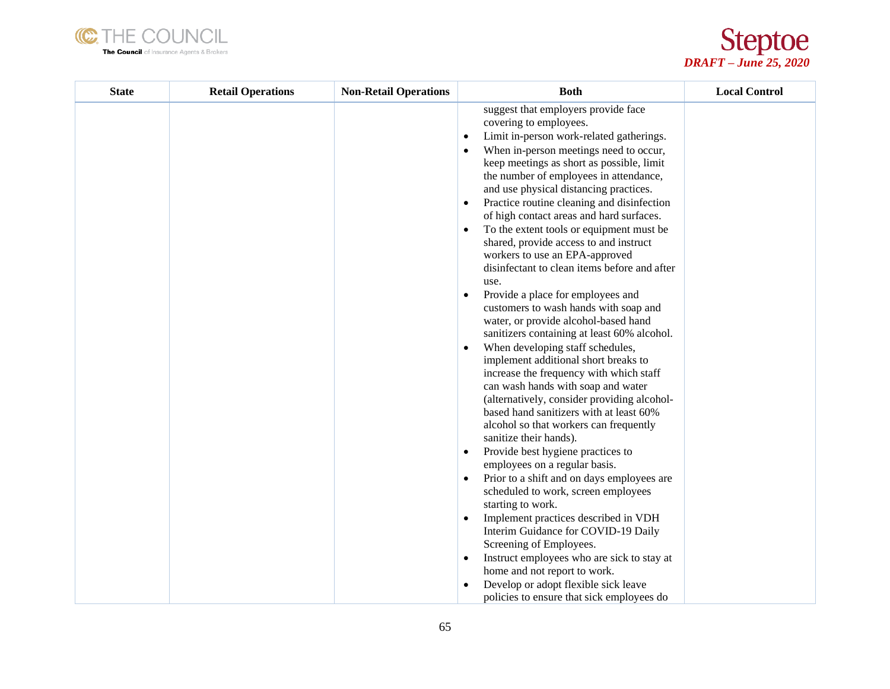



| <b>State</b> | <b>Retail Operations</b> | <b>Non-Retail Operations</b> | <b>Both</b>                                                                                                                                                                                                                                                                                                                                                                                                                                                                                                                                                                                                                                                                                                                                                                                                                                                                                                                                                                                                                                                                                                                                                                                                                                                                                                                                                                                                                                                                                                                                          | <b>Local Control</b> |
|--------------|--------------------------|------------------------------|------------------------------------------------------------------------------------------------------------------------------------------------------------------------------------------------------------------------------------------------------------------------------------------------------------------------------------------------------------------------------------------------------------------------------------------------------------------------------------------------------------------------------------------------------------------------------------------------------------------------------------------------------------------------------------------------------------------------------------------------------------------------------------------------------------------------------------------------------------------------------------------------------------------------------------------------------------------------------------------------------------------------------------------------------------------------------------------------------------------------------------------------------------------------------------------------------------------------------------------------------------------------------------------------------------------------------------------------------------------------------------------------------------------------------------------------------------------------------------------------------------------------------------------------------|----------------------|
|              |                          |                              | suggest that employers provide face<br>covering to employees.<br>Limit in-person work-related gatherings.<br>$\bullet$<br>When in-person meetings need to occur,<br>keep meetings as short as possible, limit<br>the number of employees in attendance,<br>and use physical distancing practices.<br>Practice routine cleaning and disinfection<br>٠<br>of high contact areas and hard surfaces.<br>To the extent tools or equipment must be<br>shared, provide access to and instruct<br>workers to use an EPA-approved<br>disinfectant to clean items before and after<br>use.<br>Provide a place for employees and<br>customers to wash hands with soap and<br>water, or provide alcohol-based hand<br>sanitizers containing at least 60% alcohol.<br>When developing staff schedules,<br>implement additional short breaks to<br>increase the frequency with which staff<br>can wash hands with soap and water<br>(alternatively, consider providing alcohol-<br>based hand sanitizers with at least 60%<br>alcohol so that workers can frequently<br>sanitize their hands).<br>Provide best hygiene practices to<br>$\bullet$<br>employees on a regular basis.<br>Prior to a shift and on days employees are<br>$\bullet$<br>scheduled to work, screen employees<br>starting to work.<br>Implement practices described in VDH<br>$\bullet$<br>Interim Guidance for COVID-19 Daily<br>Screening of Employees.<br>Instruct employees who are sick to stay at<br>$\bullet$<br>home and not report to work.<br>Develop or adopt flexible sick leave |                      |
|              |                          |                              | policies to ensure that sick employees do                                                                                                                                                                                                                                                                                                                                                                                                                                                                                                                                                                                                                                                                                                                                                                                                                                                                                                                                                                                                                                                                                                                                                                                                                                                                                                                                                                                                                                                                                                            |                      |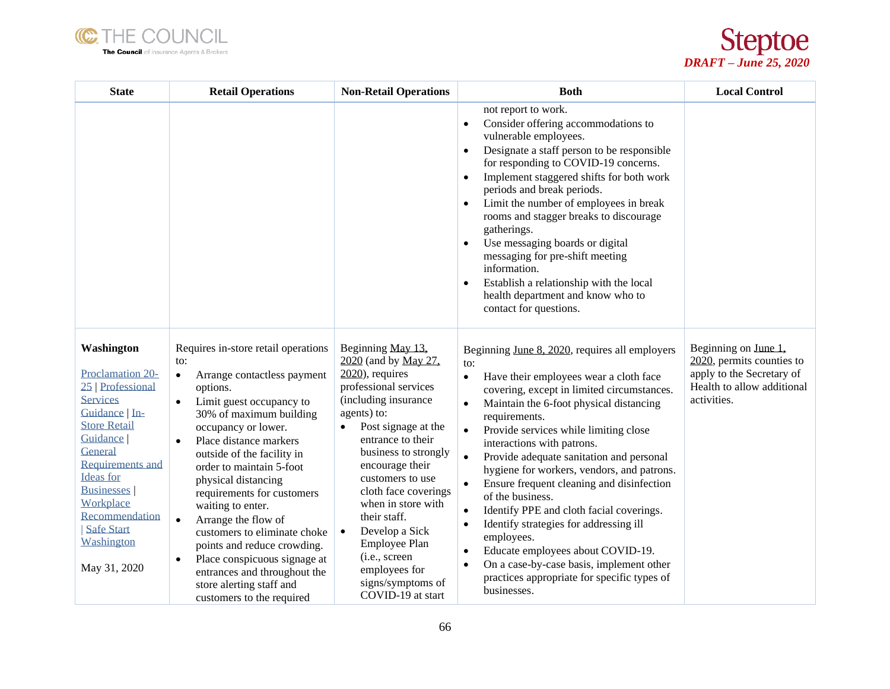



| <b>State</b>                                                                                                                                                                                                                                                                                        | <b>Retail Operations</b>                                                                                                                                                                                                                                                                                                                                                                                                                                                                                                                                                                                          | <b>Non-Retail Operations</b>                                                                                                                                                                                                                                                                                                                                                                                                                     | <b>Both</b>                                                                                                                                                                                                                                                                                                                                                                                                                                                                                                                                                                                                                                                                                                                                                                               | <b>Local Control</b>                                                                                                        |
|-----------------------------------------------------------------------------------------------------------------------------------------------------------------------------------------------------------------------------------------------------------------------------------------------------|-------------------------------------------------------------------------------------------------------------------------------------------------------------------------------------------------------------------------------------------------------------------------------------------------------------------------------------------------------------------------------------------------------------------------------------------------------------------------------------------------------------------------------------------------------------------------------------------------------------------|--------------------------------------------------------------------------------------------------------------------------------------------------------------------------------------------------------------------------------------------------------------------------------------------------------------------------------------------------------------------------------------------------------------------------------------------------|-------------------------------------------------------------------------------------------------------------------------------------------------------------------------------------------------------------------------------------------------------------------------------------------------------------------------------------------------------------------------------------------------------------------------------------------------------------------------------------------------------------------------------------------------------------------------------------------------------------------------------------------------------------------------------------------------------------------------------------------------------------------------------------------|-----------------------------------------------------------------------------------------------------------------------------|
|                                                                                                                                                                                                                                                                                                     |                                                                                                                                                                                                                                                                                                                                                                                                                                                                                                                                                                                                                   |                                                                                                                                                                                                                                                                                                                                                                                                                                                  | not report to work.<br>Consider offering accommodations to<br>$\bullet$<br>vulnerable employees.<br>Designate a staff person to be responsible<br>$\bullet$<br>for responding to COVID-19 concerns.<br>Implement staggered shifts for both work<br>$\bullet$<br>periods and break periods.<br>Limit the number of employees in break<br>$\bullet$<br>rooms and stagger breaks to discourage<br>gatherings.<br>Use messaging boards or digital<br>messaging for pre-shift meeting<br>information.<br>Establish a relationship with the local<br>$\bullet$<br>health department and know who to<br>contact for questions.                                                                                                                                                                   |                                                                                                                             |
| Washington<br><b>Proclamation 20-</b><br>25   Professional<br><b>Services</b><br>Guidance In-<br><b>Store Retail</b><br>Guidance  <br>General<br><b>Requirements and</b><br><b>Ideas</b> for<br><b>Businesses</b><br>Workplace<br>Recommendation<br><b>Safe Start</b><br>Washington<br>May 31, 2020 | Requires in-store retail operations<br>to:<br>Arrange contactless payment<br>$\bullet$<br>options.<br>Limit guest occupancy to<br>$\bullet$<br>30% of maximum building<br>occupancy or lower.<br>Place distance markers<br>$\bullet$<br>outside of the facility in<br>order to maintain 5-foot<br>physical distancing<br>requirements for customers<br>waiting to enter.<br>Arrange the flow of<br>$\bullet$<br>customers to eliminate choke<br>points and reduce crowding.<br>Place conspicuous signage at<br>$\bullet$<br>entrances and throughout the<br>store alerting staff and<br>customers to the required | Beginning May 13,<br>2020 (and by May 27,<br>$2020$ , requires<br>professional services<br>(including insurance<br>agents) to:<br>Post signage at the<br>$\bullet$<br>entrance to their<br>business to strongly<br>encourage their<br>customers to use<br>cloth face coverings<br>when in store with<br>their staff.<br>Develop a Sick<br>$\bullet$<br>Employee Plan<br>(i.e., screen<br>employees for<br>signs/symptoms of<br>COVID-19 at start | Beginning June 8, 2020, requires all employers<br>to:<br>Have their employees wear a cloth face<br>$\bullet$<br>covering, except in limited circumstances.<br>Maintain the 6-foot physical distancing<br>$\bullet$<br>requirements.<br>Provide services while limiting close<br>interactions with patrons.<br>Provide adequate sanitation and personal<br>hygiene for workers, vendors, and patrons.<br>Ensure frequent cleaning and disinfection<br>$\bullet$<br>of the business.<br>Identify PPE and cloth facial coverings.<br>$\bullet$<br>Identify strategies for addressing ill<br>$\bullet$<br>employees.<br>Educate employees about COVID-19.<br>$\bullet$<br>On a case-by-case basis, implement other<br>$\bullet$<br>practices appropriate for specific types of<br>businesses. | Beginning on June 1,<br>2020, permits counties to<br>apply to the Secretary of<br>Health to allow additional<br>activities. |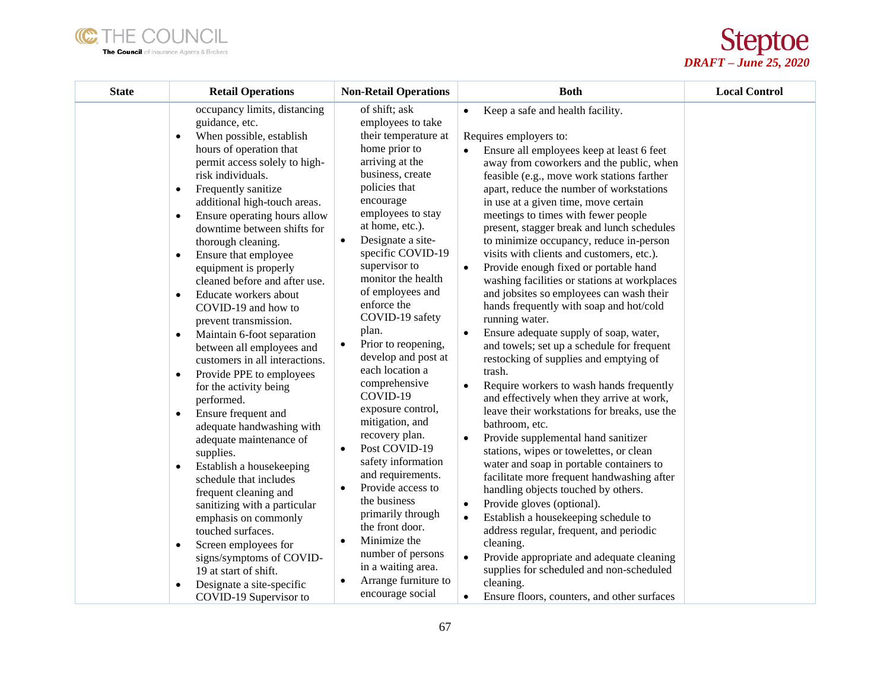



| <b>State</b> | <b>Retail Operations</b>                                                                                                                                                                                                                                                                                                                                                                                                                                                                                                                                                                                                                                                                                                                                                                                                                                                                                                                                                                                                                              | <b>Non-Retail Operations</b>                                                                                                                                                                                                                                                                                                                                                                                                                                                                                                                                                                                                                                                                                                                    | <b>Both</b>                                                                                                                                                                                                                                                                                                                                                                                                                                                                                                                                                                                                                                                                                                                                                                                                                                                                                                                                                                                                                                                                                                                                                                                                                                                                                                                                            | <b>Local Control</b> |
|--------------|-------------------------------------------------------------------------------------------------------------------------------------------------------------------------------------------------------------------------------------------------------------------------------------------------------------------------------------------------------------------------------------------------------------------------------------------------------------------------------------------------------------------------------------------------------------------------------------------------------------------------------------------------------------------------------------------------------------------------------------------------------------------------------------------------------------------------------------------------------------------------------------------------------------------------------------------------------------------------------------------------------------------------------------------------------|-------------------------------------------------------------------------------------------------------------------------------------------------------------------------------------------------------------------------------------------------------------------------------------------------------------------------------------------------------------------------------------------------------------------------------------------------------------------------------------------------------------------------------------------------------------------------------------------------------------------------------------------------------------------------------------------------------------------------------------------------|--------------------------------------------------------------------------------------------------------------------------------------------------------------------------------------------------------------------------------------------------------------------------------------------------------------------------------------------------------------------------------------------------------------------------------------------------------------------------------------------------------------------------------------------------------------------------------------------------------------------------------------------------------------------------------------------------------------------------------------------------------------------------------------------------------------------------------------------------------------------------------------------------------------------------------------------------------------------------------------------------------------------------------------------------------------------------------------------------------------------------------------------------------------------------------------------------------------------------------------------------------------------------------------------------------------------------------------------------------|----------------------|
|              | occupancy limits, distancing<br>guidance, etc.<br>When possible, establish<br>$\bullet$<br>hours of operation that<br>permit access solely to high-<br>risk individuals.<br>Frequently sanitize<br>$\bullet$<br>additional high-touch areas.<br>Ensure operating hours allow<br>$\bullet$<br>downtime between shifts for<br>thorough cleaning.<br>Ensure that employee<br>$\bullet$<br>equipment is properly<br>cleaned before and after use.<br>Educate workers about<br>$\bullet$<br>COVID-19 and how to<br>prevent transmission.<br>Maintain 6-foot separation<br>$\bullet$<br>between all employees and<br>customers in all interactions.<br>Provide PPE to employees<br>$\bullet$<br>for the activity being<br>performed.<br>Ensure frequent and<br>$\bullet$<br>adequate handwashing with<br>adequate maintenance of<br>supplies.<br>Establish a housekeeping<br>$\bullet$<br>schedule that includes<br>frequent cleaning and<br>sanitizing with a particular<br>emphasis on commonly<br>touched surfaces.<br>Screen employees for<br>$\bullet$ | of shift; ask<br>employees to take<br>their temperature at<br>home prior to<br>arriving at the<br>business, create<br>policies that<br>encourage<br>employees to stay<br>at home, etc.).<br>Designate a site-<br>$\bullet$<br>specific COVID-19<br>supervisor to<br>monitor the health<br>of employees and<br>enforce the<br>COVID-19 safety<br>plan.<br>Prior to reopening,<br>$\bullet$<br>develop and post at<br>each location a<br>comprehensive<br>COVID-19<br>exposure control,<br>mitigation, and<br>recovery plan.<br>Post COVID-19<br>$\bullet$<br>safety information<br>and requirements.<br>Provide access to<br>$\bullet$<br>the business<br>primarily through<br>the front door.<br>Minimize the<br>$\bullet$<br>number of persons | Keep a safe and health facility.<br>$\bullet$<br>Requires employers to:<br>Ensure all employees keep at least 6 feet<br>away from coworkers and the public, when<br>feasible (e.g., move work stations farther<br>apart, reduce the number of workstations<br>in use at a given time, move certain<br>meetings to times with fewer people<br>present, stagger break and lunch schedules<br>to minimize occupancy, reduce in-person<br>visits with clients and customers, etc.).<br>Provide enough fixed or portable hand<br>washing facilities or stations at workplaces<br>and jobsites so employees can wash their<br>hands frequently with soap and hot/cold<br>running water.<br>Ensure adequate supply of soap, water,<br>and towels; set up a schedule for frequent<br>restocking of supplies and emptying of<br>trash.<br>Require workers to wash hands frequently<br>and effectively when they arrive at work,<br>leave their workstations for breaks, use the<br>bathroom, etc.<br>Provide supplemental hand sanitizer<br>stations, wipes or towelettes, or clean<br>water and soap in portable containers to<br>facilitate more frequent handwashing after<br>handling objects touched by others.<br>Provide gloves (optional).<br>$\bullet$<br>Establish a housekeeping schedule to<br>address regular, frequent, and periodic<br>cleaning. |                      |
|              | signs/symptoms of COVID-<br>19 at start of shift.<br>Designate a site-specific<br>COVID-19 Supervisor to                                                                                                                                                                                                                                                                                                                                                                                                                                                                                                                                                                                                                                                                                                                                                                                                                                                                                                                                              | in a waiting area.<br>Arrange furniture to<br>encourage social                                                                                                                                                                                                                                                                                                                                                                                                                                                                                                                                                                                                                                                                                  | Provide appropriate and adequate cleaning<br>$\bullet$<br>supplies for scheduled and non-scheduled<br>cleaning.<br>Ensure floors, counters, and other surfaces<br>$\bullet$                                                                                                                                                                                                                                                                                                                                                                                                                                                                                                                                                                                                                                                                                                                                                                                                                                                                                                                                                                                                                                                                                                                                                                            |                      |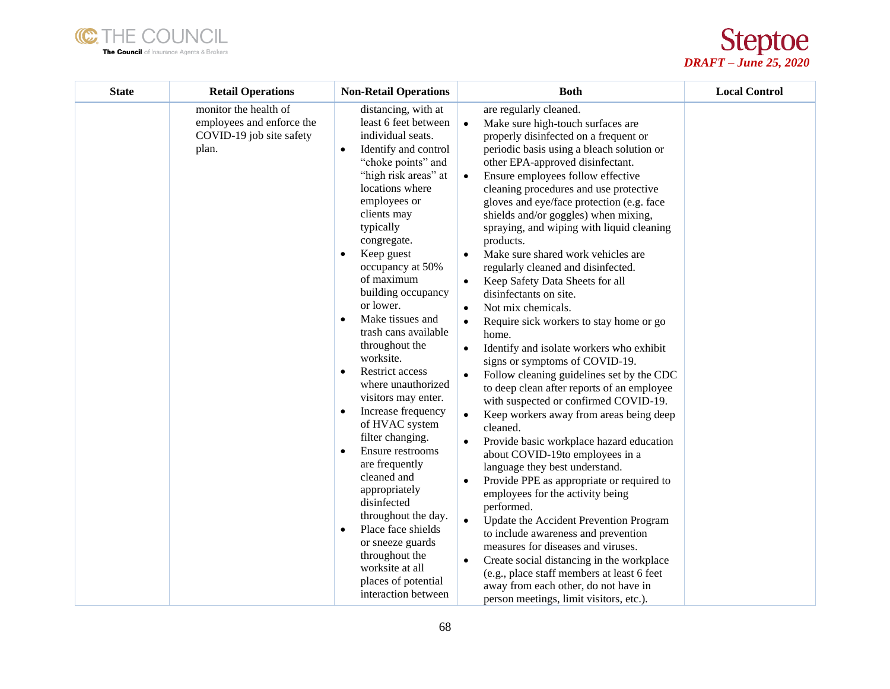



| <b>State</b> | <b>Retail Operations</b>                                                                | <b>Non-Retail Operations</b>                                                                                                                                                                                                                                                                                                                                                                                                                                                                                                                                                                                                                                                                                                                                                                                                          | <b>Both</b>                                                                                                                                                                                                                                                                                                                                                                                                                                                                                                                                                                                                                                                                                                                                                                                                                                                                                                                                                                                                                                                                                                                                                                                                                                                                                                                                                                                                                                                                                                        | <b>Local Control</b> |
|--------------|-----------------------------------------------------------------------------------------|---------------------------------------------------------------------------------------------------------------------------------------------------------------------------------------------------------------------------------------------------------------------------------------------------------------------------------------------------------------------------------------------------------------------------------------------------------------------------------------------------------------------------------------------------------------------------------------------------------------------------------------------------------------------------------------------------------------------------------------------------------------------------------------------------------------------------------------|--------------------------------------------------------------------------------------------------------------------------------------------------------------------------------------------------------------------------------------------------------------------------------------------------------------------------------------------------------------------------------------------------------------------------------------------------------------------------------------------------------------------------------------------------------------------------------------------------------------------------------------------------------------------------------------------------------------------------------------------------------------------------------------------------------------------------------------------------------------------------------------------------------------------------------------------------------------------------------------------------------------------------------------------------------------------------------------------------------------------------------------------------------------------------------------------------------------------------------------------------------------------------------------------------------------------------------------------------------------------------------------------------------------------------------------------------------------------------------------------------------------------|----------------------|
|              | monitor the health of<br>employees and enforce the<br>COVID-19 job site safety<br>plan. | distancing, with at<br>least 6 feet between<br>individual seats.<br>Identify and control<br>$\bullet$<br>"choke points" and<br>"high risk areas" at<br>locations where<br>employees or<br>clients may<br>typically<br>congregate.<br>Keep guest<br>$\bullet$<br>occupancy at 50%<br>of maximum<br>building occupancy<br>or lower.<br>Make tissues and<br>trash cans available<br>throughout the<br>worksite.<br>Restrict access<br>$\bullet$<br>where unauthorized<br>visitors may enter.<br>Increase frequency<br>$\bullet$<br>of HVAC system<br>filter changing.<br>Ensure restrooms<br>$\bullet$<br>are frequently<br>cleaned and<br>appropriately<br>disinfected<br>throughout the day.<br>Place face shields<br>$\bullet$<br>or sneeze guards<br>throughout the<br>worksite at all<br>places of potential<br>interaction between | are regularly cleaned.<br>Make sure high-touch surfaces are<br>$\bullet$<br>properly disinfected on a frequent or<br>periodic basis using a bleach solution or<br>other EPA-approved disinfectant.<br>Ensure employees follow effective<br>$\bullet$<br>cleaning procedures and use protective<br>gloves and eye/face protection (e.g. face<br>shields and/or goggles) when mixing,<br>spraying, and wiping with liquid cleaning<br>products.<br>Make sure shared work vehicles are<br>$\bullet$<br>regularly cleaned and disinfected.<br>Keep Safety Data Sheets for all<br>$\bullet$<br>disinfectants on site.<br>Not mix chemicals.<br>$\bullet$<br>Require sick workers to stay home or go<br>home.<br>Identify and isolate workers who exhibit<br>signs or symptoms of COVID-19.<br>Follow cleaning guidelines set by the CDC<br>to deep clean after reports of an employee<br>with suspected or confirmed COVID-19.<br>Keep workers away from areas being deep<br>cleaned.<br>Provide basic workplace hazard education<br>about COVID-19to employees in a<br>language they best understand.<br>Provide PPE as appropriate or required to<br>employees for the activity being<br>performed.<br>Update the Accident Prevention Program<br>to include awareness and prevention<br>measures for diseases and viruses.<br>Create social distancing in the workplace<br>$\bullet$<br>(e.g., place staff members at least 6 feet<br>away from each other, do not have in<br>person meetings, limit visitors, etc.). |                      |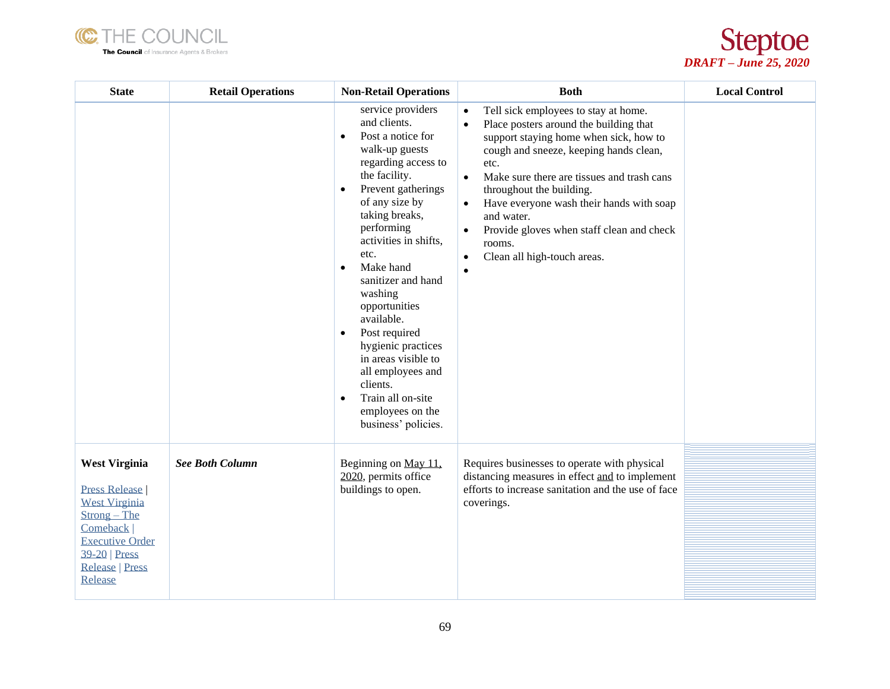



| <b>State</b>                                                                                                                                                                         | <b>Retail Operations</b> | <b>Non-Retail Operations</b>                                                                                                                                                                                                                                                                                                                                                                                                                                                                                                           | <b>Both</b>                                                                                                                                                                                                                                                                                                                                                                                                                                                                                     | <b>Local Control</b> |
|--------------------------------------------------------------------------------------------------------------------------------------------------------------------------------------|--------------------------|----------------------------------------------------------------------------------------------------------------------------------------------------------------------------------------------------------------------------------------------------------------------------------------------------------------------------------------------------------------------------------------------------------------------------------------------------------------------------------------------------------------------------------------|-------------------------------------------------------------------------------------------------------------------------------------------------------------------------------------------------------------------------------------------------------------------------------------------------------------------------------------------------------------------------------------------------------------------------------------------------------------------------------------------------|----------------------|
|                                                                                                                                                                                      |                          | service providers<br>and clients.<br>Post a notice for<br>$\bullet$<br>walk-up guests<br>regarding access to<br>the facility.<br>Prevent gatherings<br>$\bullet$<br>of any size by<br>taking breaks,<br>performing<br>activities in shifts,<br>etc.<br>Make hand<br>$\bullet$<br>sanitizer and hand<br>washing<br>opportunities<br>available.<br>Post required<br>$\bullet$<br>hygienic practices<br>in areas visible to<br>all employees and<br>clients.<br>Train all on-site<br>$\bullet$<br>employees on the<br>business' policies. | Tell sick employees to stay at home.<br>$\bullet$<br>Place posters around the building that<br>$\bullet$<br>support staying home when sick, how to<br>cough and sneeze, keeping hands clean,<br>etc.<br>Make sure there are tissues and trash cans<br>$\bullet$<br>throughout the building.<br>Have everyone wash their hands with soap<br>$\bullet$<br>and water.<br>Provide gloves when staff clean and check<br>$\bullet$<br>rooms.<br>Clean all high-touch areas.<br>$\bullet$<br>$\bullet$ |                      |
| <b>West Virginia</b><br><b>Press Release</b><br><b>West Virginia</b><br>$Strong - The$<br>Comeback  <br><b>Executive Order</b><br>$39-20$ Press<br><b>Release   Press</b><br>Release | <b>See Both Column</b>   | Beginning on May 11,<br>2020, permits office<br>buildings to open.                                                                                                                                                                                                                                                                                                                                                                                                                                                                     | Requires businesses to operate with physical<br>distancing measures in effect and to implement<br>efforts to increase sanitation and the use of face<br>coverings.                                                                                                                                                                                                                                                                                                                              |                      |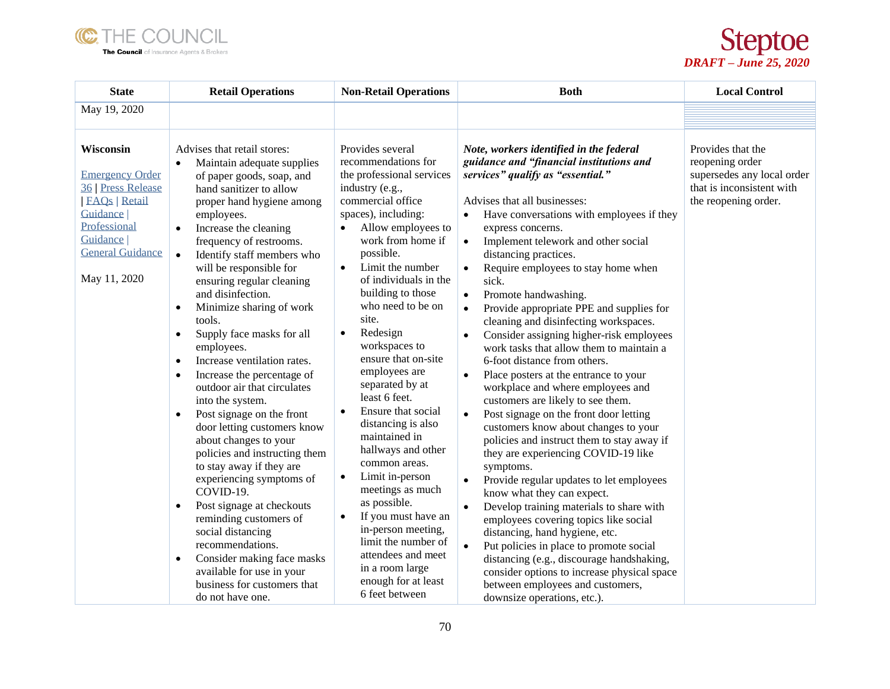



| <b>State</b>                                                                                                                                                                     | <b>Retail Operations</b>                                                                                                                                                                                                                                                                                                                                                                                                                                                                                                                                                                                                                                                                                                                                                                                                                                                                                                                                                                                                                                                | <b>Non-Retail Operations</b>                                                                                                                                                                                                                                                                                                                                                                                                                                                                                                                                                                                                                                                                                                                                                           | <b>Both</b>                                                                                                                                                                                                                                                                                                                                                                                                                                                                                                                                                                                                                                                                                                                                                                                                                                                                                                                                                                                                                                                                                                                                                                                                                                                                                                                                           | <b>Local Control</b>                                                                                                    |
|----------------------------------------------------------------------------------------------------------------------------------------------------------------------------------|-------------------------------------------------------------------------------------------------------------------------------------------------------------------------------------------------------------------------------------------------------------------------------------------------------------------------------------------------------------------------------------------------------------------------------------------------------------------------------------------------------------------------------------------------------------------------------------------------------------------------------------------------------------------------------------------------------------------------------------------------------------------------------------------------------------------------------------------------------------------------------------------------------------------------------------------------------------------------------------------------------------------------------------------------------------------------|----------------------------------------------------------------------------------------------------------------------------------------------------------------------------------------------------------------------------------------------------------------------------------------------------------------------------------------------------------------------------------------------------------------------------------------------------------------------------------------------------------------------------------------------------------------------------------------------------------------------------------------------------------------------------------------------------------------------------------------------------------------------------------------|-------------------------------------------------------------------------------------------------------------------------------------------------------------------------------------------------------------------------------------------------------------------------------------------------------------------------------------------------------------------------------------------------------------------------------------------------------------------------------------------------------------------------------------------------------------------------------------------------------------------------------------------------------------------------------------------------------------------------------------------------------------------------------------------------------------------------------------------------------------------------------------------------------------------------------------------------------------------------------------------------------------------------------------------------------------------------------------------------------------------------------------------------------------------------------------------------------------------------------------------------------------------------------------------------------------------------------------------------------|-------------------------------------------------------------------------------------------------------------------------|
| May 19, 2020                                                                                                                                                                     |                                                                                                                                                                                                                                                                                                                                                                                                                                                                                                                                                                                                                                                                                                                                                                                                                                                                                                                                                                                                                                                                         |                                                                                                                                                                                                                                                                                                                                                                                                                                                                                                                                                                                                                                                                                                                                                                                        |                                                                                                                                                                                                                                                                                                                                                                                                                                                                                                                                                                                                                                                                                                                                                                                                                                                                                                                                                                                                                                                                                                                                                                                                                                                                                                                                                       |                                                                                                                         |
|                                                                                                                                                                                  |                                                                                                                                                                                                                                                                                                                                                                                                                                                                                                                                                                                                                                                                                                                                                                                                                                                                                                                                                                                                                                                                         |                                                                                                                                                                                                                                                                                                                                                                                                                                                                                                                                                                                                                                                                                                                                                                                        |                                                                                                                                                                                                                                                                                                                                                                                                                                                                                                                                                                                                                                                                                                                                                                                                                                                                                                                                                                                                                                                                                                                                                                                                                                                                                                                                                       |                                                                                                                         |
| Wisconsin<br><b>Emergency Order</b><br><b>36 Press Release</b><br><b>FAQs</b>   Retail<br><b>Guidance</b><br>Professional<br>Guidance<br><b>General Guidance</b><br>May 11, 2020 | Advises that retail stores:<br>Maintain adequate supplies<br>$\bullet$<br>of paper goods, soap, and<br>hand sanitizer to allow<br>proper hand hygiene among<br>employees.<br>Increase the cleaning<br>$\bullet$<br>frequency of restrooms.<br>Identify staff members who<br>$\bullet$<br>will be responsible for<br>ensuring regular cleaning<br>and disinfection.<br>Minimize sharing of work<br>$\bullet$<br>tools.<br>Supply face masks for all<br>$\bullet$<br>employees.<br>Increase ventilation rates.<br>$\bullet$<br>Increase the percentage of<br>$\bullet$<br>outdoor air that circulates<br>into the system.<br>Post signage on the front<br>$\bullet$<br>door letting customers know<br>about changes to your<br>policies and instructing them<br>to stay away if they are<br>experiencing symptoms of<br>COVID-19.<br>Post signage at checkouts<br>$\bullet$<br>reminding customers of<br>social distancing<br>recommendations.<br>Consider making face masks<br>$\bullet$<br>available for use in your<br>business for customers that<br>do not have one. | Provides several<br>recommendations for<br>the professional services<br>industry (e.g.,<br>commercial office<br>spaces), including:<br>Allow employees to<br>work from home if<br>possible.<br>Limit the number<br>$\bullet$<br>of individuals in the<br>building to those<br>who need to be on<br>site.<br>Redesign<br>$\bullet$<br>workspaces to<br>ensure that on-site<br>employees are<br>separated by at<br>least 6 feet.<br>Ensure that social<br>$\bullet$<br>distancing is also<br>maintained in<br>hallways and other<br>common areas.<br>Limit in-person<br>$\bullet$<br>meetings as much<br>as possible.<br>If you must have an<br>$\bullet$<br>in-person meeting,<br>limit the number of<br>attendees and meet<br>in a room large<br>enough for at least<br>6 feet between | Note, workers identified in the federal<br>guidance and "financial institutions and<br>services" qualify as "essential."<br>Advises that all businesses:<br>Have conversations with employees if they<br>express concerns.<br>Implement telework and other social<br>distancing practices.<br>Require employees to stay home when<br>sick.<br>Promote handwashing.<br>Provide appropriate PPE and supplies for<br>$\bullet$<br>cleaning and disinfecting workspaces.<br>Consider assigning higher-risk employees<br>$\bullet$<br>work tasks that allow them to maintain a<br>6-foot distance from others.<br>Place posters at the entrance to your<br>workplace and where employees and<br>customers are likely to see them.<br>Post signage on the front door letting<br>customers know about changes to your<br>policies and instruct them to stay away if<br>they are experiencing COVID-19 like<br>symptoms.<br>Provide regular updates to let employees<br>$\bullet$<br>know what they can expect.<br>Develop training materials to share with<br>employees covering topics like social<br>distancing, hand hygiene, etc.<br>Put policies in place to promote social<br>$\bullet$<br>distancing (e.g., discourage handshaking,<br>consider options to increase physical space<br>between employees and customers,<br>downsize operations, etc.). | Provides that the<br>reopening order<br>supersedes any local order<br>that is inconsistent with<br>the reopening order. |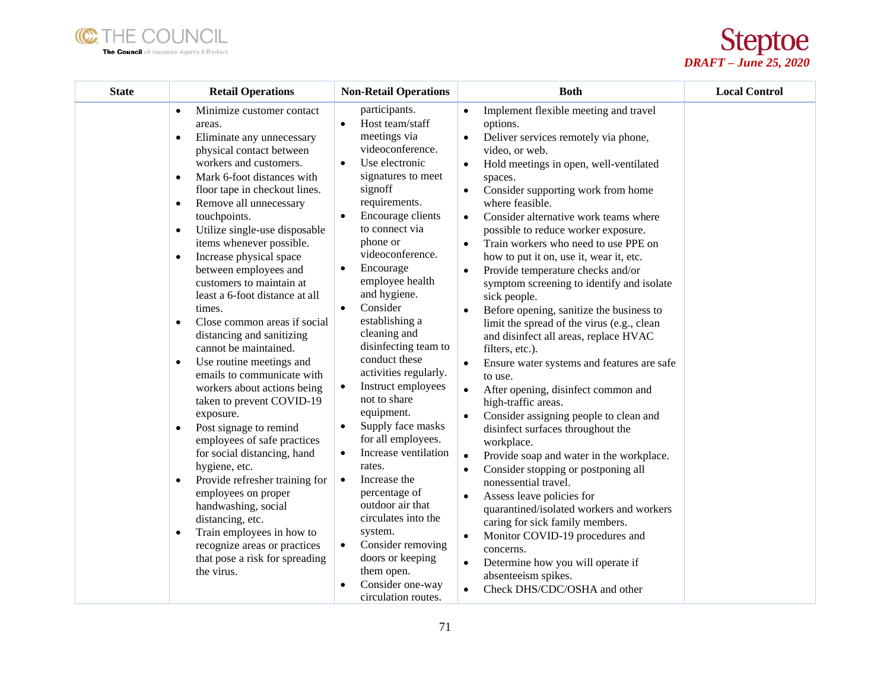



| <b>State</b> | <b>Retail Operations</b>                                                                                                                                                                                                                                                                                                                                                                                                                                                                                                                                                                                                                                                                                                                                                                                                                                                                                                                                                                                                                                                                                                   | <b>Non-Retail Operations</b>                                                                                                                                                                                                                                                                                                                                                                                                                                                                                                                                                                                                                                                                                                                                                                                                                | <b>Both</b>                                                                                                                                                                                                                                                                                                                                                                                                                                                                                                                                                                                                                                                                                                                                                                                                                                                                                                                                                                                                                                                                                                                                                                                                                                                                                                                                                                                                                       | <b>Local Control</b> |
|--------------|----------------------------------------------------------------------------------------------------------------------------------------------------------------------------------------------------------------------------------------------------------------------------------------------------------------------------------------------------------------------------------------------------------------------------------------------------------------------------------------------------------------------------------------------------------------------------------------------------------------------------------------------------------------------------------------------------------------------------------------------------------------------------------------------------------------------------------------------------------------------------------------------------------------------------------------------------------------------------------------------------------------------------------------------------------------------------------------------------------------------------|---------------------------------------------------------------------------------------------------------------------------------------------------------------------------------------------------------------------------------------------------------------------------------------------------------------------------------------------------------------------------------------------------------------------------------------------------------------------------------------------------------------------------------------------------------------------------------------------------------------------------------------------------------------------------------------------------------------------------------------------------------------------------------------------------------------------------------------------|-----------------------------------------------------------------------------------------------------------------------------------------------------------------------------------------------------------------------------------------------------------------------------------------------------------------------------------------------------------------------------------------------------------------------------------------------------------------------------------------------------------------------------------------------------------------------------------------------------------------------------------------------------------------------------------------------------------------------------------------------------------------------------------------------------------------------------------------------------------------------------------------------------------------------------------------------------------------------------------------------------------------------------------------------------------------------------------------------------------------------------------------------------------------------------------------------------------------------------------------------------------------------------------------------------------------------------------------------------------------------------------------------------------------------------------|----------------------|
|              | Minimize customer contact<br>$\bullet$<br>areas.<br>Eliminate any unnecessary<br>$\bullet$<br>physical contact between<br>workers and customers.<br>Mark 6-foot distances with<br>$\bullet$<br>floor tape in checkout lines.<br>Remove all unnecessary<br>$\bullet$<br>touchpoints.<br>Utilize single-use disposable<br>$\bullet$<br>items whenever possible.<br>Increase physical space<br>$\bullet$<br>between employees and<br>customers to maintain at<br>least a 6-foot distance at all<br>times.<br>Close common areas if social<br>$\bullet$<br>distancing and sanitizing<br>cannot be maintained.<br>Use routine meetings and<br>$\bullet$<br>emails to communicate with<br>workers about actions being<br>taken to prevent COVID-19<br>exposure.<br>Post signage to remind<br>$\bullet$<br>employees of safe practices<br>for social distancing, hand<br>hygiene, etc.<br>Provide refresher training for<br>$\bullet$<br>employees on proper<br>handwashing, social<br>distancing, etc.<br>Train employees in how to<br>$\bullet$<br>recognize areas or practices<br>that pose a risk for spreading<br>the virus. | participants.<br>Host team/staff<br>$\bullet$<br>meetings via<br>videoconference.<br>Use electronic<br>$\bullet$<br>signatures to meet<br>signoff<br>requirements.<br>Encourage clients<br>$\bullet$<br>to connect via<br>phone or<br>videoconference.<br>Encourage<br>$\bullet$<br>employee health<br>and hygiene.<br>Consider<br>$\bullet$<br>establishing a<br>cleaning and<br>disinfecting team to<br>conduct these<br>activities regularly.<br>Instruct employees<br>$\bullet$<br>not to share<br>equipment.<br>Supply face masks<br>$\bullet$<br>for all employees.<br>Increase ventilation<br>$\bullet$<br>rates.<br>Increase the<br>$\bullet$<br>percentage of<br>outdoor air that<br>circulates into the<br>system.<br>Consider removing<br>$\bullet$<br>doors or keeping<br>them open.<br>Consider one-way<br>circulation routes. | Implement flexible meeting and travel<br>options.<br>Deliver services remotely via phone,<br>$\bullet$<br>video, or web.<br>Hold meetings in open, well-ventilated<br>$\bullet$<br>spaces.<br>Consider supporting work from home<br>$\bullet$<br>where feasible.<br>Consider alternative work teams where<br>$\bullet$<br>possible to reduce worker exposure.<br>Train workers who need to use PPE on<br>$\bullet$<br>how to put it on, use it, wear it, etc.<br>Provide temperature checks and/or<br>$\bullet$<br>symptom screening to identify and isolate<br>sick people.<br>Before opening, sanitize the business to<br>limit the spread of the virus (e.g., clean<br>and disinfect all areas, replace HVAC<br>filters, etc.).<br>Ensure water systems and features are safe<br>$\bullet$<br>to use.<br>After opening, disinfect common and<br>$\bullet$<br>high-traffic areas.<br>Consider assigning people to clean and<br>disinfect surfaces throughout the<br>workplace.<br>Provide soap and water in the workplace.<br>$\bullet$<br>Consider stopping or postponing all<br>$\bullet$<br>nonessential travel.<br>Assess leave policies for<br>$\bullet$<br>quarantined/isolated workers and workers<br>caring for sick family members.<br>Monitor COVID-19 procedures and<br>$\bullet$<br>concerns.<br>Determine how you will operate if<br>$\bullet$<br>absenteeism spikes.<br>Check DHS/CDC/OSHA and other<br>$\bullet$ |                      |
|              |                                                                                                                                                                                                                                                                                                                                                                                                                                                                                                                                                                                                                                                                                                                                                                                                                                                                                                                                                                                                                                                                                                                            |                                                                                                                                                                                                                                                                                                                                                                                                                                                                                                                                                                                                                                                                                                                                                                                                                                             |                                                                                                                                                                                                                                                                                                                                                                                                                                                                                                                                                                                                                                                                                                                                                                                                                                                                                                                                                                                                                                                                                                                                                                                                                                                                                                                                                                                                                                   |                      |